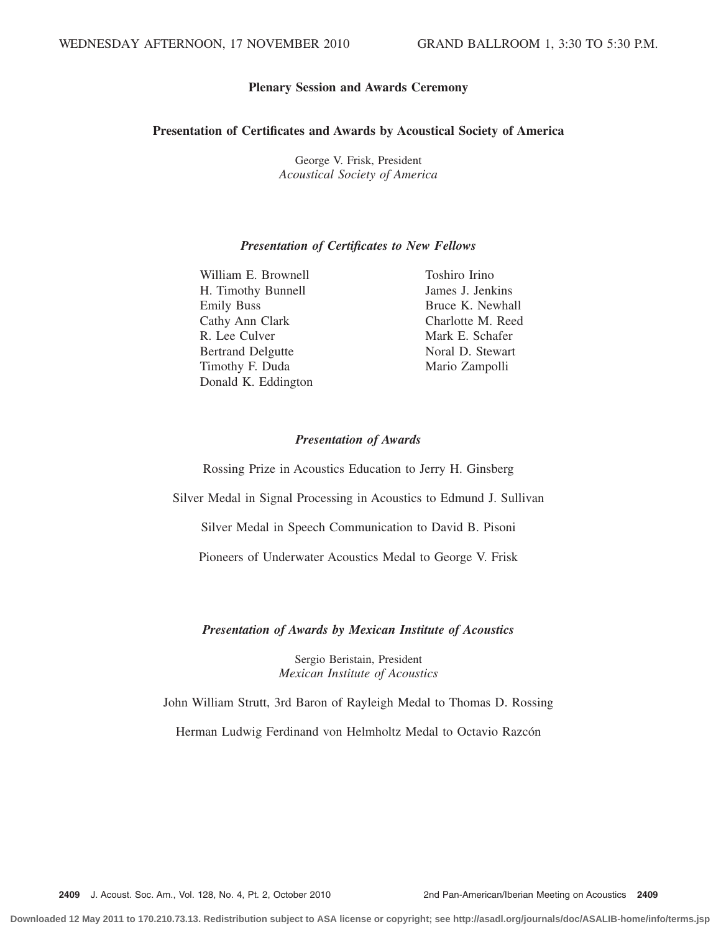# **Plenary Session and Awards Ceremony**

# **Presentation of Certificates and Awards by Acoustical Society of America**

George V. Frisk, President *Acoustical Society of America*

# *Presentation of Certificates to New Fellows*

William E. Brownell H. Timothy Bunnell Emily Buss Cathy Ann Clark R. Lee Culver Bertrand Delgutte Timothy F. Duda Donald K. Eddington Toshiro Irino James J. Jenkins Bruce K. Newhall Charlotte M. Reed Mark E. Schafer Noral D. Stewart Mario Zampolli

# *Presentation of Awards*

Rossing Prize in Acoustics Education to Jerry H. Ginsberg Silver Medal in Signal Processing in Acoustics to Edmund J. Sullivan Silver Medal in Speech Communication to David B. Pisoni Pioneers of Underwater Acoustics Medal to George V. Frisk

*Presentation of Awards by Mexican Institute of Acoustics*

Sergio Beristain, President *Mexican Institute of Acoustics*

John William Strutt, 3rd Baron of Rayleigh Medal to Thomas D. Rossing

Herman Ludwig Ferdinand von Helmholtz Medal to Octavio Razcón

**2409** J. Acoust. Soc. Am., Vol. 128, No. 4, Pt. 2, October 2010 2nd Pan-American/Iberian Meeting on Acoustics **2409**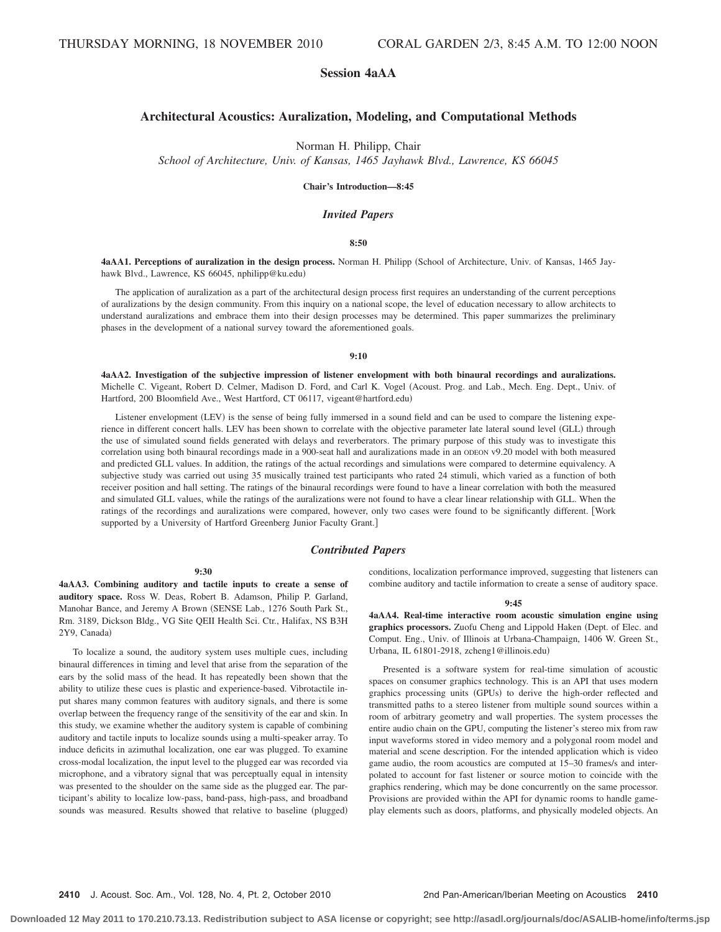# **Session 4aAA**

# **Architectural Acoustics: Auralization, Modeling, and Computational Methods**

Norman H. Philipp, Chair

*School of Architecture, Univ. of Kansas, 1465 Jayhawk Blvd., Lawrence, KS 66045*

## **Chair's Introduction—8:45**

# *Invited Papers*

# **8:50**

4aAA1. Perceptions of auralization in the design process. Norman H. Philipp (School of Architecture, Univ. of Kansas, 1465 Jayhawk Blvd., Lawrence, KS 66045, nphilipp@ku.edu)

The application of auralization as a part of the architectural design process first requires an understanding of the current perceptions of auralizations by the design community. From this inquiry on a national scope, the level of education necessary to allow architects to understand auralizations and embrace them into their design processes may be determined. This paper summarizes the preliminary phases in the development of a national survey toward the aforementioned goals.

## **9:10**

**4aAA2. Investigation of the subjective impression of listener envelopment with both binaural recordings and auralizations.** Michelle C. Vigeant, Robert D. Celmer, Madison D. Ford, and Carl K. Vogel Acoust. Prog. and Lab., Mech. Eng. Dept., Univ. of Hartford, 200 Bloomfield Ave., West Hartford, CT 06117, vigeant@hartford.edu)

Listener envelopment (LEV) is the sense of being fully immersed in a sound field and can be used to compare the listening experience in different concert halls. LEV has been shown to correlate with the objective parameter late lateral sound level (GLL) through the use of simulated sound fields generated with delays and reverberators. The primary purpose of this study was to investigate this correlation using both binaural recordings made in a 900-seat hall and auralizations made in an ODEON v9.20 model with both measured and predicted GLL values. In addition, the ratings of the actual recordings and simulations were compared to determine equivalency. A subjective study was carried out using 35 musically trained test participants who rated 24 stimuli, which varied as a function of both receiver position and hall setting. The ratings of the binaural recordings were found to have a linear correlation with both the measured and simulated GLL values, while the ratings of the auralizations were not found to have a clear linear relationship with GLL. When the ratings of the recordings and auralizations were compared, however, only two cases were found to be significantly different. Work supported by a University of Hartford Greenberg Junior Faculty Grant.]

# *Contributed Papers*

**9:30**

**4aAA3. Combining auditory and tactile inputs to create a sense of auditory space.** Ross W. Deas, Robert B. Adamson, Philip P. Garland, Manohar Bance, and Jeremy A Brown (SENSE Lab., 1276 South Park St., Rm. 3189, Dickson Bldg., VG Site QEII Health Sci. Ctr., Halifax, NS B3H 2Y9, Canada)

To localize a sound, the auditory system uses multiple cues, including binaural differences in timing and level that arise from the separation of the ears by the solid mass of the head. It has repeatedly been shown that the ability to utilize these cues is plastic and experience-based. Vibrotactile input shares many common features with auditory signals, and there is some overlap between the frequency range of the sensitivity of the ear and skin. In this study, we examine whether the auditory system is capable of combining auditory and tactile inputs to localize sounds using a multi-speaker array. To induce deficits in azimuthal localization, one ear was plugged. To examine cross-modal localization, the input level to the plugged ear was recorded via microphone, and a vibratory signal that was perceptually equal in intensity was presented to the shoulder on the same side as the plugged ear. The participant's ability to localize low-pass, band-pass, high-pass, and broadband sounds was measured. Results showed that relative to baseline (plugged)

conditions, localization performance improved, suggesting that listeners can combine auditory and tactile information to create a sense of auditory space.

**9:45**

**4aAA4. Real-time interactive room acoustic simulation engine using** graphics processors. Zuofu Cheng and Lippold Haken (Dept. of Elec. and Comput. Eng., Univ. of Illinois at Urbana-Champaign, 1406 W. Green St., Urbana, IL 61801-2918, zcheng1@illinois.edu)

Presented is a software system for real-time simulation of acoustic spaces on consumer graphics technology. This is an API that uses modern graphics processing units (GPUs) to derive the high-order reflected and transmitted paths to a stereo listener from multiple sound sources within a room of arbitrary geometry and wall properties. The system processes the entire audio chain on the GPU, computing the listener's stereo mix from raw input waveforms stored in video memory and a polygonal room model and material and scene description. For the intended application which is video game audio, the room acoustics are computed at 15–30 frames/s and interpolated to account for fast listener or source motion to coincide with the graphics rendering, which may be done concurrently on the same processor. Provisions are provided within the API for dynamic rooms to handle gameplay elements such as doors, platforms, and physically modeled objects. An

**2410** J. Acoust. Soc. Am., Vol. 128, No. 4, Pt. 2, October 2010 2nd Pan-American/Iberian Meeting on Acoustics **2410**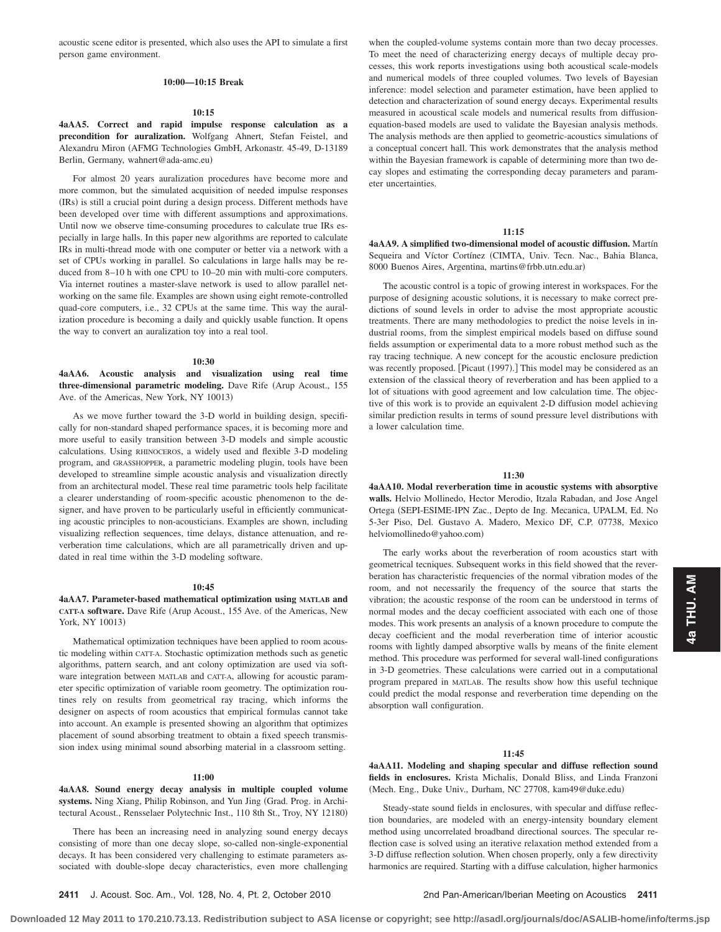acoustic scene editor is presented, which also uses the API to simulate a first person game environment.

## **10:00—10:15 Break**

## **10:15**

**4aAA5. Correct and rapid impulse response calculation as a precondition for auralization.** Wolfgang Ahnert, Stefan Feistel, and Alexandru Miron AFMG Technologies GmbH, Arkonastr. 45-49, D-13189 Berlin, Germany, wahnert@ada-amc.eu)

For almost 20 years auralization procedures have become more and more common, but the simulated acquisition of needed impulse responses (IRs) is still a crucial point during a design process. Different methods have been developed over time with different assumptions and approximations. Until now we observe time-consuming procedures to calculate true IRs especially in large halls. In this paper new algorithms are reported to calculate IRs in multi-thread mode with one computer or better via a network with a set of CPUs working in parallel. So calculations in large halls may be reduced from 8–10 h with one CPU to 10–20 min with multi-core computers. Via internet routines a master-slave network is used to allow parallel networking on the same file. Examples are shown using eight remote-controlled quad-core computers, i.e., 32 CPUs at the same time. This way the auralization procedure is becoming a daily and quickly usable function. It opens the way to convert an auralization toy into a real tool.

#### **10:30**

**4aAA6. Acoustic analysis and visualization using real time** three-dimensional parametric modeling. Dave Rife (Arup Acoust., 155 Ave. of the Americas, New York, NY 10013)

As we move further toward the 3-D world in building design, specifically for non-standard shaped performance spaces, it is becoming more and more useful to easily transition between 3-D models and simple acoustic calculations. Using RHINOCEROS, a widely used and flexible 3-D modeling program, and GRASSHOPPER, a parametric modeling plugin, tools have been developed to streamline simple acoustic analysis and visualization directly from an architectural model. These real time parametric tools help facilitate a clearer understanding of room-specific acoustic phenomenon to the designer, and have proven to be particularly useful in efficiently communicating acoustic principles to non-acousticians. Examples are shown, including visualizing reflection sequences, time delays, distance attenuation, and reverberation time calculations, which are all parametrically driven and updated in real time within the 3-D modeling software.

## **10:45**

**4aAA7. Parameter-based mathematical optimization using MATLAB and CATT-A software.** Dave Rife (Arup Acoust., 155 Ave. of the Americas, New York, NY 10013)

Mathematical optimization techniques have been applied to room acoustic modeling within CATT-A. Stochastic optimization methods such as genetic algorithms, pattern search, and ant colony optimization are used via software integration between MATLAB and CATT-A, allowing for acoustic parameter specific optimization of variable room geometry. The optimization routines rely on results from geometrical ray tracing, which informs the designer on aspects of room acoustics that empirical formulas cannot take into account. An example is presented showing an algorithm that optimizes placement of sound absorbing treatment to obtain a fixed speech transmission index using minimal sound absorbing material in a classroom setting.

#### **11:00**

**4aAA8. Sound energy decay analysis in multiple coupled volume systems.** Ning Xiang, Philip Robinson, and Yun Jing Grad. Prog. in Architectural Acoust., Rensselaer Polytechnic Inst., 110 8th St., Troy, NY 12180)

There has been an increasing need in analyzing sound energy decays consisting of more than one decay slope, so-called non-single-exponential decays. It has been considered very challenging to estimate parameters associated with double-slope decay characteristics, even more challenging when the coupled-volume systems contain more than two decay processes. To meet the need of characterizing energy decays of multiple decay processes, this work reports investigations using both acoustical scale-models and numerical models of three coupled volumes. Two levels of Bayesian inference: model selection and parameter estimation, have been applied to detection and characterization of sound energy decays. Experimental results measured in acoustical scale models and numerical results from diffusionequation-based models are used to validate the Bayesian analysis methods. The analysis methods are then applied to geometric-acoustics simulations of a conceptual concert hall. This work demonstrates that the analysis method within the Bayesian framework is capable of determining more than two decay slopes and estimating the corresponding decay parameters and parameter uncertainties.

#### **11:15**

**4aAA9. A simplified two-dimensional model of acoustic diffusion.** Martín Sequeira and Víctor Cortínez (CIMTA, Univ. Tecn. Nac., Bahia Blanca, 8000 Buenos Aires, Argentina, martins@frbb.utn.edu.ar-

The acoustic control is a topic of growing interest in workspaces. For the purpose of designing acoustic solutions, it is necessary to make correct predictions of sound levels in order to advise the most appropriate acoustic treatments. There are many methodologies to predict the noise levels in industrial rooms, from the simplest empirical models based on diffuse sound fields assumption or experimental data to a more robust method such as the ray tracing technique. A new concept for the acoustic enclosure prediction was recently proposed. [Picaut (1997).] This model may be considered as an extension of the classical theory of reverberation and has been applied to a lot of situations with good agreement and low calculation time. The objective of this work is to provide an equivalent 2-D diffusion model achieving similar prediction results in terms of sound pressure level distributions with a lower calculation time.

## **11:30**

**4aAA10. Modal reverberation time in acoustic systems with absorptive walls.** Helvio Mollinedo, Hector Merodio, Itzala Rabadan, and Jose Angel Ortega (SEPI-ESIME-IPN Zac., Depto de Ing. Mecanica, UPALM, Ed. No 5-3er Piso, Del. Gustavo A. Madero, Mexico DF, C.P. 07738, Mexico helviomollinedo@yahoo.com)

The early works about the reverberation of room acoustics start with geometrical tecniques. Subsequent works in this field showed that the reverberation has characteristic frequencies of the normal vibration modes of the room, and not necessarily the frequency of the source that starts the vibration; the acoustic response of the room can be understood in terms of normal modes and the decay coefficient associated with each one of those modes. This work presents an analysis of a known procedure to compute the decay coefficient and the modal reverberation time of interior acoustic rooms with lightly damped absorptive walls by means of the finite element method. This procedure was performed for several wall-lined configurations in 3-D geometries. These calculations were carried out in a computational program prepared in MATLAB. The results show how this useful technique could predict the modal response and reverberation time depending on the absorption wall configuration.

## **11:45**

**4aAA11. Modeling and shaping specular and diffuse reflection sound fields in enclosures.** Krista Michalis, Donald Bliss, and Linda Franzoni (Mech. Eng., Duke Univ., Durham, NC 27708, kam49@duke.edu)

Steady-state sound fields in enclosures, with specular and diffuse reflection boundaries, are modeled with an energy-intensity boundary element method using uncorrelated broadband directional sources. The specular reflection case is solved using an iterative relaxation method extended from a 3-D diffuse reflection solution. When chosen properly, only a few directivity harmonics are required. Starting with a diffuse calculation, higher harmonics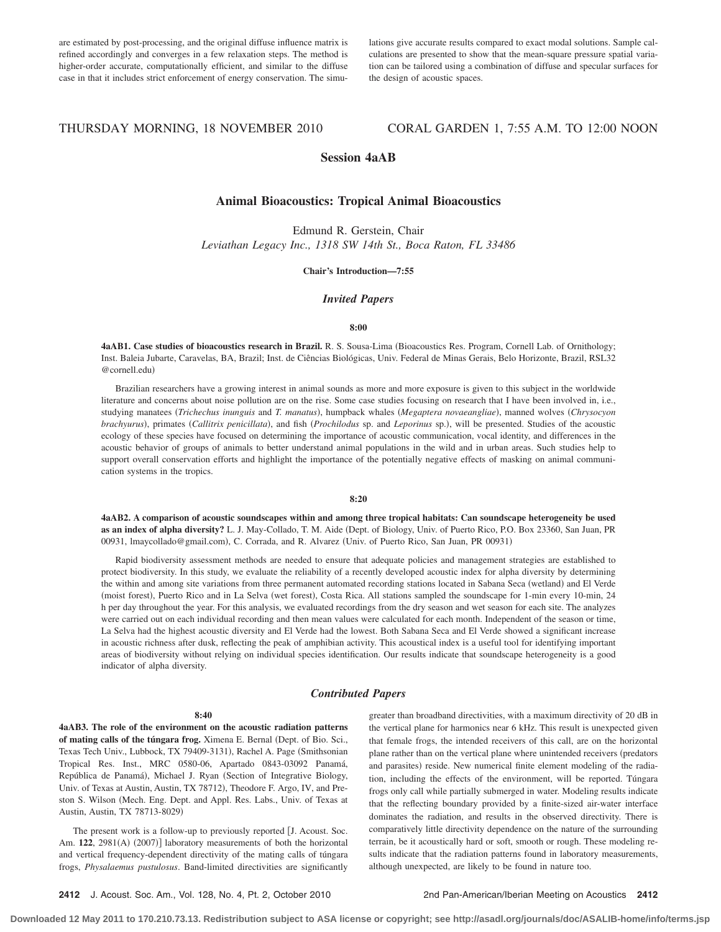are estimated by post-processing, and the original diffuse influence matrix is refined accordingly and converges in a few relaxation steps. The method is higher-order accurate, computationally efficient, and similar to the diffuse case in that it includes strict enforcement of energy conservation. The simulations give accurate results compared to exact modal solutions. Sample calculations are presented to show that the mean-square pressure spatial variation can be tailored using a combination of diffuse and specular surfaces for the design of acoustic spaces.

# THURSDAY MORNING, 18 NOVEMBER 2010 CORAL GARDEN 1, 7:55 A.M. TO 12:00 NOON

# **Session 4aAB**

# **Animal Bioacoustics: Tropical Animal Bioacoustics**

Edmund R. Gerstein, Chair *Leviathan Legacy Inc., 1318 SW 14th St., Boca Raton, FL 33486*

## **Chair's Introduction—7:55**

# *Invited Papers*

## **8:00**

4aAB1. Case studies of bioacoustics research in Brazil. R. S. Sousa-Lima (Bioacoustics Res. Program, Cornell Lab. of Ornithology; Inst. Baleia Jubarte, Caravelas, BA, Brazil; Inst. de Ciências Biológicas, Univ. Federal de Minas Gerais, Belo Horizonte, Brazil, RSL32 @cornell.edu-

Brazilian researchers have a growing interest in animal sounds as more and more exposure is given to this subject in the worldwide literature and concerns about noise pollution are on the rise. Some case studies focusing on research that I have been involved in, i.e., studying manatees (Trichechus inunguis and T. manatus), humpback whales (Megaptera novaeangliae), manned wolves (Chrysocyon brachyurus), primates (Callitrix penicillata), and fish (Prochilodus sp. and Leporinus sp.), will be presented. Studies of the acoustic ecology of these species have focused on determining the importance of acoustic communication, vocal identity, and differences in the acoustic behavior of groups of animals to better understand animal populations in the wild and in urban areas. Such studies help to support overall conservation efforts and highlight the importance of the potentially negative effects of masking on animal communication systems in the tropics.

#### **8:20**

**4aAB2. A comparison of acoustic soundscapes within and among three tropical habitats: Can soundscape heterogeneity be used as an index of alpha diversity?** L. J. May-Collado, T. M. Aide Dept. of Biology, Univ. of Puerto Rico, P.O. Box 23360, San Juan, PR 00931, Imaycollado@gmail.com), C. Corrada, and R. Alvarez (Univ. of Puerto Rico, San Juan, PR 00931)

Rapid biodiversity assessment methods are needed to ensure that adequate policies and management strategies are established to protect biodiversity. In this study, we evaluate the reliability of a recently developed acoustic index for alpha diversity by determining the within and among site variations from three permanent automated recording stations located in Sabana Seca (wetland) and El Verde (moist forest), Puerto Rico and in La Selva (wet forest), Costa Rica. All stations sampled the soundscape for 1-min every 10-min, 24 h per day throughout the year. For this analysis, we evaluated recordings from the dry season and wet season for each site. The analyzes were carried out on each individual recording and then mean values were calculated for each month. Independent of the season or time, La Selva had the highest acoustic diversity and El Verde had the lowest. Both Sabana Seca and El Verde showed a significant increase in acoustic richness after dusk, reflecting the peak of amphibian activity. This acoustical index is a useful tool for identifying important areas of biodiversity without relying on individual species identification. Our results indicate that soundscape heterogeneity is a good indicator of alpha diversity.

# *Contributed Papers*

**8:40**

**4aAB3. The role of the environment on the acoustic radiation patterns** of mating calls of the túngara frog. Ximena E. Bernal (Dept. of Bio. Sci., Texas Tech Univ., Lubbock, TX 79409-3131), Rachel A. Page (Smithsonian Tropical Res. Inst., MRC 0580-06, Apartado 0843-03092 Panamá, República de Panamá), Michael J. Ryan (Section of Integrative Biology, Univ. of Texas at Austin, Austin, TX 78712), Theodore F. Argo, IV, and Preston S. Wilson (Mech. Eng. Dept. and Appl. Res. Labs., Univ. of Texas at Austin, Austin, TX 78713-8029)

The present work is a follow-up to previously reported [J. Acoust. Soc. Am. 122, 2981(A) (2007)] laboratory measurements of both the horizontal and vertical frequency-dependent directivity of the mating calls of túngara frogs, *Physalaemus pustulosus*. Band-limited directivities are significantly greater than broadband directivities, with a maximum directivity of 20 dB in the vertical plane for harmonics near 6 kHz. This result is unexpected given that female frogs, the intended receivers of this call, are on the horizontal plane rather than on the vertical plane where unintended receivers (predators and parasites) reside. New numerical finite element modeling of the radiation, including the effects of the environment, will be reported. Túngara frogs only call while partially submerged in water. Modeling results indicate that the reflecting boundary provided by a finite-sized air-water interface dominates the radiation, and results in the observed directivity. There is comparatively little directivity dependence on the nature of the surrounding terrain, be it acoustically hard or soft, smooth or rough. These modeling results indicate that the radiation patterns found in laboratory measurements, although unexpected, are likely to be found in nature too.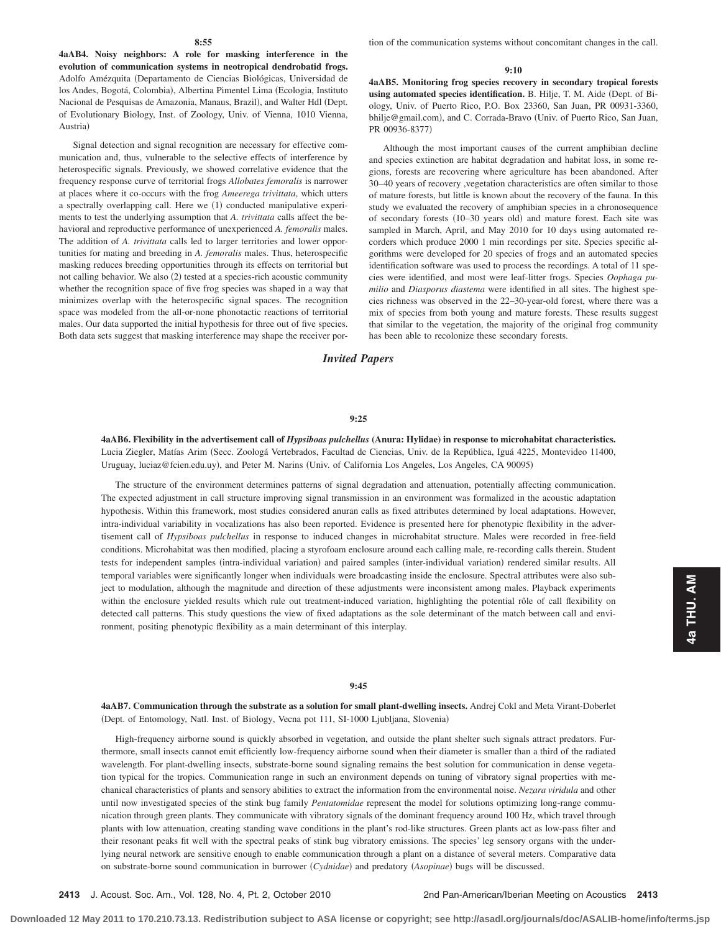**4aAB4. Noisy neighbors: A role for masking interference in the evolution of communication systems in neotropical dendrobatid frogs.** Adolfo Amézquita Departamento de Ciencias Biológicas, Universidad de los Andes, Bogotá, Colombia), Albertina Pimentel Lima (Ecologia, Instituto Nacional de Pesquisas de Amazonia, Manaus, Brazil), and Walter Hdl (Dept. of Evolutionary Biology, Inst. of Zoology, Univ. of Vienna, 1010 Vienna, Austria)

Signal detection and signal recognition are necessary for effective communication and, thus, vulnerable to the selective effects of interference by heterospecific signals. Previously, we showed correlative evidence that the frequency response curve of territorial frogs *Allobates femoralis* is narrower at places where it co-occurs with the frog *Ameerega trivittata*, which utters a spectrally overlapping call. Here we (1) conducted manipulative experiments to test the underlying assumption that *A. trivittata* calls affect the behavioral and reproductive performance of unexperienced *A. femoralis* males. The addition of *A. trivittata* calls led to larger territories and lower opportunities for mating and breeding in *A. femoralis* males. Thus, heterospecific masking reduces breeding opportunities through its effects on territorial but not calling behavior. We also (2) tested at a species-rich acoustic community whether the recognition space of five frog species was shaped in a way that minimizes overlap with the heterospecific signal spaces. The recognition space was modeled from the all-or-none phonotactic reactions of territorial males. Our data supported the initial hypothesis for three out of five species. Both data sets suggest that masking interference may shape the receiver por**4aAB5. Monitoring frog species recovery in secondary tropical forests** using automated species identification. B. Hilje, T. M. Aide (Dept. of Biology, Univ. of Puerto Rico, P.O. Box 23360, San Juan, PR 00931-3360, bhilje@gmail.com), and C. Corrada-Bravo (Univ. of Puerto Rico, San Juan, PR 00936-8377)

Although the most important causes of the current amphibian decline and species extinction are habitat degradation and habitat loss, in some regions, forests are recovering where agriculture has been abandoned. After 30–40 years of recovery ,vegetation characteristics are often similar to those of mature forests, but little is known about the recovery of the fauna. In this study we evaluated the recovery of amphibian species in a chronosequence of secondary forests (10-30 years old) and mature forest. Each site was sampled in March, April, and May 2010 for 10 days using automated recorders which produce 2000 1 min recordings per site. Species specific algorithms were developed for 20 species of frogs and an automated species identification software was used to process the recordings. A total of 11 species were identified, and most were leaf-litter frogs. Species *Oophaga pumilio* and *Diasporus diastema* were identified in all sites. The highest species richness was observed in the 22–30-year-old forest, where there was a mix of species from both young and mature forests. These results suggest that similar to the vegetation, the majority of the original frog community has been able to recolonize these secondary forests.

# *Invited Papers*

## **9:25**

**4aAB6. Flexibility in the advertisement call of** *Hypsiboas pulchellus* **(Anura: Hylidae) in response to microhabitat characteristics.** Lucia Ziegler, Matías Arim Secc. Zoologá Vertebrados, Facultad de Ciencias, Univ. de la República, Iguá 4225, Montevideo 11400, Uruguay, luciaz@fcien.edu.uy), and Peter M. Narins (Univ. of California Los Angeles, Los Angeles, CA 90095)

The structure of the environment determines patterns of signal degradation and attenuation, potentially affecting communication. The expected adjustment in call structure improving signal transmission in an environment was formalized in the acoustic adaptation hypothesis. Within this framework, most studies considered anuran calls as fixed attributes determined by local adaptations. However, intra-individual variability in vocalizations has also been reported. Evidence is presented here for phenotypic flexibility in the advertisement call of *Hypsiboas pulchellus* in response to induced changes in microhabitat structure. Males were recorded in free-field conditions. Microhabitat was then modified, placing a styrofoam enclosure around each calling male, re-recording calls therein. Student tests for independent samples (intra-individual variation) and paired samples (inter-individual variation) rendered similar results. All temporal variables were significantly longer when individuals were broadcasting inside the enclosure. Spectral attributes were also subject to modulation, although the magnitude and direction of these adjustments were inconsistent among males. Playback experiments within the enclosure yielded results which rule out treatment-induced variation, highlighting the potential rôle of call flexibility on detected call patterns. This study questions the view of fixed adaptations as the sole determinant of the match between call and environment, positing phenotypic flexibility as a main determinant of this interplay.

## **9:45**

**4aAB7. Communication through the substrate as a solution for small plant-dwelling insects.** Andrej Cokl and Meta Virant-Doberlet (Dept. of Entomology, Natl. Inst. of Biology, Vecna pot 111, SI-1000 Ljubljana, Slovenia)

High-frequency airborne sound is quickly absorbed in vegetation, and outside the plant shelter such signals attract predators. Furthermore, small insects cannot emit efficiently low-frequency airborne sound when their diameter is smaller than a third of the radiated wavelength. For plant-dwelling insects, substrate-borne sound signaling remains the best solution for communication in dense vegetation typical for the tropics. Communication range in such an environment depends on tuning of vibratory signal properties with mechanical characteristics of plants and sensory abilities to extract the information from the environmental noise. *Nezara viridula* and other until now investigated species of the stink bug family *Pentatomidae* represent the model for solutions optimizing long-range communication through green plants. They communicate with vibratory signals of the dominant frequency around 100 Hz, which travel through plants with low attenuation, creating standing wave conditions in the plant's rod-like structures. Green plants act as low-pass filter and their resonant peaks fit well with the spectral peaks of stink bug vibratory emissions. The species' leg sensory organs with the underlying neural network are sensitive enough to enable communication through a plant on a distance of several meters. Comparative data on substrate-borne sound communication in burrower *(Cydnidae)* and predatory *(Asopinae)* bugs will be discussed.

**2413** J. Acoust. Soc. Am., Vol. 128, No. 4, Pt. 2, October 2010 2nd Pan-American/Iberian Meeting on Acoustics **2413**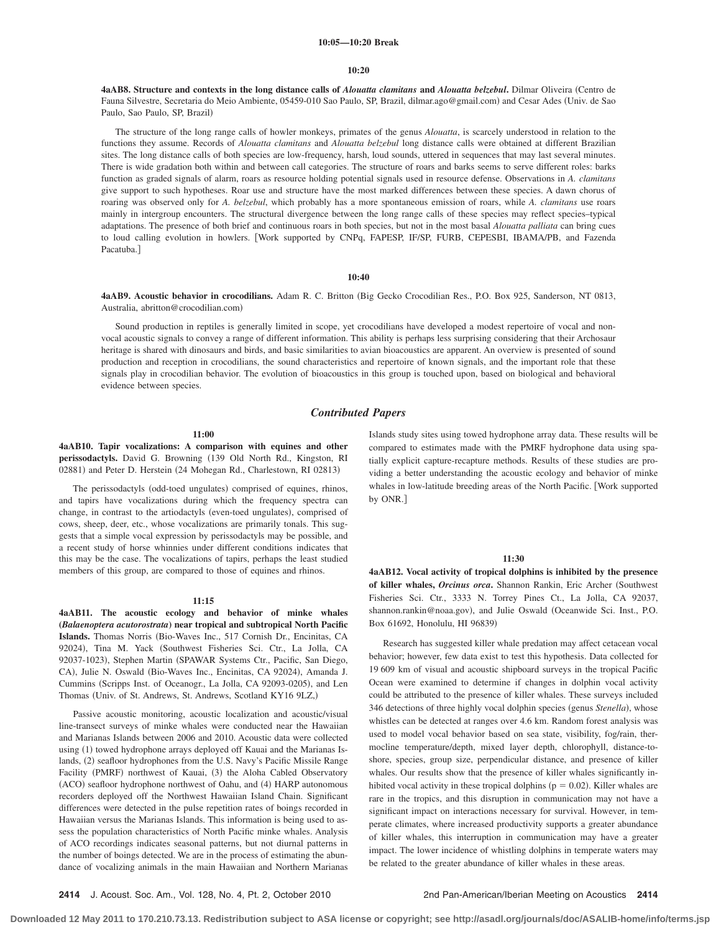#### **10:05—10:20 Break**

## **10:20**

**4aAB8. Structure and contexts in the long distance calls of** *Alouatta clamitans* **and** *Alouatta belzebul***.** Dilmar Oliveira Centro de Fauna Silvestre, Secretaria do Meio Ambiente, 05459-010 Sao Paulo, SP, Brazil, dilmar.ago@gmail.com) and Cesar Ades (Univ. de Sao Paulo, Sao Paulo, SP, Brazil-

The structure of the long range calls of howler monkeys, primates of the genus *Alouatta*, is scarcely understood in relation to the functions they assume. Records of *Alouatta clamitans* and *Alouatta belzebul* long distance calls were obtained at different Brazilian sites. The long distance calls of both species are low-frequency, harsh, loud sounds, uttered in sequences that may last several minutes. There is wide gradation both within and between call categories. The structure of roars and barks seems to serve different roles: barks function as graded signals of alarm, roars as resource holding potential signals used in resource defense. Observations in *A. clamitans* give support to such hypotheses. Roar use and structure have the most marked differences between these species. A dawn chorus of roaring was observed only for *A. belzebul*, which probably has a more spontaneous emission of roars, while *A. clamitans* use roars mainly in intergroup encounters. The structural divergence between the long range calls of these species may reflect species–typical adaptations. The presence of both brief and continuous roars in both species, but not in the most basal *Alouatta palliata* can bring cues to loud calling evolution in howlers. Work supported by CNPq, FAPESP, IF/SP, FURB, CEPESBI, IBAMA/PB, and Fazenda Pacatuba.

## **10:40**

4aAB9. Acoustic behavior in crocodilians. Adam R. C. Britton (Big Gecko Crocodilian Res., P.O. Box 925, Sanderson, NT 0813, Australia, abritton@crocodilian.com-

Sound production in reptiles is generally limited in scope, yet crocodilians have developed a modest repertoire of vocal and nonvocal acoustic signals to convey a range of different information. This ability is perhaps less surprising considering that their Archosaur heritage is shared with dinosaurs and birds, and basic similarities to avian bioacoustics are apparent. An overview is presented of sound production and reception in crocodilians, the sound characteristics and repertoire of known signals, and the important role that these signals play in crocodilian behavior. The evolution of bioacoustics in this group is touched upon, based on biological and behavioral evidence between species.

# *Contributed Papers*

## **11:00**

**4aAB10. Tapir vocalizations: A comparison with equines and other** perissodactyls. David G. Browning (139 Old North Rd., Kingston, RI 02881) and Peter D. Herstein (24 Mohegan Rd., Charlestown, RI 02813)

The perissodactyls (odd-toed ungulates) comprised of equines, rhinos, and tapirs have vocalizations during which the frequency spectra can change, in contrast to the artiodactyls (even-toed ungulates), comprised of cows, sheep, deer, etc., whose vocalizations are primarily tonals. This suggests that a simple vocal expression by perissodactyls may be possible, and a recent study of horse whinnies under different conditions indicates that this may be the case. The vocalizations of tapirs, perhaps the least studied members of this group, are compared to those of equines and rhinos.

#### **11:15**

**4aAB11. The acoustic ecology and behavior of minke whales (***Balaenoptera acutorostrata***) near tropical and subtropical North Pacific** Islands. Thomas Norris (Bio-Waves Inc., 517 Cornish Dr., Encinitas, CA 92024), Tina M. Yack (Southwest Fisheries Sci. Ctr., La Jolla, CA 92037-1023), Stephen Martin (SPAWAR Systems Ctr., Pacific, San Diego, CA), Julie N. Oswald (Bio-Waves Inc., Encinitas, CA 92024), Amanda J. Cummins (Scripps Inst. of Oceanogr., La Jolla, CA 92093-0205), and Len Thomas (Univ. of St. Andrews, St. Andrews, Scotland KY16 9LZ,)

Passive acoustic monitoring, acoustic localization and acoustic/visual line-transect surveys of minke whales were conducted near the Hawaiian and Marianas Islands between 2006 and 2010. Acoustic data were collected using (1) towed hydrophone arrays deployed off Kauai and the Marianas Islands, (2) seafloor hydrophones from the U.S. Navy's Pacific Missile Range Facility (PMRF) northwest of Kauai, (3) the Aloha Cabled Observatory (ACO) seafloor hydrophone northwest of Oahu, and (4) HARP autonomous recorders deployed off the Northwest Hawaiian Island Chain. Significant differences were detected in the pulse repetition rates of boings recorded in Hawaiian versus the Marianas Islands. This information is being used to assess the population characteristics of North Pacific minke whales. Analysis of ACO recordings indicates seasonal patterns, but not diurnal patterns in the number of boings detected. We are in the process of estimating the abundance of vocalizing animals in the main Hawaiian and Northern Marianas

Islands study sites using towed hydrophone array data. These results will be compared to estimates made with the PMRF hydrophone data using spatially explicit capture-recapture methods. Results of these studies are providing a better understanding the acoustic ecology and behavior of minke whales in low-latitude breeding areas of the North Pacific. [Work supported by ONR.

## **11:30**

**4aAB12. Vocal activity of tropical dolphins is inhibited by the presence** of killer whales, *Orcinus orca*. Shannon Rankin, Eric Archer (Southwest Fisheries Sci. Ctr., 3333 N. Torrey Pines Ct., La Jolla, CA 92037, shannon.rankin@noaa.gov), and Julie Oswald (Oceanwide Sci. Inst., P.O. Box 61692, Honolulu, HI 96839)

Research has suggested killer whale predation may affect cetacean vocal behavior; however, few data exist to test this hypothesis. Data collected for 19 609 km of visual and acoustic shipboard surveys in the tropical Pacific Ocean were examined to determine if changes in dolphin vocal activity could be attributed to the presence of killer whales. These surveys included 346 detections of three highly vocal dolphin species (genus *Stenella*), whose whistles can be detected at ranges over 4.6 km. Random forest analysis was used to model vocal behavior based on sea state, visibility, fog/rain, thermocline temperature/depth, mixed layer depth, chlorophyll, distance-toshore, species, group size, perpendicular distance, and presence of killer whales. Our results show that the presence of killer whales significantly inhibited vocal activity in these tropical dolphins  $(p = 0.02)$ . Killer whales are rare in the tropics, and this disruption in communication may not have a significant impact on interactions necessary for survival. However, in temperate climates, where increased productivity supports a greater abundance of killer whales, this interruption in communication may have a greater impact. The lower incidence of whistling dolphins in temperate waters may be related to the greater abundance of killer whales in these areas.

**2414** J. Acoust. Soc. Am., Vol. 128, No. 4, Pt. 2, October 2010 2nd Pan-American/Iberian Meeting on Acoustics **2414**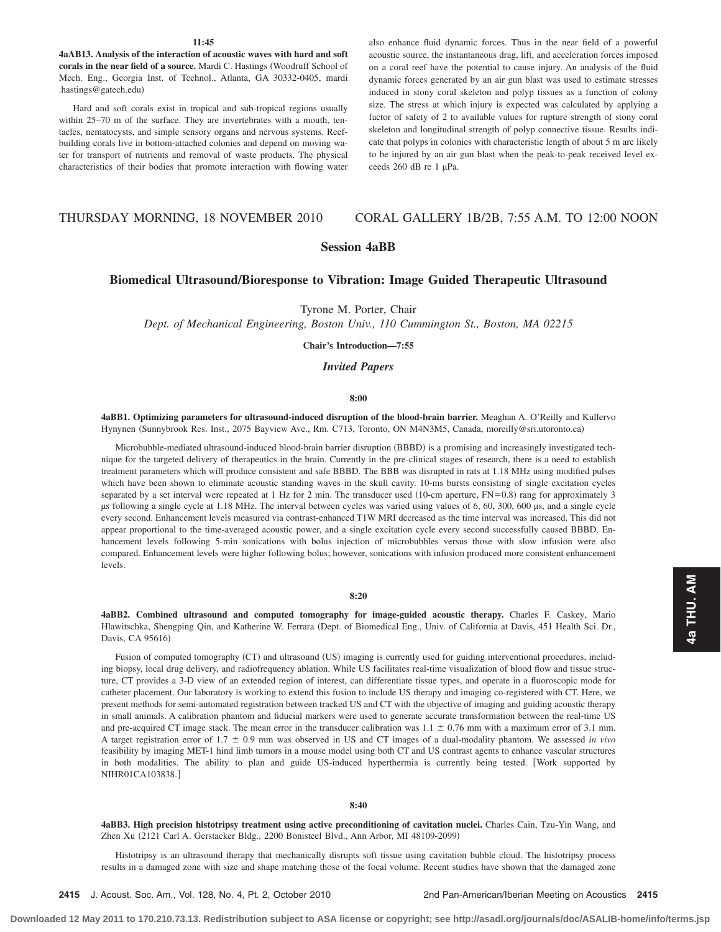## **11:45**

**4aAB13. Analysis of the interaction of acoustic waves with hard and soft corals in the near field of a source.** Mardi C. Hastings Woodruff School of Mech. Eng., Georgia Inst. of Technol., Atlanta, GA 30332-0405, mardi .hastings@gatech.edu)

Hard and soft corals exist in tropical and sub-tropical regions usually within 25–70 m of the surface. They are invertebrates with a mouth, tentacles, nematocysts, and simple sensory organs and nervous systems. Reefbuilding corals live in bottom-attached colonies and depend on moving water for transport of nutrients and removal of waste products. The physical characteristics of their bodies that promote interaction with flowing water also enhance fluid dynamic forces. Thus in the near field of a powerful acoustic source, the instantaneous drag, lift, and acceleration forces imposed on a coral reef have the potential to cause injury. An analysis of the fluid dynamic forces generated by an air gun blast was used to estimate stresses induced in stony coral skeleton and polyp tissues as a function of colony size. The stress at which injury is expected was calculated by applying a factor of safety of 2 to available values for rupture strength of stony coral skeleton and longitudinal strength of polyp connective tissue. Results indicate that polyps in colonies with characteristic length of about 5 m are likely to be injured by an air gun blast when the peak-to-peak received level exceeds 260 dB re 1 µPa.

THURSDAY MORNING, 18 NOVEMBER 2010 CORAL GALLERY 1B/2B, 7:55 A.M. TO 12:00 NOON

# **Session 4aBB**

# **Biomedical Ultrasound/Bioresponse to Vibration: Image Guided Therapeutic Ultrasound**

Tyrone M. Porter, Chair *Dept. of Mechanical Engineering, Boston Univ., 110 Cummington St., Boston, MA 02215*

**Chair's Introduction—7:55**

# *Invited Papers*

### **8:00**

**4aBB1. Optimizing parameters for ultrasound-induced disruption of the blood-brain barrier.** Meaghan A. O'Reilly and Kullervo Hynynen (Sunnybrook Res. Inst., 2075 Bayview Ave., Rm. C713, Toronto, ON M4N3M5, Canada, moreilly@sri.utoronto.ca)

Microbubble-mediated ultrasound-induced blood-brain barrier disruption (BBBD) is a promising and increasingly investigated technique for the targeted delivery of therapeutics in the brain. Currently in the pre-clinical stages of research, there is a need to establish treatment parameters which will produce consistent and safe BBBD. The BBB was disrupted in rats at 1.18 MHz using modified pulses which have been shown to eliminate acoustic standing waves in the skull cavity. 10-ms bursts consisting of single excitation cycles separated by a set interval were repeated at 1 Hz for 2 min. The transducer used (10-cm aperture, FN=0.8) rang for approximately 3 µs following a single cycle at 1.18 MHz. The interval between cycles was varied using values of 6, 60, 300, 600 µs, and a single cycle every second. Enhancement levels measured via contrast-enhanced T1W MRI decreased as the time interval was increased. This did not appear proportional to the time-averaged acoustic power, and a single excitation cycle every second successfully caused BBBD. Enhancement levels following 5-min sonications with bolus injection of microbubbles versus those with slow infusion were also compared. Enhancement levels were higher following bolus; however, sonications with infusion produced more consistent enhancement levels.

# **8:20**

**4aBB2. Combined ultrasound and computed tomography for image-guided acoustic therapy.** Charles F. Caskey, Mario Hlawitschka, Shengping Qin, and Katherine W. Ferrara (Dept. of Biomedical Eng., Univ. of California at Davis, 451 Health Sci. Dr., Davis, CA 95616)

Fusion of computed tomography (CT) and ultrasound (US) imaging is currently used for guiding interventional procedures, including biopsy, local drug delivery, and radiofrequency ablation. While US facilitates real-time visualization of blood flow and tissue structure, CT provides a 3-D view of an extended region of interest, can differentiate tissue types, and operate in a fluoroscopic mode for catheter placement. Our laboratory is working to extend this fusion to include US therapy and imaging co-registered with CT. Here, we present methods for semi-automated registration between tracked US and CT with the objective of imaging and guiding acoustic therapy in small animals. A calibration phantom and fiducial markers were used to generate accurate transformation between the real-time US and pre-acquired CT image stack. The mean error in the transducer calibration was  $1.1 \pm 0.76$  mm with a maximum error of 3.1 mm. A target registration error of  $1.7 \pm 0.9$  mm was observed in US and CT images of a dual-modality phantom. We assessed *in vivo* feasibility by imaging MET-1 hind limb tumors in a mouse model using both CT and US contrast agents to enhance vascular structures in both modalities. The ability to plan and guide US-induced hyperthermia is currently being tested. Work supported by NIHR01CA103838.

## **8:40**

**4aBB3. High precision histotripsy treatment using active preconditioning of cavitation nuclei.** Charles Cain, Tzu-Yin Wang, and Zhen Xu (2121 Carl A. Gerstacker Bldg., 2200 Bonisteel Blvd., Ann Arbor, MI 48109-2099)

Histotripsy is an ultrasound therapy that mechanically disrupts soft tissue using cavitation bubble cloud. The histotripsy process results in a damaged zone with size and shape matching those of the focal volume. Recent studies have shown that the damaged zone **4a THU. AM**

4a THU. AM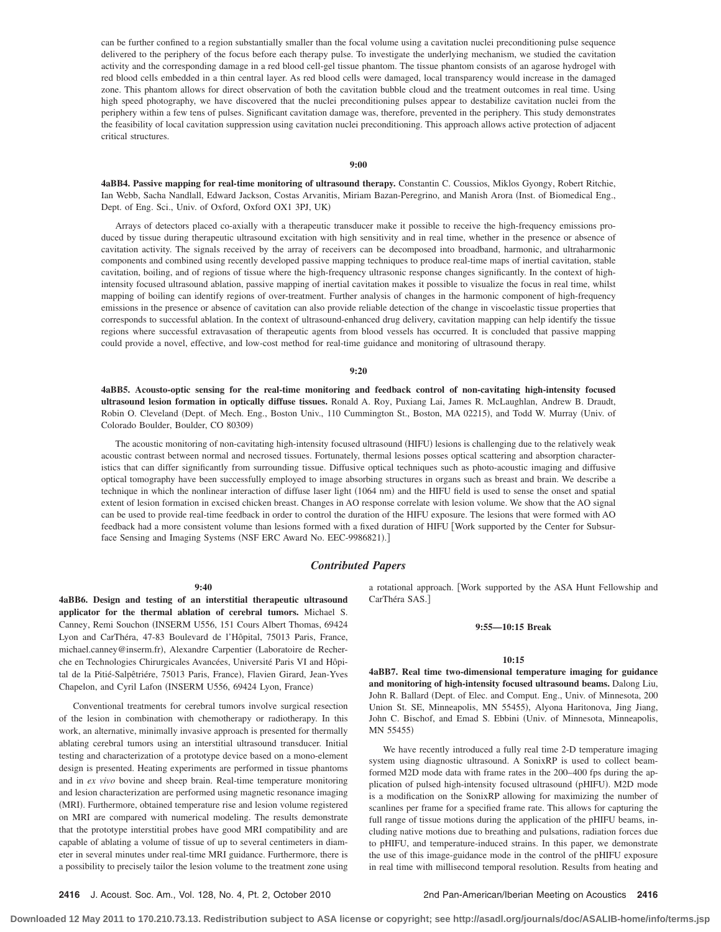can be further confined to a region substantially smaller than the focal volume using a cavitation nuclei preconditioning pulse sequence delivered to the periphery of the focus before each therapy pulse. To investigate the underlying mechanism, we studied the cavitation activity and the corresponding damage in a red blood cell-gel tissue phantom. The tissue phantom consists of an agarose hydrogel with red blood cells embedded in a thin central layer. As red blood cells were damaged, local transparency would increase in the damaged zone. This phantom allows for direct observation of both the cavitation bubble cloud and the treatment outcomes in real time. Using high speed photography, we have discovered that the nuclei preconditioning pulses appear to destabilize cavitation nuclei from the periphery within a few tens of pulses. Significant cavitation damage was, therefore, prevented in the periphery. This study demonstrates the feasibility of local cavitation suppression using cavitation nuclei preconditioning. This approach allows active protection of adjacent critical structures.

## **9:00**

**4aBB4. Passive mapping for real-time monitoring of ultrasound therapy.** Constantin C. Coussios, Miklos Gyongy, Robert Ritchie, Ian Webb, Sacha Nandlall, Edward Jackson, Costas Arvanitis, Miriam Bazan-Peregrino, and Manish Arora (Inst. of Biomedical Eng., Dept. of Eng. Sci., Univ. of Oxford, Oxford OX1 3PJ, UK-

Arrays of detectors placed co-axially with a therapeutic transducer make it possible to receive the high-frequency emissions produced by tissue during therapeutic ultrasound excitation with high sensitivity and in real time, whether in the presence or absence of cavitation activity. The signals received by the array of receivers can be decomposed into broadband, harmonic, and ultraharmonic components and combined using recently developed passive mapping techniques to produce real-time maps of inertial cavitation, stable cavitation, boiling, and of regions of tissue where the high-frequency ultrasonic response changes significantly. In the context of highintensity focused ultrasound ablation, passive mapping of inertial cavitation makes it possible to visualize the focus in real time, whilst mapping of boiling can identify regions of over-treatment. Further analysis of changes in the harmonic component of high-frequency emissions in the presence or absence of cavitation can also provide reliable detection of the change in viscoelastic tissue properties that corresponds to successful ablation. In the context of ultrasound-enhanced drug delivery, cavitation mapping can help identify the tissue regions where successful extravasation of therapeutic agents from blood vessels has occurred. It is concluded that passive mapping could provide a novel, effective, and low-cost method for real-time guidance and monitoring of ultrasound therapy.

## **9:20**

**4aBB5. Acousto-optic sensing for the real-time monitoring and feedback control of non-cavitating high-intensity focused ultrasound lesion formation in optically diffuse tissues.** Ronald A. Roy, Puxiang Lai, James R. McLaughlan, Andrew B. Draudt, Robin O. Cleveland (Dept. of Mech. Eng., Boston Univ., 110 Cummington St., Boston, MA 02215), and Todd W. Murray (Univ. of Colorado Boulder, Boulder, CO 80309)

The acoustic monitoring of non-cavitating high-intensity focused ultrasound (HIFU) lesions is challenging due to the relatively weak acoustic contrast between normal and necrosed tissues. Fortunately, thermal lesions posses optical scattering and absorption characteristics that can differ significantly from surrounding tissue. Diffusive optical techniques such as photo-acoustic imaging and diffusive optical tomography have been successfully employed to image absorbing structures in organs such as breast and brain. We describe a technique in which the nonlinear interaction of diffuse laser light (1064 nm) and the HIFU field is used to sense the onset and spatial extent of lesion formation in excised chicken breast. Changes in AO response correlate with lesion volume. We show that the AO signal can be used to provide real-time feedback in order to control the duration of the HIFU exposure. The lesions that were formed with AO feedback had a more consistent volume than lesions formed with a fixed duration of HIFU [Work supported by the Center for Subsurface Sensing and Imaging Systems (NSF ERC Award No. EEC-9986821).]

## *Contributed Papers*

**9:40**

**4aBB6. Design and testing of an interstitial therapeutic ultrasound applicator for the thermal ablation of cerebral tumors.** Michael S. Canney, Remi Souchon (INSERM U556, 151 Cours Albert Thomas, 69424 Lyon and CarThéra, 47-83 Boulevard de l'Hôpital, 75013 Paris, France, michael.canney@inserm.fr), Alexandre Carpentier (Laboratoire de Recherche en Technologies Chirurgicales Avancées, Université Paris VI and Hôpital de la Pitié-Salpêtriére, 75013 Paris, France), Flavien Girard, Jean-Yves Chapelon, and Cyril Lafon (INSERM U556, 69424 Lyon, France)

Conventional treatments for cerebral tumors involve surgical resection of the lesion in combination with chemotherapy or radiotherapy. In this work, an alternative, minimally invasive approach is presented for thermally ablating cerebral tumors using an interstitial ultrasound transducer. Initial testing and characterization of a prototype device based on a mono-element design is presented. Heating experiments are performed in tissue phantoms and in *ex vivo* bovine and sheep brain. Real-time temperature monitoring and lesion characterization are performed using magnetic resonance imaging (MRI). Furthermore, obtained temperature rise and lesion volume registered on MRI are compared with numerical modeling. The results demonstrate that the prototype interstitial probes have good MRI compatibility and are capable of ablating a volume of tissue of up to several centimeters in diameter in several minutes under real-time MRI guidance. Furthermore, there is a possibility to precisely tailor the lesion volume to the treatment zone using a rotational approach. Work supported by the ASA Hunt Fellowship and CarThéra SAS.

## **9:55—10:15 Break**

## **10:15**

**4aBB7. Real time two-dimensional temperature imaging for guidance and monitoring of high-intensity focused ultrasound beams.** Dalong Liu, John R. Ballard (Dept. of Elec. and Comput. Eng., Univ. of Minnesota, 200 Union St. SE, Minneapolis, MN 55455), Alyona Haritonova, Jing Jiang, John C. Bischof, and Emad S. Ebbini Univ. of Minnesota, Minneapolis, MN 55455)

We have recently introduced a fully real time 2-D temperature imaging system using diagnostic ultrasound. A SonixRP is used to collect beamformed M2D mode data with frame rates in the 200–400 fps during the application of pulsed high-intensity focused ultrasound (pHIFU). M2D mode is a modification on the SonixRP allowing for maximizing the number of scanlines per frame for a specified frame rate. This allows for capturing the full range of tissue motions during the application of the pHIFU beams, including native motions due to breathing and pulsations, radiation forces due to pHIFU, and temperature-induced strains. In this paper, we demonstrate the use of this image-guidance mode in the control of the pHIFU exposure in real time with millisecond temporal resolution. Results from heating and

**2416** J. Acoust. Soc. Am., Vol. 128, No. 4, Pt. 2, October 2010 2nd Pan-American/Iberian Meeting on Acoustics **2416**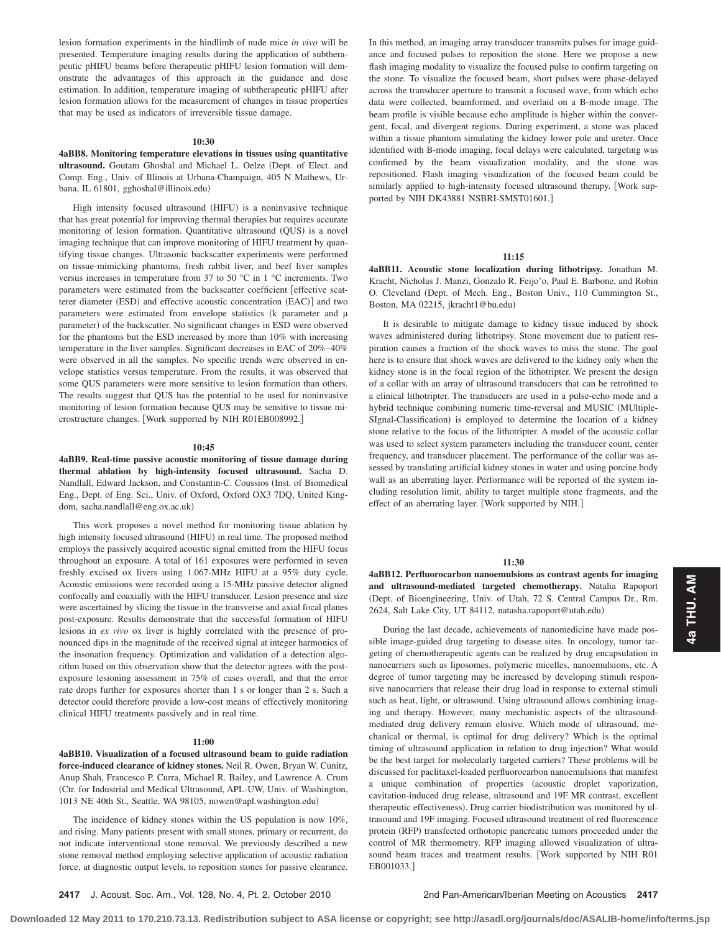lesion formation experiments in the hindlimb of nude mice *in vivo* will be presented. Temperature imaging results during the application of subtherapeutic pHIFU beams before therapeutic pHIFU lesion formation will demonstrate the advantages of this approach in the guidance and dose estimation. In addition, temperature imaging of subtherapeutic pHIFU after lesion formation allows for the measurement of changes in tissue properties that may be used as indicators of irreversible tissue damage.

## **10:30**

**4aBB8. Monitoring temperature elevations in tissues using quantitative** ultrasound. Goutam Ghoshal and Michael L. Oelze (Dept. of Elect. and Comp. Eng., Univ. of Illinois at Urbana-Champaign, 405 N Mathews, Urbana, IL 61801, gghoshal@illinois.edu)

High intensity focused ultrasound (HIFU) is a noninvasive technique that has great potential for improving thermal therapies but requires accurate monitoring of lesion formation. Quantitative ultrasound (QUS) is a novel imaging technique that can improve monitoring of HIFU treatment by quantifying tissue changes. Ultrasonic backscatter experiments were performed on tissue-mimicking phantoms, fresh rabbit liver, and beef liver samples versus increases in temperature from 37 to 50 °C in 1 °C increments. Two parameters were estimated from the backscatter coefficient [effective scatterer diameter (ESD) and effective acoustic concentration (EAC)] and two parameters were estimated from envelope statistics ( $k$  parameter and  $\mu$ parameter) of the backscatter. No significant changes in ESD were observed for the phantoms but the ESD increased by more than 10% with increasing temperature in the liver samples. Significant decreases in EAC of 20%–40% were observed in all the samples. No specific trends were observed in envelope statistics versus temperature. From the results, it was observed that some QUS parameters were more sensitive to lesion formation than others. The results suggest that QUS has the potential to be used for noninvasive monitoring of lesion formation because QUS may be sensitive to tissue microstructure changes. Work supported by NIH R01EB008992.

### **10:45**

**4aBB9. Real-time passive acoustic monitoring of tissue damage during thermal ablation by high-intensity focused ultrasound.** Sacha D. Nandlall, Edward Jackson, and Constantin-C. Coussios (Inst. of Biomedical Eng., Dept. of Eng. Sci., Univ. of Oxford, Oxford OX3 7DQ, United Kingdom, sacha.nandlall@eng.ox.ac.uk-

This work proposes a novel method for monitoring tissue ablation by high intensity focused ultrasound (HIFU) in real time. The proposed method employs the passively acquired acoustic signal emitted from the HIFU focus throughout an exposure. A total of 161 exposures were performed in seven freshly excised ox livers using 1.067-MHz HIFU at a 95% duty cycle. Acoustic emissions were recorded using a 15-MHz passive detector aligned confocally and coaxially with the HIFU transducer. Lesion presence and size were ascertained by slicing the tissue in the transverse and axial focal planes post-exposure. Results demonstrate that the successful formation of HIFU lesions in *ex vivo* ox liver is highly correlated with the presence of pronounced dips in the magnitude of the received signal at integer harmonics of the insonation frequency. Optimization and validation of a detection algorithm based on this observation show that the detector agrees with the postexposure lesioning assessment in 75% of cases overall, and that the error rate drops further for exposures shorter than 1 s or longer than 2 s. Such a detector could therefore provide a low-cost means of effectively monitoring clinical HIFU treatments passively and in real time.

## **11:00**

**4aBB10. Visualization of a focused ultrasound beam to guide radiation force-induced clearance of kidney stones.** Neil R. Owen, Bryan W. Cunitz, Anup Shah, Francesco P. Curra, Michael R. Bailey, and Lawrence A. Crum Ctr. for Industrial and Medical Ultrasound, APL-UW, Univ. of Washington, 1013 NE 40th St., Seattle, WA 98105, nowen@apl.washington.edu-

The incidence of kidney stones within the US population is now 10%, and rising. Many patients present with small stones, primary or recurrent, do not indicate interventional stone removal. We previously described a new stone removal method employing selective application of acoustic radiation force, at diagnostic output levels, to reposition stones for passive clearance.

In this method, an imaging array transducer transmits pulses for image guidance and focused pulses to reposition the stone. Here we propose a new flash imaging modality to visualize the focused pulse to confirm targeting on the stone. To visualize the focused beam, short pulses were phase-delayed across the transducer aperture to transmit a focused wave, from which echo data were collected, beamformed, and overlaid on a B-mode image. The beam profile is visible because echo amplitude is higher within the convergent, focal, and divergent regions. During experiment, a stone was placed within a tissue phantom simulating the kidney lower pole and ureter. Once identified with B-mode imaging, focal delays were calculated, targeting was confirmed by the beam visualization modality, and the stone was repositioned. Flash imaging visualization of the focused beam could be similarly applied to high-intensity focused ultrasound therapy. Work supported by NIH DK43881 NSBRI-SMST01601.

## **11:15**

**4aBB11. Acoustic stone localization during lithotripsy.** Jonathan M. Kracht, Nicholas J. Manzi, Gonzalo R. Feijo'o, Paul E. Barbone, and Robin O. Cleveland Dept. of Mech. Eng., Boston Univ., 110 Cummington St., Boston, MA 02215, jkracht1@bu.edu-

It is desirable to mitigate damage to kidney tissue induced by shock waves administered during lithotripsy. Stone movement due to patient respiration causes a fraction of the shock waves to miss the stone. The goal here is to ensure that shock waves are delivered to the kidney only when the kidney stone is in the focal region of the lithotripter. We present the design of a collar with an array of ultrasound transducers that can be retrofitted to a clinical lithotripter. The transducers are used in a pulse-echo mode and a hybrid technique combining numeric time-reversal and MUSIC (MUltiple-SIgnal-Classification) is employed to determine the location of a kidney stone relative to the focus of the lithotripter. A model of the acoustic collar was used to select system parameters including the transducer count, center frequency, and transducer placement. The performance of the collar was assessed by translating artificial kidney stones in water and using porcine body wall as an aberrating layer. Performance will be reported of the system including resolution limit, ability to target multiple stone fragments, and the effect of an aberrating layer. Work supported by NIH.

## **11:30**

**4aBB12. Perfluorocarbon nanoemulsions as contrast agents for imaging and ultrasound-mediated targeted chemotherapy.** Natalia Rapoport Dept. of Bioengineering, Univ. of Utah, 72 S. Central Campus Dr., Rm. 2624, Salt Lake City, UT 84112, natasha.rapoport@utah.edu-

During the last decade, achievements of nanomedicine have made possible image-guided drug targeting to disease sites. In oncology, tumor targeting of chemotherapeutic agents can be realized by drug encapsulation in nanocarriers such as liposomes, polymeric micelles, nanoemulsions, etc. A degree of tumor targeting may be increased by developing stimuli responsive nanocarriers that release their drug load in response to external stimuli such as heat, light, or ultrasound. Using ultrasound allows combining imaging and therapy. However, many mechanistic aspects of the ultrasoundmediated drug delivery remain elusive. Which mode of ultrasound, mechanical or thermal, is optimal for drug delivery? Which is the optimal timing of ultrasound application in relation to drug injection? What would be the best target for molecularly targeted carriers? These problems will be discussed for paclitaxel-loaded perfluorocarbon nanoemulsions that manifest a unique combination of properties (acoustic droplet vaporization, cavitation-induced drug release, ultrasound and 19F MR contrast, excellent therapeutic effectiveness). Drug carrier biodistribution was monitored by ultrasound and 19F imaging. Focused ultrasound treatment of red fluorescence protein (RFP) transfected orthotopic pancreatic tumors proceeded under the control of MR thermometry. RFP imaging allowed visualization of ultrasound beam traces and treatment results. [Work supported by NIH R01 EB001033.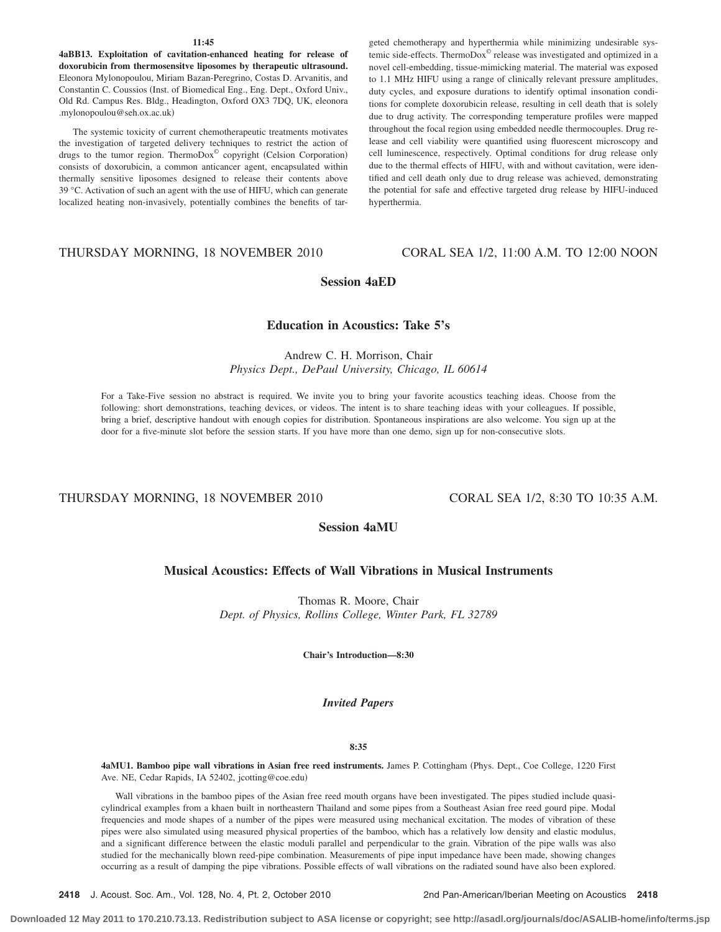### **11:45**

**4aBB13. Exploitation of cavitation-enhanced heating for release of doxorubicin from thermosensitve liposomes by therapeutic ultrasound.** Eleonora Mylonopoulou, Miriam Bazan-Peregrino, Costas D. Arvanitis, and Constantin C. Coussios (Inst. of Biomedical Eng., Eng. Dept., Oxford Univ., Old Rd. Campus Res. Bldg., Headington, Oxford OX3 7DQ, UK, eleonora .mylonopoulou@seh.ox.ac.uk-

The systemic toxicity of current chemotherapeutic treatments motivates the investigation of targeted delivery techniques to restrict the action of drugs to the tumor region. ThermoDox<sup>©</sup> copyright (Celsion Corporation) consists of doxorubicin, a common anticancer agent, encapsulated within thermally sensitive liposomes designed to release their contents above 39 °C. Activation of such an agent with the use of HIFU, which can generate localized heating non-invasively, potentially combines the benefits of tar-

geted chemotherapy and hyperthermia while minimizing undesirable systemic side-effects. ThermoDox<sup>©</sup> release was investigated and optimized in a novel cell-embedding, tissue-mimicking material. The material was exposed to 1.1 MHz HIFU using a range of clinically relevant pressure amplitudes, duty cycles, and exposure durations to identify optimal insonation conditions for complete doxorubicin release, resulting in cell death that is solely due to drug activity. The corresponding temperature profiles were mapped throughout the focal region using embedded needle thermocouples. Drug release and cell viability were quantified using fluorescent microscopy and cell luminescence, respectively. Optimal conditions for drug release only due to the thermal effects of HIFU, with and without cavitation, were identified and cell death only due to drug release was achieved, demonstrating the potential for safe and effective targeted drug release by HIFU-induced hyperthermia.

# THURSDAY MORNING, 18 NOVEMBER 2010 CORAL SEA 1/2, 11:00 A.M. TO 12:00 NOON

# **Session 4aED**

# **Education in Acoustics: Take 5's**

Andrew C. H. Morrison, Chair *Physics Dept., DePaul University, Chicago, IL 60614*

For a Take-Five session no abstract is required. We invite you to bring your favorite acoustics teaching ideas. Choose from the following: short demonstrations, teaching devices, or videos. The intent is to share teaching ideas with your colleagues. If possible, bring a brief, descriptive handout with enough copies for distribution. Spontaneous inspirations are also welcome. You sign up at the door for a five-minute slot before the session starts. If you have more than one demo, sign up for non-consecutive slots.

# THURSDAY MORNING, 18 NOVEMBER 2010 CORAL SEA 1/2, 8:30 TO 10:35 A.M.

# **Session 4aMU**

# **Musical Acoustics: Effects of Wall Vibrations in Musical Instruments**

Thomas R. Moore, Chair *Dept. of Physics, Rollins College, Winter Park, FL 32789*

**Chair's Introduction—8:30**

# *Invited Papers*

## **8:35**

**4aMU1. Bamboo pipe wall vibrations in Asian free reed instruments.** James P. Cottingham Phys. Dept., Coe College, 1220 First Ave. NE, Cedar Rapids, IA 52402, jcotting@coe.edu)

Wall vibrations in the bamboo pipes of the Asian free reed mouth organs have been investigated. The pipes studied include quasicylindrical examples from a khaen built in northeastern Thailand and some pipes from a Southeast Asian free reed gourd pipe. Modal frequencies and mode shapes of a number of the pipes were measured using mechanical excitation. The modes of vibration of these pipes were also simulated using measured physical properties of the bamboo, which has a relatively low density and elastic modulus, and a significant difference between the elastic moduli parallel and perpendicular to the grain. Vibration of the pipe walls was also studied for the mechanically blown reed-pipe combination. Measurements of pipe input impedance have been made, showing changes occurring as a result of damping the pipe vibrations. Possible effects of wall vibrations on the radiated sound have also been explored.

**2418** J. Acoust. Soc. Am., Vol. 128, No. 4, Pt. 2, October 2010 2nd Pan-American/Iberian Meeting on Acoustics **2418**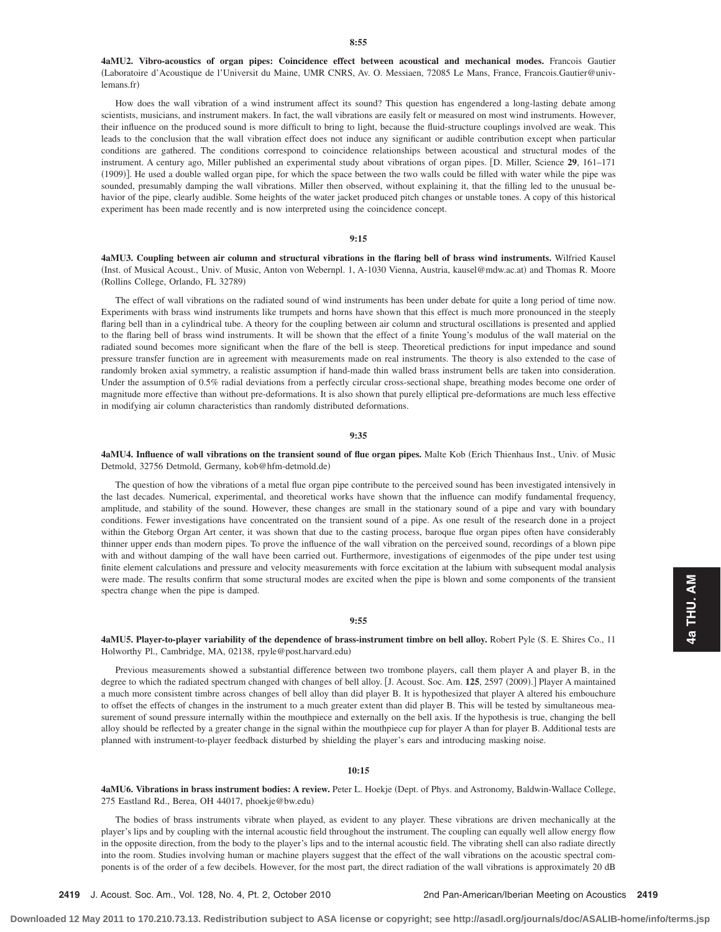**4aMU2. Vibro-acoustics of organ pipes: Coincidence effect between acoustical and mechanical modes.** Francois Gautier Laboratoire d'Acoustique de l'Universit du Maine, UMR CNRS, Av. O. Messiaen, 72085 Le Mans, France, Francois.Gautier@univ $lemans.fr$ )

How does the wall vibration of a wind instrument affect its sound? This question has engendered a long-lasting debate among scientists, musicians, and instrument makers. In fact, the wall vibrations are easily felt or measured on most wind instruments. However, their influence on the produced sound is more difficult to bring to light, because the fluid-structure couplings involved are weak. This leads to the conclusion that the wall vibration effect does not induce any significant or audible contribution except when particular conditions are gathered. The conditions correspond to coincidence relationships between acoustical and structural modes of the instrument. A century ago, Miller published an experimental study about vibrations of organ pipes. D. Miller, Science **29**, 161–171 (1909)]. He used a double walled organ pipe, for which the space between the two walls could be filled with water while the pipe was sounded, presumably damping the wall vibrations. Miller then observed, without explaining it, that the filling led to the unusual behavior of the pipe, clearly audible. Some heights of the water jacket produced pitch changes or unstable tones. A copy of this historical experiment has been made recently and is now interpreted using the coincidence concept.

## **9:15**

**4aMU3. Coupling between air column and structural vibrations in the flaring bell of brass wind instruments.** Wilfried Kausel (Inst. of Musical Acoust., Univ. of Music, Anton von Webernpl. 1, A-1030 Vienna, Austria, kausel@mdw.ac.at) and Thomas R. Moore (Rollins College, Orlando, FL 32789)

The effect of wall vibrations on the radiated sound of wind instruments has been under debate for quite a long period of time now. Experiments with brass wind instruments like trumpets and horns have shown that this effect is much more pronounced in the steeply flaring bell than in a cylindrical tube. A theory for the coupling between air column and structural oscillations is presented and applied to the flaring bell of brass wind instruments. It will be shown that the effect of a finite Young's modulus of the wall material on the radiated sound becomes more significant when the flare of the bell is steep. Theoretical predictions for input impedance and sound pressure transfer function are in agreement with measurements made on real instruments. The theory is also extended to the case of randomly broken axial symmetry, a realistic assumption if hand-made thin walled brass instrument bells are taken into consideration. Under the assumption of 0.5% radial deviations from a perfectly circular cross-sectional shape, breathing modes become one order of magnitude more effective than without pre-deformations. It is also shown that purely elliptical pre-deformations are much less effective in modifying air column characteristics than randomly distributed deformations.

## **9:35**

**4aMU4. Influence of wall vibrations on the transient sound of flue organ pipes.** Malte Kob Erich Thienhaus Inst., Univ. of Music Detmold, 32756 Detmold, Germany, kob@hfm-detmold.de)

The question of how the vibrations of a metal flue organ pipe contribute to the perceived sound has been investigated intensively in the last decades. Numerical, experimental, and theoretical works have shown that the influence can modify fundamental frequency, amplitude, and stability of the sound. However, these changes are small in the stationary sound of a pipe and vary with boundary conditions. Fewer investigations have concentrated on the transient sound of a pipe. As one result of the research done in a project within the Gteborg Organ Art center, it was shown that due to the casting process, baroque flue organ pipes often have considerably thinner upper ends than modern pipes. To prove the influence of the wall vibration on the perceived sound, recordings of a blown pipe with and without damping of the wall have been carried out. Furthermore, investigations of eigenmodes of the pipe under test using finite element calculations and pressure and velocity measurements with force excitation at the labium with subsequent modal analysis were made. The results confirm that some structural modes are excited when the pipe is blown and some components of the transient spectra change when the pipe is damped.

## **9:55**

4aMU5. Player-to-player variability of the dependence of brass-instrument timbre on bell alloy. Robert Pyle (S. E. Shires Co., 11 Holworthy Pl., Cambridge, MA, 02138, rpyle@post.harvard.edu)

Previous measurements showed a substantial difference between two trombone players, call them player A and player B, in the degree to which the radiated spectrum changed with changes of bell alloy. [J. Acoust. Soc. Am. 125, 2597 (2009).] Player A maintained a much more consistent timbre across changes of bell alloy than did player B. It is hypothesized that player A altered his embouchure to offset the effects of changes in the instrument to a much greater extent than did player B. This will be tested by simultaneous measurement of sound pressure internally within the mouthpiece and externally on the bell axis. If the hypothesis is true, changing the bell alloy should be reflected by a greater change in the signal within the mouthpiece cup for player A than for player B. Additional tests are planned with instrument-to-player feedback disturbed by shielding the player's ears and introducing masking noise.

## **10:15**

**4aMU6. Vibrations in brass instrument bodies: A review.** Peter L. Hoekje Dept. of Phys. and Astronomy, Baldwin-Wallace College, 275 Eastland Rd., Berea, OH 44017, phoekje@bw.edu)

The bodies of brass instruments vibrate when played, as evident to any player. These vibrations are driven mechanically at the player's lips and by coupling with the internal acoustic field throughout the instrument. The coupling can equally well allow energy flow in the opposite direction, from the body to the player's lips and to the internal acoustic field. The vibrating shell can also radiate directly into the room. Studies involving human or machine players suggest that the effect of the wall vibrations on the acoustic spectral components is of the order of a few decibels. However, for the most part, the direct radiation of the wall vibrations is approximately 20 dB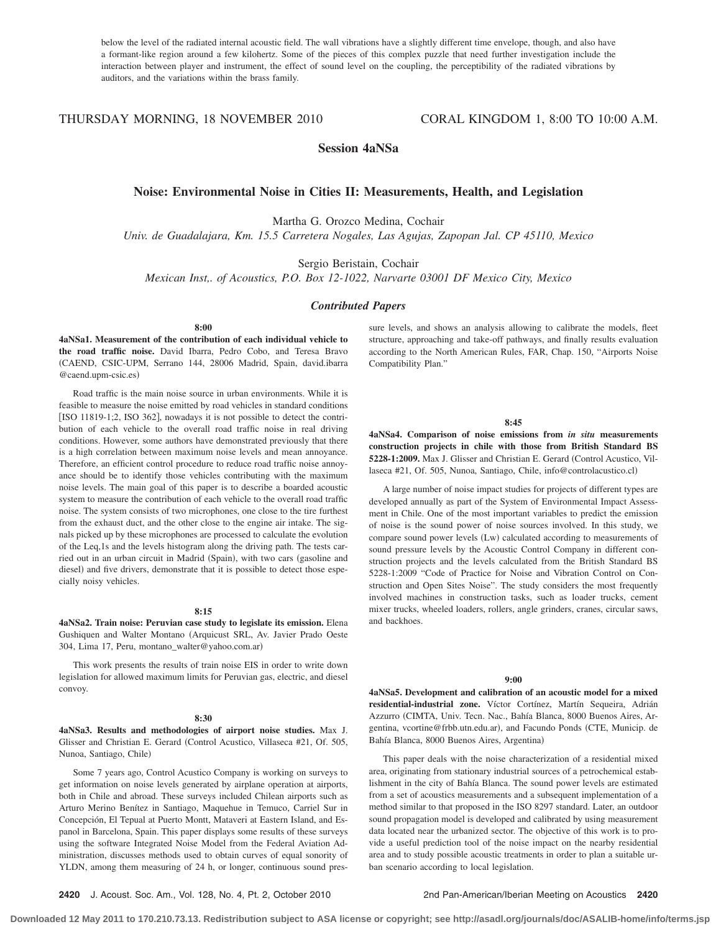below the level of the radiated internal acoustic field. The wall vibrations have a slightly different time envelope, though, and also have a formant-like region around a few kilohertz. Some of the pieces of this complex puzzle that need further investigation include the interaction between player and instrument, the effect of sound level on the coupling, the perceptibility of the radiated vibrations by auditors, and the variations within the brass family.

THURSDAY MORNING, 18 NOVEMBER 2010 CORAL KINGDOM 1, 8:00 TO 10:00 A.M.

**Session 4aNSa**

## **Noise: Environmental Noise in Cities II: Measurements, Health, and Legislation**

Martha G. Orozco Medina, Cochair

*Univ. de Guadalajara, Km. 15.5 Carretera Nogales, Las Agujas, Zapopan Jal. CP 45110, Mexico*

Sergio Beristain, Cochair

*Mexican Inst,. of Acoustics, P.O. Box 12-1022, Narvarte 03001 DF Mexico City, Mexico*

# *Contributed Papers*

**8:00**

**4aNSa1. Measurement of the contribution of each individual vehicle to the road traffic noise.** David Ibarra, Pedro Cobo, and Teresa Bravo CAEND, CSIC-UPM, Serrano 144, 28006 Madrid, Spain, david.ibarra @caend.upm-csic.es)

Road traffic is the main noise source in urban environments. While it is feasible to measure the noise emitted by road vehicles in standard conditions [ISO 11819-1;2, ISO 362], nowadays it is not possible to detect the contribution of each vehicle to the overall road traffic noise in real driving conditions. However, some authors have demonstrated previously that there is a high correlation between maximum noise levels and mean annoyance. Therefore, an efficient control procedure to reduce road traffic noise annoyance should be to identify those vehicles contributing with the maximum noise levels. The main goal of this paper is to describe a boarded acoustic system to measure the contribution of each vehicle to the overall road traffic noise. The system consists of two microphones, one close to the tire furthest from the exhaust duct, and the other close to the engine air intake. The signals picked up by these microphones are processed to calculate the evolution of the Leq,1s and the levels histogram along the driving path. The tests carried out in an urban circuit in Madrid (Spain), with two cars (gasoline and diesel) and five drivers, demonstrate that it is possible to detect those especially noisy vehicles.

## **8:15**

**4aNSa2. Train noise: Peruvian case study to legislate its emission.** Elena Gushiquen and Walter Montano (Arquicust SRL, Av. Javier Prado Oeste 304, Lima 17, Peru, montano\_walter@yahoo.com.ar-

This work presents the results of train noise EIS in order to write down legislation for allowed maximum limits for Peruvian gas, electric, and diesel convoy.

#### **8:30**

**4aNSa3. Results and methodologies of airport noise studies.** Max J. Glisser and Christian E. Gerard Control Acustico, Villaseca #21, Of. 505, Nunoa, Santiago, Chile-

Some 7 years ago, Control Acustico Company is working on surveys to get information on noise levels generated by airplane operation at airports, both in Chile and abroad. These surveys included Chilean airports such as Arturo Merino Benítez in Santiago, Maquehue in Temuco, Carriel Sur in Concepción, El Tepual at Puerto Montt, Mataveri at Eastern Island, and Espanol in Barcelona, Spain. This paper displays some results of these surveys using the software Integrated Noise Model from the Federal Aviation Administration, discusses methods used to obtain curves of equal sonority of YLDN, among them measuring of 24 h, or longer, continuous sound pressure levels, and shows an analysis allowing to calibrate the models, fleet structure, approaching and take-off pathways, and finally results evaluation according to the North American Rules, FAR, Chap. 150, "Airports Noise Compatibility Plan."

## **8:45**

**4aNSa4. Comparison of noise emissions from** *in situ* **measurements construction projects in chile with those from British Standard BS 5228-1:2009.** Max J. Glisser and Christian E. Gerard Control Acustico, Villaseca #21, Of. 505, Nunoa, Santiago, Chile, info@controlacustico.cl-

A large number of noise impact studies for projects of different types are developed annually as part of the System of Environmental Impact Assessment in Chile. One of the most important variables to predict the emission of noise is the sound power of noise sources involved. In this study, we compare sound power levels (Lw) calculated according to measurements of sound pressure levels by the Acoustic Control Company in different construction projects and the levels calculated from the British Standard BS 5228-1:2009 "Code of Practice for Noise and Vibration Control on Construction and Open Sites Noise". The study considers the most frequently involved machines in construction tasks, such as loader trucks, cement mixer trucks, wheeled loaders, rollers, angle grinders, cranes, circular saws, and backhoes.

### **9:00**

**4aNSa5. Development and calibration of an acoustic model for a mixed residential-industrial zone.** Víctor Cortínez, Martín Sequeira, Adrián Azzurro CIMTA, Univ. Tecn. Nac., Bahía Blanca, 8000 Buenos Aires, Argentina, vcortine@frbb.utn.edu.ar), and Facundo Ponds (CTE, Municip. de Bahía Blanca, 8000 Buenos Aires, Argentina)

This paper deals with the noise characterization of a residential mixed area, originating from stationary industrial sources of a petrochemical establishment in the city of Bahía Blanca. The sound power levels are estimated from a set of acoustics measurements and a subsequent implementation of a method similar to that proposed in the ISO 8297 standard. Later, an outdoor sound propagation model is developed and calibrated by using measurement data located near the urbanized sector. The objective of this work is to provide a useful prediction tool of the noise impact on the nearby residential area and to study possible acoustic treatments in order to plan a suitable urban scenario according to local legislation.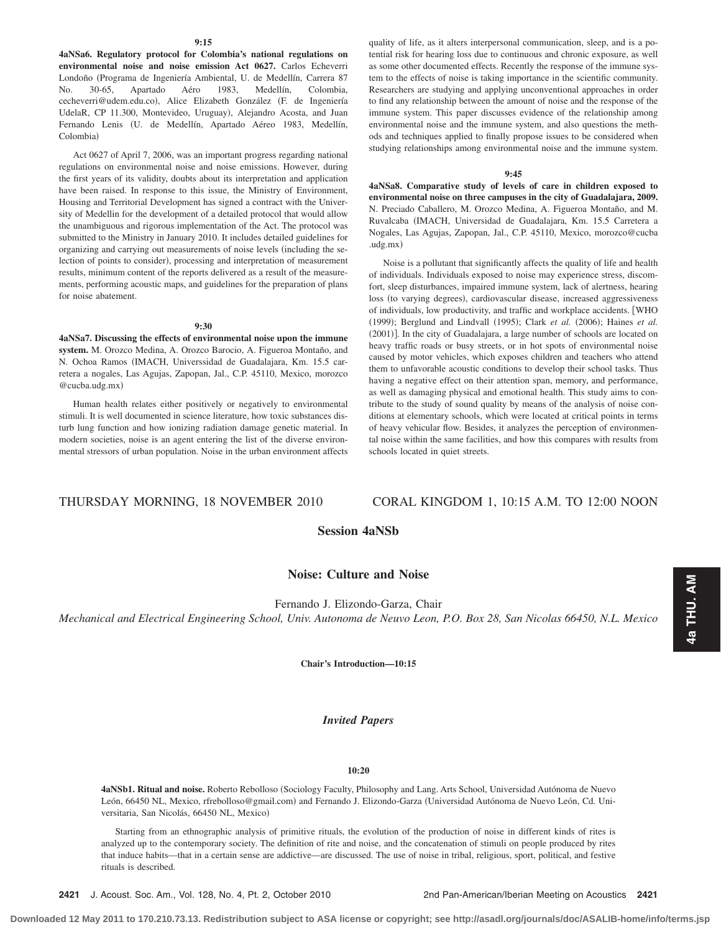**4aNSa6. Regulatory protocol for Colombia's national regulations on environmental noise and noise emission Act 0627.** Carlos Echeverri Londoño (Programa de Ingeniería Ambiental, U. de Medellín, Carrera 87 No. 30-65, Apartado Aéro 1983, Medellín, Colombia, cecheverri@udem.edu.co), Alice Elizabeth González (F. de Ingeniería UdelaR, CP 11.300, Montevideo, Uruguay), Alejandro Acosta, and Juan Fernando Lenis (U. de Medellín, Apartado Aéreo 1983, Medellín, Colombia)

Act 0627 of April 7, 2006, was an important progress regarding national regulations on environmental noise and noise emissions. However, during the first years of its validity, doubts about its interpretation and application have been raised. In response to this issue, the Ministry of Environment, Housing and Territorial Development has signed a contract with the University of Medellin for the development of a detailed protocol that would allow the unambiguous and rigorous implementation of the Act. The protocol was submitted to the Ministry in January 2010. It includes detailed guidelines for organizing and carrying out measurements of noise levels (including the selection of points to consider), processing and interpretation of measurement results, minimum content of the reports delivered as a result of the measurements, performing acoustic maps, and guidelines for the preparation of plans for noise abatement.

## **9:30**

**4aNSa7. Discussing the effects of environmental noise upon the immune system.** M. Orozco Medina, A. Orozco Barocio, A. Figueroa Montaño, and N. Ochoa Ramos (IMACH, Universsidad de Guadalajara, Km. 15.5 carretera a nogales, Las Agujas, Zapopan, Jal., C.P. 45110, Mexico, morozco @cucba.udg.mx-

Human health relates either positively or negatively to environmental stimuli. It is well documented in science literature, how toxic substances disturb lung function and how ionizing radiation damage genetic material. In modern societies, noise is an agent entering the list of the diverse environmental stressors of urban population. Noise in the urban environment affects quality of life, as it alters interpersonal communication, sleep, and is a potential risk for hearing loss due to continuous and chronic exposure, as well as some other documented effects. Recently the response of the immune system to the effects of noise is taking importance in the scientific community. Researchers are studying and applying unconventional approaches in order to find any relationship between the amount of noise and the response of the immune system. This paper discusses evidence of the relationship among environmental noise and the immune system, and also questions the methods and techniques applied to finally propose issues to be considered when studying relationships among environmental noise and the immune system.

### **9:45**

**4aNSa8. Comparative study of levels of care in children exposed to environmental noise on three campuses in the city of Guadalajara, 2009.** N. Preciado Caballero, M. Orozco Medina, A. Figueroa Montaño, and M. Ruvalcaba (IMACH, Universidad de Guadalajara, Km. 15.5 Carretera a Nogales, Las Agujas, Zapopan, Jal., C.P. 45110, Mexico, morozco@cucba .udg.mx)

Noise is a pollutant that significantly affects the quality of life and health of individuals. Individuals exposed to noise may experience stress, discomfort, sleep disturbances, impaired immune system, lack of alertness, hearing loss (to varying degrees), cardiovascular disease, increased aggressiveness of individuals, low productivity, and traffic and workplace accidents. WHO (1999); Berglund and Lindvall (1995); Clark et al. (2006); Haines et al. (2001)]. In the city of Guadalajara, a large number of schools are located on heavy traffic roads or busy streets, or in hot spots of environmental noise caused by motor vehicles, which exposes children and teachers who attend them to unfavorable acoustic conditions to develop their school tasks. Thus having a negative effect on their attention span, memory, and performance, as well as damaging physical and emotional health. This study aims to contribute to the study of sound quality by means of the analysis of noise conditions at elementary schools, which were located at critical points in terms of heavy vehicular flow. Besides, it analyzes the perception of environmental noise within the same facilities, and how this compares with results from schools located in quiet streets.

THURSDAY MORNING, 18 NOVEMBER 2010 CORAL KINGDOM 1, 10:15 A.M. TO 12:00 NOON

# **Session 4aNSb**

# **Noise: Culture and Noise**

Fernando J. Elizondo-Garza, Chair

*Mechanical and Electrical Engineering School, Univ. Autonoma de Neuvo Leon, P.O. Box 28, San Nicolas 66450, N.L. Mexico*

**Chair's Introduction—10:15**

# *Invited Papers*

## **10:20**

4aNSb1. Ritual and noise. Roberto Rebolloso (Sociology Faculty, Philosophy and Lang. Arts School, Universidad Autónoma de Nuevo León, 66450 NL, Mexico, rfrebolloso@gmail.com) and Fernando J. Elizondo-Garza (Universidad Autónoma de Nuevo León, Cd. Universitaria, San Nicolás, 66450 NL, Mexico)

Starting from an ethnographic analysis of primitive rituals, the evolution of the production of noise in different kinds of rites is analyzed up to the contemporary society. The definition of rite and noise, and the concatenation of stimuli on people produced by rites that induce habits—that in a certain sense are addictive—are discussed. The use of noise in tribal, religious, sport, political, and festive rituals is described.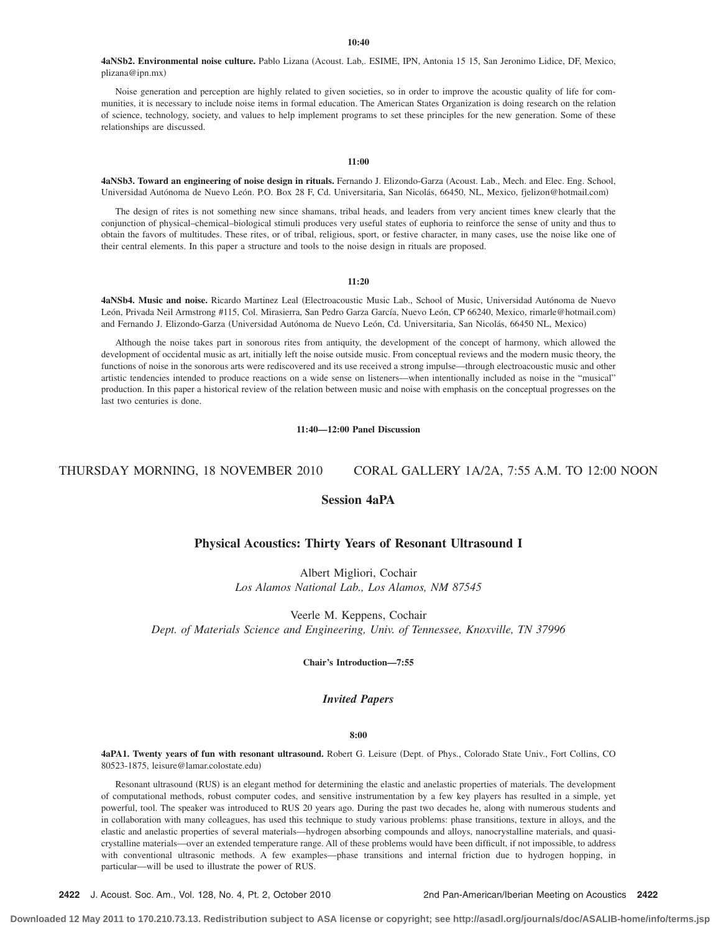4aNSb2. Environmental noise culture. Pablo Lizana (Acoust. Lab,. ESIME, IPN, Antonia 15 15, San Jeronimo Lidice, DF, Mexico, plizana@ipn.mx)

Noise generation and perception are highly related to given societies, so in order to improve the acoustic quality of life for communities, it is necessary to include noise items in formal education. The American States Organization is doing research on the relation of science, technology, society, and values to help implement programs to set these principles for the new generation. Some of these relationships are discussed.

## **11:00**

4aNSb3. Toward an engineering of noise design in rituals. Fernando J. Elizondo-Garza (Acoust. Lab., Mech. and Elec. Eng. School, Universidad Autónoma de Nuevo León. P.O. Box 28 F, Cd. Universitaria, San Nicolás, 66450, NL, Mexico, fjelizon@hotmail.com-

The design of rites is not something new since shamans, tribal heads, and leaders from very ancient times knew clearly that the conjunction of physical–chemical–biological stimuli produces very useful states of euphoria to reinforce the sense of unity and thus to obtain the favors of multitudes. These rites, or of tribal, religious, sport, or festive character, in many cases, use the noise like one of their central elements. In this paper a structure and tools to the noise design in rituals are proposed.

#### **11:20**

**4aNSb4. Music and noise.** Ricardo Martinez Leal Electroacoustic Music Lab., School of Music, Universidad Autónoma de Nuevo León, Privada Neil Armstrong #115, Col. Mirasierra, San Pedro Garza García, Nuevo León, CP 66240, Mexico, rimarle@hotmail.com and Fernando J. Elizondo-Garza Universidad Autónoma de Nuevo León, Cd. Universitaria, San Nicolás, 66450 NL, Mexico-

Although the noise takes part in sonorous rites from antiquity, the development of the concept of harmony, which allowed the development of occidental music as art, initially left the noise outside music. From conceptual reviews and the modern music theory, the functions of noise in the sonorous arts were rediscovered and its use received a strong impulse—through electroacoustic music and other artistic tendencies intended to produce reactions on a wide sense on listeners—when intentionally included as noise in the "musical" production. In this paper a historical review of the relation between music and noise with emphasis on the conceptual progresses on the last two centuries is done.

## **11:40—12:00 Panel Discussion**

# THURSDAY MORNING, 18 NOVEMBER 2010 CORAL GALLERY 1A/2A, 7:55 A.M. TO 12:00 NOON

# **Session 4aPA**

# **Physical Acoustics: Thirty Years of Resonant Ultrasound I**

Albert Migliori, Cochair *Los Alamos National Lab., Los Alamos, NM 87545*

Veerle M. Keppens, Cochair *Dept. of Materials Science and Engineering, Univ. of Tennessee, Knoxville, TN 37996*

**Chair's Introduction—7:55**

# *Invited Papers*

## **8:00**

4aPA1. Twenty years of fun with resonant ultrasound. Robert G. Leisure (Dept. of Phys., Colorado State Univ., Fort Collins, CO 80523-1875, leisure@lamar.colostate.edu-

Resonant ultrasound (RUS) is an elegant method for determining the elastic and anelastic properties of materials. The development of computational methods, robust computer codes, and sensitive instrumentation by a few key players has resulted in a simple, yet powerful, tool. The speaker was introduced to RUS 20 years ago. During the past two decades he, along with numerous students and in collaboration with many colleagues, has used this technique to study various problems: phase transitions, texture in alloys, and the elastic and anelastic properties of several materials—hydrogen absorbing compounds and alloys, nanocrystalline materials, and quasicrystalline materials—over an extended temperature range. All of these problems would have been difficult, if not impossible, to address with conventional ultrasonic methods. A few examples—phase transitions and internal friction due to hydrogen hopping, in particular—will be used to illustrate the power of RUS.

**2422** J. Acoust. Soc. Am., Vol. 128, No. 4, Pt. 2, October 2010 2nd Pan-American/Iberian Meeting on Acoustics **2422**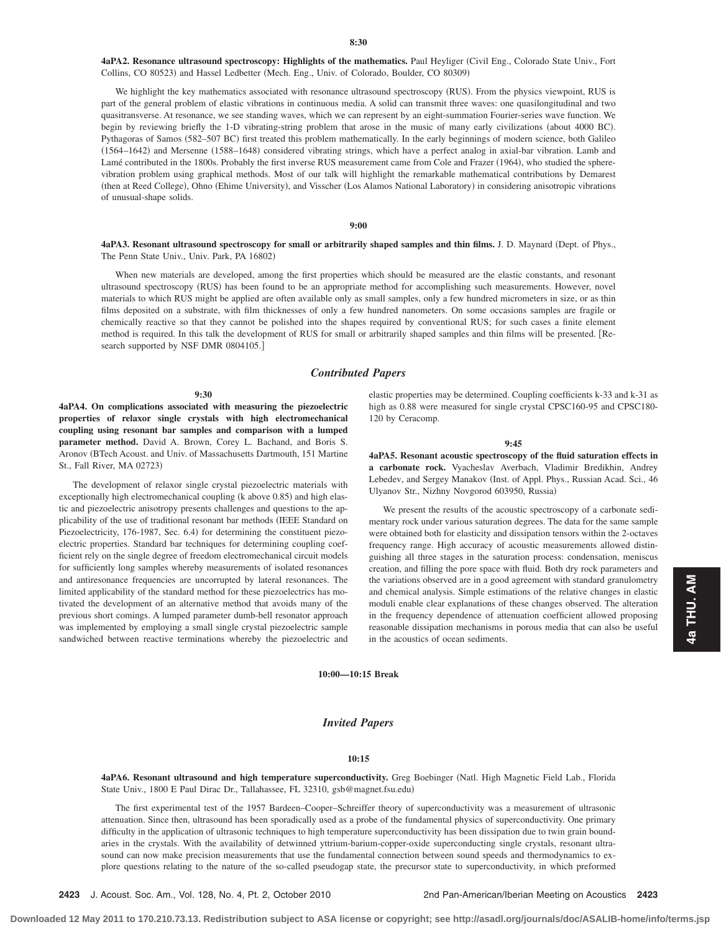**4aPA2. Resonance ultrasound spectroscopy: Highlights of the mathematics.** Paul Heyliger Civil Eng., Colorado State Univ., Fort Collins, CO 80523) and Hassel Ledbetter (Mech. Eng., Univ. of Colorado, Boulder, CO 80309)

We highlight the key mathematics associated with resonance ultrasound spectroscopy (RUS). From the physics viewpoint, RUS is part of the general problem of elastic vibrations in continuous media. A solid can transmit three waves: one quasilongitudinal and two quasitransverse. At resonance, we see standing waves, which we can represent by an eight-summation Fourier-series wave function. We begin by reviewing briefly the 1-D vibrating-string problem that arose in the music of many early civilizations (about 4000 BC). Pythagoras of Samos (582-507 BC) first treated this problem mathematically. In the early beginnings of modern science, both Galileo (1564–1642) and Mersenne (1588–1648) considered vibrating strings, which have a perfect analog in axial-bar vibration. Lamb and Lamé contributed in the 1800s. Probably the first inverse RUS measurement came from Cole and Frazer (1964), who studied the spherevibration problem using graphical methods. Most of our talk will highlight the remarkable mathematical contributions by Demarest (then at Reed College), Ohno (Ehime University), and Visscher (Los Alamos National Laboratory) in considering anisotropic vibrations of unusual-shape solids.

## **9:00**

4aPA3. Resonant ultrasound spectroscopy for small or arbitrarily shaped samples and thin films. J. D. Maynard (Dept. of Phys., The Penn State Univ., Univ. Park, PA 16802)

When new materials are developed, among the first properties which should be measured are the elastic constants, and resonant ultrasound spectroscopy (RUS) has been found to be an appropriate method for accomplishing such measurements. However, novel materials to which RUS might be applied are often available only as small samples, only a few hundred micrometers in size, or as thin films deposited on a substrate, with film thicknesses of only a few hundred nanometers. On some occasions samples are fragile or chemically reactive so that they cannot be polished into the shapes required by conventional RUS; for such cases a finite element method is required. In this talk the development of RUS for small or arbitrarily shaped samples and thin films will be presented. Research supported by NSF DMR 0804105.

# *Contributed Papers*

## **9:30**

**4aPA4. On complications associated with measuring the piezoelectric properties of relaxor single crystals with high electromechanical coupling using resonant bar samples and comparison with a lumped parameter method.** David A. Brown, Corey L. Bachand, and Boris S. Aronov BTech Acoust. and Univ. of Massachusetts Dartmouth, 151 Martine St., Fall River, MA 02723)

The development of relaxor single crystal piezoelectric materials with exceptionally high electromechanical coupling (k above 0.85) and high elastic and piezoelectric anisotropy presents challenges and questions to the applicability of the use of traditional resonant bar methods (IEEE Standard on Piezoelectricity, 176-1987, Sec. 6.4) for determining the constituent piezoelectric properties. Standard bar techniques for determining coupling coefficient rely on the single degree of freedom electromechanical circuit models for sufficiently long samples whereby measurements of isolated resonances and antiresonance frequencies are uncorrupted by lateral resonances. The limited applicability of the standard method for these piezoelectrics has motivated the development of an alternative method that avoids many of the previous short comings. A lumped parameter dumb-bell resonator approach was implemented by employing a small single crystal piezoelectric sample sandwiched between reactive terminations whereby the piezoelectric and elastic properties may be determined. Coupling coefficients k-33 and k-31 as high as 0.88 were measured for single crystal CPSC160-95 and CPSC180- 120 by Ceracomp.

#### **9:45**

**4aPA5. Resonant acoustic spectroscopy of the fluid saturation effects in a carbonate rock.** Vyacheslav Averbach, Vladimir Bredikhin, Andrey Lebedev, and Sergey Manakov (Inst. of Appl. Phys., Russian Acad. Sci., 46 Ulyanov Str., Nizhny Novgorod 603950, Russia)

We present the results of the acoustic spectroscopy of a carbonate sedimentary rock under various saturation degrees. The data for the same sample were obtained both for elasticity and dissipation tensors within the 2-octaves frequency range. High accuracy of acoustic measurements allowed distinguishing all three stages in the saturation process: condensation, meniscus creation, and filling the pore space with fluid. Both dry rock parameters and the variations observed are in a good agreement with standard granulometry and chemical analysis. Simple estimations of the relative changes in elastic moduli enable clear explanations of these changes observed. The alteration in the frequency dependence of attenuation coefficient allowed proposing reasonable dissipation mechanisms in porous media that can also be useful in the acoustics of ocean sediments.

**10:00—10:15 Break**

## *Invited Papers*

## **10:15**

**4aPA6. Resonant ultrasound and high temperature superconductivity.** Greg Boebinger Natl. High Magnetic Field Lab., Florida State Univ., 1800 E Paul Dirac Dr., Tallahassee, FL 32310, gsb@magnet.fsu.edu)

The first experimental test of the 1957 Bardeen–Cooper–Schreiffer theory of superconductivity was a measurement of ultrasonic attenuation. Since then, ultrasound has been sporadically used as a probe of the fundamental physics of superconductivity. One primary difficulty in the application of ultrasonic techniques to high temperature superconductivity has been dissipation due to twin grain boundaries in the crystals. With the availability of detwinned yttrium-barium-copper-oxide superconducting single crystals, resonant ultrasound can now make precision measurements that use the fundamental connection between sound speeds and thermodynamics to explore questions relating to the nature of the so-called pseudogap state, the precursor state to superconductivity, in which preformed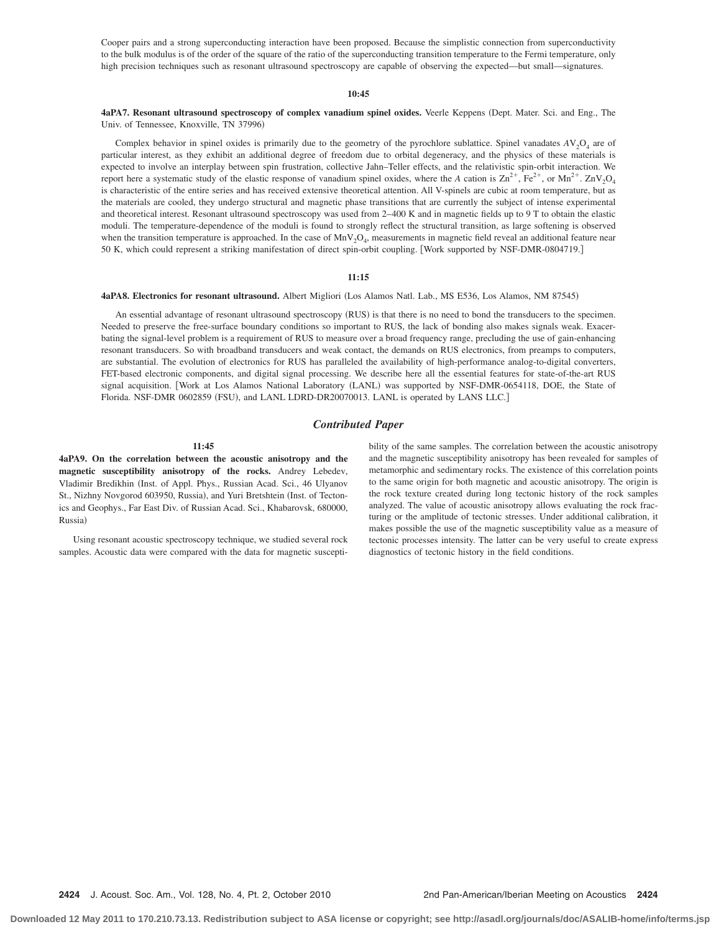Cooper pairs and a strong superconducting interaction have been proposed. Because the simplistic connection from superconductivity to the bulk modulus is of the order of the square of the ratio of the superconducting transition temperature to the Fermi temperature, only high precision techniques such as resonant ultrasound spectroscopy are capable of observing the expected—but small—signatures.

## **10:45**

4aPA7. Resonant ultrasound spectroscopy of complex vanadium spinel oxides. Veerle Keppens (Dept. Mater. Sci. and Eng., The Univ. of Tennessee, Knoxville, TN 37996)

Complex behavior in spinel oxides is primarily due to the geometry of the pyrochlore sublattice. Spinel vanadates  $AV_2O_4$  are of particular interest, as they exhibit an additional degree of freedom due to orbital degeneracy, and the physics of these materials is expected to involve an interplay between spin frustration, collective Jahn–Teller effects, and the relativistic spin-orbit interaction. We report here a systematic study of the elastic response of vanadium spinel oxides, where the *A* cation is  $\text{Zn}^{2+}$ , Fe<sup>2+</sup>, or Mn<sup>2+</sup>. ZnV<sub>2</sub>O<sub>4</sub> is characteristic of the entire series and has received extensive theoretical attention. All V-spinels are cubic at room temperature, but as the materials are cooled, they undergo structural and magnetic phase transitions that are currently the subject of intense experimental and theoretical interest. Resonant ultrasound spectroscopy was used from 2–400 K and in magnetic fields up to 9 T to obtain the elastic moduli. The temperature-dependence of the moduli is found to strongly reflect the structural transition, as large softening is observed when the transition temperature is approached. In the case of  $MnV<sub>2</sub>O<sub>4</sub>$ , measurements in magnetic field reveal an additional feature near 50 K, which could represent a striking manifestation of direct spin-orbit coupling. Work supported by NSF-DMR-0804719.

# **11:15**

## 4aPA8. Electronics for resonant ultrasound. Albert Migliori (Los Alamos Natl. Lab., MS E536, Los Alamos, NM 87545)

An essential advantage of resonant ultrasound spectroscopy (RUS) is that there is no need to bond the transducers to the specimen. Needed to preserve the free-surface boundary conditions so important to RUS, the lack of bonding also makes signals weak. Exacerbating the signal-level problem is a requirement of RUS to measure over a broad frequency range, precluding the use of gain-enhancing resonant transducers. So with broadband transducers and weak contact, the demands on RUS electronics, from preamps to computers, are substantial. The evolution of electronics for RUS has paralleled the availability of high-performance analog-to-digital converters, FET-based electronic components, and digital signal processing. We describe here all the essential features for state-of-the-art RUS signal acquisition. [Work at Los Alamos National Laboratory (LANL) was supported by NSF-DMR-0654118, DOE, the State of Florida. NSF-DMR 0602859 (FSU), and LANL LDRD-DR20070013. LANL is operated by LANS LLC.]

## *Contributed Paper*

**11:45**

**4aPA9. On the correlation between the acoustic anisotropy and the magnetic susceptibility anisotropy of the rocks.** Andrey Lebedev, Vladimir Bredikhin (Inst. of Appl. Phys., Russian Acad. Sci., 46 Ulyanov St., Nizhny Novgorod 603950, Russia), and Yuri Bretshtein (Inst. of Tectonics and Geophys., Far East Div. of Russian Acad. Sci., Khabarovsk, 680000, Russia)

Using resonant acoustic spectroscopy technique, we studied several rock samples. Acoustic data were compared with the data for magnetic susceptibility of the same samples. The correlation between the acoustic anisotropy and the magnetic susceptibility anisotropy has been revealed for samples of metamorphic and sedimentary rocks. The existence of this correlation points to the same origin for both magnetic and acoustic anisotropy. The origin is the rock texture created during long tectonic history of the rock samples analyzed. The value of acoustic anisotropy allows evaluating the rock fracturing or the amplitude of tectonic stresses. Under additional calibration, it makes possible the use of the magnetic susceptibility value as a measure of tectonic processes intensity. The latter can be very useful to create express diagnostics of tectonic history in the field conditions.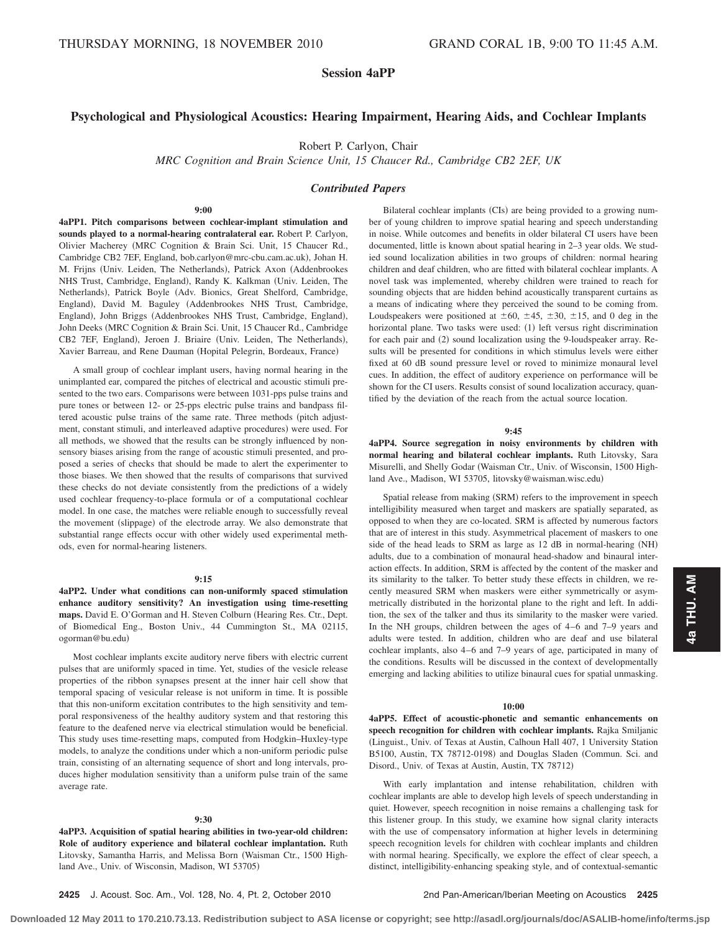# **Session 4aPP**

# **Psychological and Physiological Acoustics: Hearing Impairment, Hearing Aids, and Cochlear Implants**

Robert P. Carlyon, Chair

*MRC Cognition and Brain Science Unit, 15 Chaucer Rd., Cambridge CB2 2EF, UK*

# *Contributed Papers*

**9:00**

**4aPP1. Pitch comparisons between cochlear-implant stimulation and sounds played to a normal-hearing contralateral ear.** Robert P. Carlyon, Olivier Macherey MRC Cognition & Brain Sci. Unit, 15 Chaucer Rd., Cambridge CB2 7EF, England, bob.carlyon@mrc-cbu.cam.ac.uk), Johan H. M. Frijns (Univ. Leiden, The Netherlands), Patrick Axon (Addenbrookes NHS Trust, Cambridge, England), Randy K. Kalkman (Univ. Leiden, The Netherlands), Patrick Boyle (Adv. Bionics, Great Shelford, Cambridge, England), David M. Baguley (Addenbrookes NHS Trust, Cambridge, England), John Briggs (Addenbrookes NHS Trust, Cambridge, England), John Deeks MRC Cognition & Brain Sci. Unit, 15 Chaucer Rd., Cambridge CB2 7EF, England), Jeroen J. Briaire (Univ. Leiden, The Netherlands), Xavier Barreau, and Rene Dauman (Hopital Pelegrin, Bordeaux, France)

A small group of cochlear implant users, having normal hearing in the unimplanted ear, compared the pitches of electrical and acoustic stimuli presented to the two ears. Comparisons were between 1031-pps pulse trains and pure tones or between 12- or 25-pps electric pulse trains and bandpass filtered acoustic pulse trains of the same rate. Three methods (pitch adjustment, constant stimuli, and interleaved adaptive procedures) were used. For all methods, we showed that the results can be strongly influenced by nonsensory biases arising from the range of acoustic stimuli presented, and proposed a series of checks that should be made to alert the experimenter to those biases. We then showed that the results of comparisons that survived these checks do not deviate consistently from the predictions of a widely used cochlear frequency-to-place formula or of a computational cochlear model. In one case, the matches were reliable enough to successfully reveal the movement (slippage) of the electrode array. We also demonstrate that substantial range effects occur with other widely used experimental methods, even for normal-hearing listeners.

#### **9:15**

**4aPP2. Under what conditions can non-uniformly spaced stimulation enhance auditory sensitivity? An investigation using time-resetting** maps. David E. O'Gorman and H. Steven Colburn (Hearing Res. Ctr., Dept. of Biomedical Eng., Boston Univ., 44 Cummington St., MA 02115, ogorman@bu.edu)

Most cochlear implants excite auditory nerve fibers with electric current pulses that are uniformly spaced in time. Yet, studies of the vesicle release properties of the ribbon synapses present at the inner hair cell show that temporal spacing of vesicular release is not uniform in time. It is possible that this non-uniform excitation contributes to the high sensitivity and temporal responsiveness of the healthy auditory system and that restoring this feature to the deafened nerve via electrical stimulation would be beneficial. This study uses time-resetting maps, computed from Hodgkin–Huxley-type models, to analyze the conditions under which a non-uniform periodic pulse train, consisting of an alternating sequence of short and long intervals, produces higher modulation sensitivity than a uniform pulse train of the same average rate.

## **9:30**

**4aPP3. Acquisition of spatial hearing abilities in two-year-old children: Role of auditory experience and bilateral cochlear implantation.** Ruth Litovsky, Samantha Harris, and Melissa Born Waisman Ctr., 1500 Highland Ave., Univ. of Wisconsin, Madison, WI 53705)

Bilateral cochlear implants (CIs) are being provided to a growing number of young children to improve spatial hearing and speech understanding in noise. While outcomes and benefits in older bilateral CI users have been documented, little is known about spatial hearing in 2–3 year olds. We studied sound localization abilities in two groups of children: normal hearing children and deaf children, who are fitted with bilateral cochlear implants. A novel task was implemented, whereby children were trained to reach for sounding objects that are hidden behind acoustically transparent curtains as a means of indicating where they perceived the sound to be coming from. Loudspeakers were positioned at  $\pm 60$ ,  $\pm 45$ ,  $\pm 30$ ,  $\pm 15$ , and 0 deg in the horizontal plane. Two tasks were used: (1) left versus right discrimination for each pair and (2) sound localization using the 9-loudspeaker array. Results will be presented for conditions in which stimulus levels were either fixed at 60 dB sound pressure level or roved to minimize monaural level cues. In addition, the effect of auditory experience on performance will be shown for the CI users. Results consist of sound localization accuracy, quantified by the deviation of the reach from the actual source location.

## **9:45**

**4aPP4. Source segregation in noisy environments by children with normal hearing and bilateral cochlear implants.** Ruth Litovsky, Sara Misurelli, and Shelly Godar Waisman Ctr., Univ. of Wisconsin, 1500 Highland Ave., Madison, WI 53705, litovsky@waisman.wisc.edu)

Spatial release from making (SRM) refers to the improvement in speech intelligibility measured when target and maskers are spatially separated, as opposed to when they are co-located. SRM is affected by numerous factors that are of interest in this study. Asymmetrical placement of maskers to one side of the head leads to SRM as large as 12 dB in normal-hearing (NH) adults, due to a combination of monaural head-shadow and binaural interaction effects. In addition, SRM is affected by the content of the masker and its similarity to the talker. To better study these effects in children, we recently measured SRM when maskers were either symmetrically or asymmetrically distributed in the horizontal plane to the right and left. In addition, the sex of the talker and thus its similarity to the masker were varied. In the NH groups, children between the ages of 4–6 and 7–9 years and adults were tested. In addition, children who are deaf and use bilateral cochlear implants, also 4–6 and 7–9 years of age, participated in many of the conditions. Results will be discussed in the context of developmentally emerging and lacking abilities to utilize binaural cues for spatial unmasking.

#### **10:00**

**4aPP5. Effect of acoustic-phonetic and semantic enhancements on speech recognition for children with cochlear implants.** Rajka Smiljanic Linguist., Univ. of Texas at Austin, Calhoun Hall 407, 1 University Station B5100, Austin, TX 78712-0198) and Douglas Sladen (Commun. Sci. and Disord., Univ. of Texas at Austin, Austin, TX 78712)

With early implantation and intense rehabilitation, children with cochlear implants are able to develop high levels of speech understanding in quiet. However, speech recognition in noise remains a challenging task for this listener group. In this study, we examine how signal clarity interacts with the use of compensatory information at higher levels in determining speech recognition levels for children with cochlear implants and children with normal hearing. Specifically, we explore the effect of clear speech, a distinct, intelligibility-enhancing speaking style, and of contextual-semantic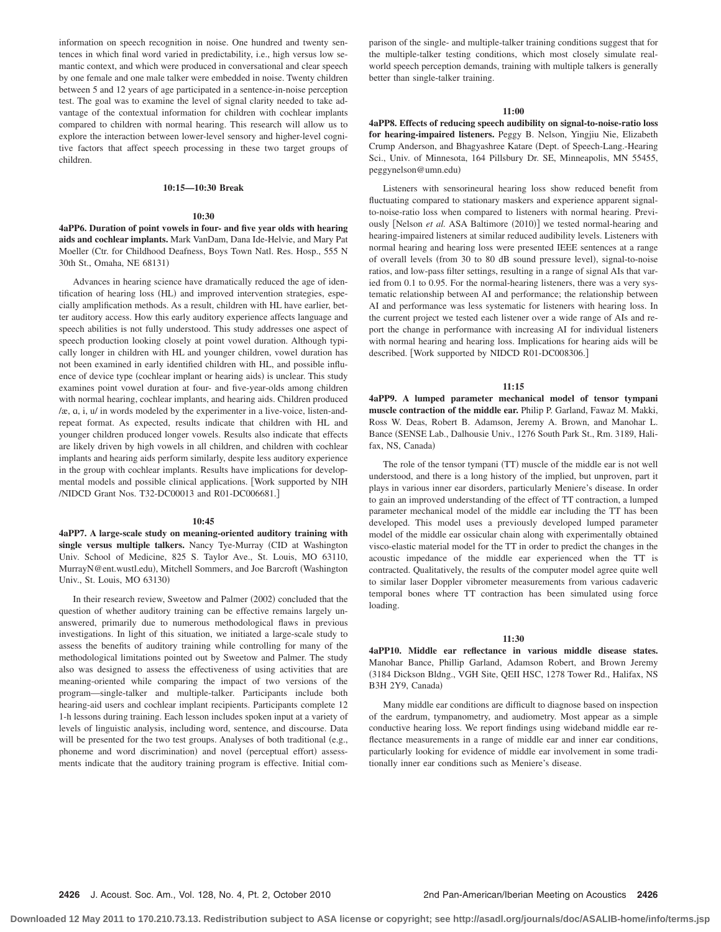information on speech recognition in noise. One hundred and twenty sentences in which final word varied in predictability, i.e., high versus low semantic context, and which were produced in conversational and clear speech by one female and one male talker were embedded in noise. Twenty children between 5 and 12 years of age participated in a sentence-in-noise perception test. The goal was to examine the level of signal clarity needed to take advantage of the contextual information for children with cochlear implants compared to children with normal hearing. This research will allow us to explore the interaction between lower-level sensory and higher-level cognitive factors that affect speech processing in these two target groups of children.

## **10:15—10:30 Break**

### **10:30**

**4aPP6. Duration of point vowels in four- and five year olds with hearing aids and cochlear implants.** Mark VanDam, Dana Ide-Helvie, and Mary Pat Moeller Ctr. for Childhood Deafness, Boys Town Natl. Res. Hosp., 555 N 30th St., Omaha, NE 68131)

Advances in hearing science have dramatically reduced the age of identification of hearing loss (HL) and improved intervention strategies, especially amplification methods. As a result, children with HL have earlier, better auditory access. How this early auditory experience affects language and speech abilities is not fully understood. This study addresses one aspect of speech production looking closely at point vowel duration. Although typically longer in children with HL and younger children, vowel duration has not been examined in early identified children with HL, and possible influence of device type (cochlear implant or hearing aids) is unclear. This study examines point vowel duration at four- and five-year-olds among children with normal hearing, cochlear implants, and hearing aids. Children produced  $\alpha$ ,  $\alpha$ ,  $\alpha$ ,  $\alpha$ ,  $\beta$  in words modeled by the experimenter in a live-voice, listen-andrepeat format. As expected, results indicate that children with HL and younger children produced longer vowels. Results also indicate that effects are likely driven by high vowels in all children, and children with cochlear implants and hearing aids perform similarly, despite less auditory experience in the group with cochlear implants. Results have implications for developmental models and possible clinical applications. Work supported by NIH /NIDCD Grant Nos. T32-DC00013 and R01-DC006681.

## **10:45**

**4aPP7. A large-scale study on meaning-oriented auditory training with single versus multiple talkers.** Nancy Tye-Murray CID at Washington Univ. School of Medicine, 825 S. Taylor Ave., St. Louis, MO 63110, MurrayN@ent.wustl.edu), Mitchell Sommers, and Joe Barcroft (Washington Univ., St. Louis, MO 63130-

In their research review, Sweetow and Palmer (2002) concluded that the question of whether auditory training can be effective remains largely unanswered, primarily due to numerous methodological flaws in previous investigations. In light of this situation, we initiated a large-scale study to assess the benefits of auditory training while controlling for many of the methodological limitations pointed out by Sweetow and Palmer. The study also was designed to assess the effectiveness of using activities that are meaning-oriented while comparing the impact of two versions of the program—single-talker and multiple-talker. Participants include both hearing-aid users and cochlear implant recipients. Participants complete 12 1-h lessons during training. Each lesson includes spoken input at a variety of levels of linguistic analysis, including word, sentence, and discourse. Data will be presented for the two test groups. Analyses of both traditional (e.g., phoneme and word discrimination) and novel (perceptual effort) assessments indicate that the auditory training program is effective. Initial comparison of the single- and multiple-talker training conditions suggest that for the multiple-talker testing conditions, which most closely simulate realworld speech perception demands, training with multiple talkers is generally better than single-talker training.

## **11:00**

**4aPP8. Effects of reducing speech audibility on signal-to-noise-ratio loss for hearing-impaired listeners.** Peggy B. Nelson, Yingjiu Nie, Elizabeth Crump Anderson, and Bhagyashree Katare (Dept. of Speech-Lang.-Hearing Sci., Univ. of Minnesota, 164 Pillsbury Dr. SE, Minneapolis, MN 55455, peggynelson@umn.edu-

Listeners with sensorineural hearing loss show reduced benefit from fluctuating compared to stationary maskers and experience apparent signalto-noise-ratio loss when compared to listeners with normal hearing. Previously [Nelson et al. ASA Baltimore (2010)] we tested normal-hearing and hearing-impaired listeners at similar reduced audibility levels. Listeners with normal hearing and hearing loss were presented IEEE sentences at a range of overall levels (from 30 to 80 dB sound pressure level), signal-to-noise ratios, and low-pass filter settings, resulting in a range of signal AIs that varied from 0.1 to 0.95. For the normal-hearing listeners, there was a very systematic relationship between AI and performance; the relationship between AI and performance was less systematic for listeners with hearing loss. In the current project we tested each listener over a wide range of AIs and report the change in performance with increasing AI for individual listeners with normal hearing and hearing loss. Implications for hearing aids will be described. Work supported by NIDCD R01-DC008306.

## **11:15**

**4aPP9. A lumped parameter mechanical model of tensor tympani muscle contraction of the middle ear.** Philip P. Garland, Fawaz M. Makki, Ross W. Deas, Robert B. Adamson, Jeremy A. Brown, and Manohar L. Bance (SENSE Lab., Dalhousie Univ., 1276 South Park St., Rm. 3189, Halifax, NS, Canada)

The role of the tensor tympani (TT) muscle of the middle ear is not well understood, and there is a long history of the implied, but unproven, part it plays in various inner ear disorders, particularly Meniere's disease. In order to gain an improved understanding of the effect of TT contraction, a lumped parameter mechanical model of the middle ear including the TT has been developed. This model uses a previously developed lumped parameter model of the middle ear ossicular chain along with experimentally obtained visco-elastic material model for the TT in order to predict the changes in the acoustic impedance of the middle ear experienced when the TT is contracted. Qualitatively, the results of the computer model agree quite well to similar laser Doppler vibrometer measurements from various cadaveric temporal bones where TT contraction has been simulated using force loading.

## **11:30**

**4aPP10. Middle ear reflectance in various middle disease states.** Manohar Bance, Phillip Garland, Adamson Robert, and Brown Jeremy 3184 Dickson Bldng., VGH Site, QEII HSC, 1278 Tower Rd., Halifax, NS B3H 2Y9, Canada)

Many middle ear conditions are difficult to diagnose based on inspection of the eardrum, tympanometry, and audiometry. Most appear as a simple conductive hearing loss. We report findings using wideband middle ear reflectance measurements in a range of middle ear and inner ear conditions, particularly looking for evidence of middle ear involvement in some traditionally inner ear conditions such as Meniere's disease.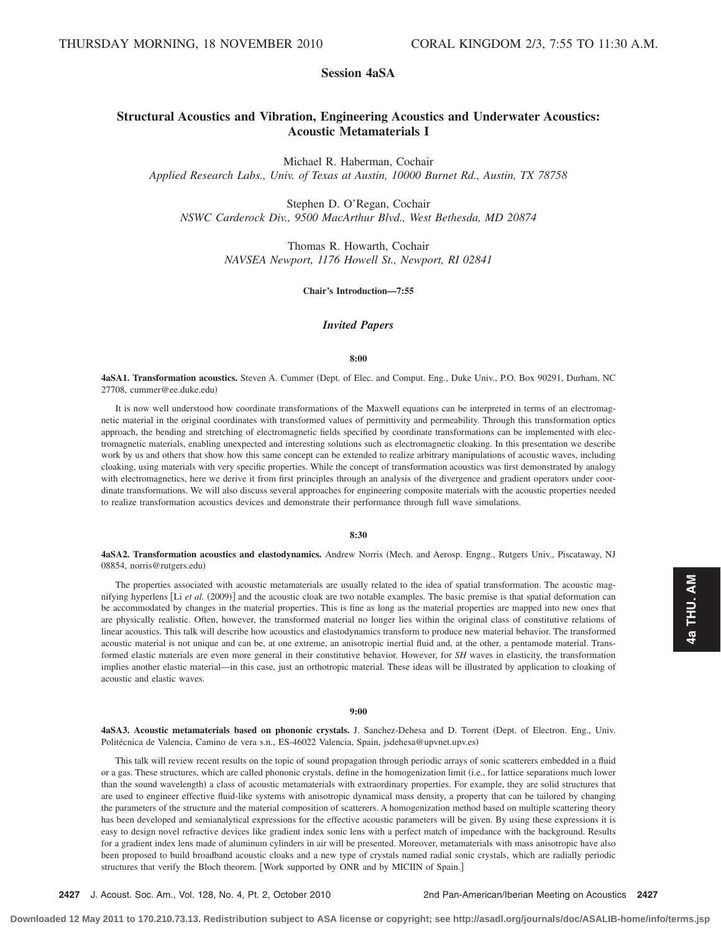# **Session 4aSA**

# **Structural Acoustics and Vibration, Engineering Acoustics and Underwater Acoustics: Acoustic Metamaterials I**

Michael R. Haberman, Cochair *Applied Research Labs., Univ. of Texas at Austin, 10000 Burnet Rd., Austin, TX 78758*

Stephen D. O'Regan, Cochair *NSWC Carderock Div., 9500 MacArthur Blvd., West Bethesda, MD 20874*

> Thomas R. Howarth, Cochair *NAVSEA Newport, 1176 Howell St., Newport, RI 02841*

> > **Chair's Introduction—7:55**

## *Invited Papers*

## **8:00**

4aSA1. Transformation acoustics. Steven A. Cummer (Dept. of Elec. and Comput. Eng., Duke Univ., P.O. Box 90291, Durham, NC 27708, cummer@ee.duke.edu)

It is now well understood how coordinate transformations of the Maxwell equations can be interpreted in terms of an electromagnetic material in the original coordinates with transformed values of permittivity and permeability. Through this transformation optics approach, the bending and stretching of electromagnetic fields specified by coordinate transformations can be implemented with electromagnetic materials, enabling unexpected and interesting solutions such as electromagnetic cloaking. In this presentation we describe work by us and others that show how this same concept can be extended to realize arbitrary manipulations of acoustic waves, including cloaking, using materials with very specific properties. While the concept of transformation acoustics was first demonstrated by analogy with electromagnetics, here we derive it from first principles through an analysis of the divergence and gradient operators under coordinate transformations. We will also discuss several approaches for engineering composite materials with the acoustic properties needed to realize transformation acoustics devices and demonstrate their performance through full wave simulations.

## **8:30**

4aSA2. Transformation acoustics and elastodynamics. Andrew Norris (Mech. and Aerosp. Engng., Rutgers Univ., Piscataway, NJ 08854, norris@rutgers.edu)

The properties associated with acoustic metamaterials are usually related to the idea of spatial transformation. The acoustic magnifying hyperlens [Li et al. (2009)] and the acoustic cloak are two notable examples. The basic premise is that spatial deformation can be accommodated by changes in the material properties. This is fine as long as the material properties are mapped into new ones that are physically realistic. Often, however, the transformed material no longer lies within the original class of constitutive relations of linear acoustics. This talk will describe how acoustics and elastodynamics transform to produce new material behavior. The transformed acoustic material is not unique and can be, at one extreme, an anisotropic inertial fluid and, at the other, a pentamode material. Transformed elastic materials are even more general in their constitutive behavior. However, for *SH* waves in elasticity, the transformation implies another elastic material—in this case, just an orthotropic material. These ideas will be illustrated by application to cloaking of acoustic and elastic waves.

### **9:00**

**4aSA3. Acoustic metamaterials based on phononic crystals.** J. Sanchez-Dehesa and D. Torrent Dept. of Electron. Eng., Univ. Politécnica de Valencia, Camino de vera s.n., ES-46022 Valencia, Spain, jsdehesa@upvnet.upv.es)

This talk will review recent results on the topic of sound propagation through periodic arrays of sonic scatterers embedded in a fluid or a gas. These structures, which are called phononic crystals, define in the homogenization limit i.e., for lattice separations much lower than the sound wavelength) a class of acoustic metamaterials with extraordinary properties. For example, they are solid structures that are used to engineer effective fluid-like systems with anisotropic dynamical mass density, a property that can be tailored by changing the parameters of the structure and the material composition of scatterers. A homogenization method based on multiple scattering theory has been developed and semianalytical expressions for the effective acoustic parameters will be given. By using these expressions it is easy to design novel refractive devices like gradient index sonic lens with a perfect match of impedance with the background. Results for a gradient index lens made of aluminum cylinders in air will be presented. Moreover, metamaterials with mass anisotropic have also been proposed to build broadband acoustic cloaks and a new type of crystals named radial sonic crystals, which are radially periodic structures that verify the Bloch theorem. Work supported by ONR and by MICIIN of Spain.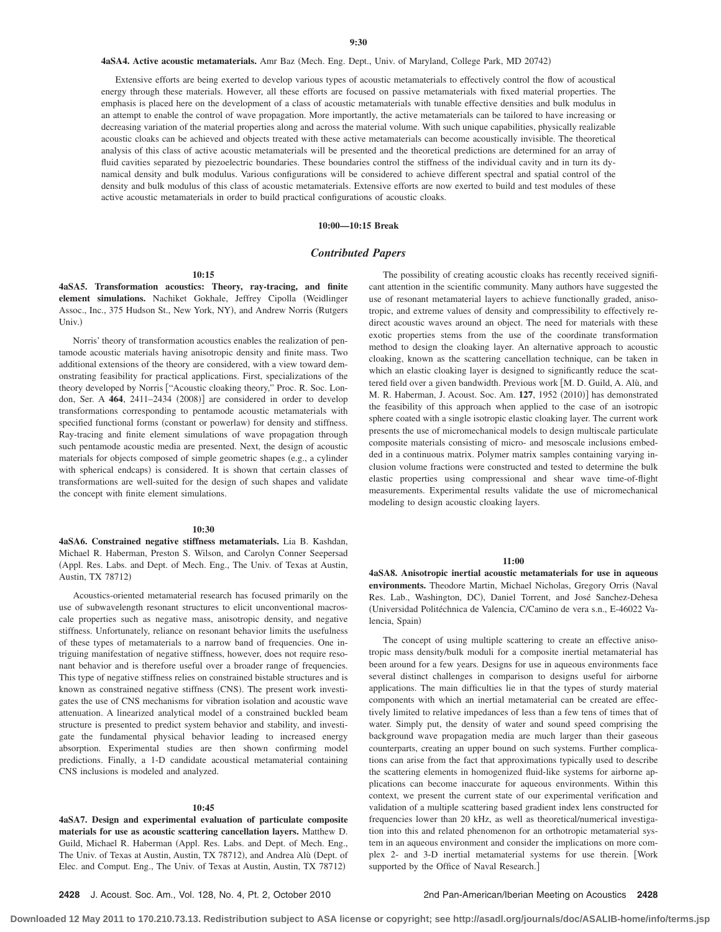## 4aSA4. Active acoustic metamaterials. Amr Baz (Mech. Eng. Dept., Univ. of Maryland, College Park, MD 20742)

Extensive efforts are being exerted to develop various types of acoustic metamaterials to effectively control the flow of acoustical energy through these materials. However, all these efforts are focused on passive metamaterials with fixed material properties. The emphasis is placed here on the development of a class of acoustic metamaterials with tunable effective densities and bulk modulus in an attempt to enable the control of wave propagation. More importantly, the active metamaterials can be tailored to have increasing or decreasing variation of the material properties along and across the material volume. With such unique capabilities, physically realizable acoustic cloaks can be achieved and objects treated with these active metamaterials can become acoustically invisible. The theoretical analysis of this class of active acoustic metamaterials will be presented and the theoretical predictions are determined for an array of fluid cavities separated by piezoelectric boundaries. These boundaries control the stiffness of the individual cavity and in turn its dynamical density and bulk modulus. Various configurations will be considered to achieve different spectral and spatial control of the density and bulk modulus of this class of acoustic metamaterials. Extensive efforts are now exerted to build and test modules of these active acoustic metamaterials in order to build practical configurations of acoustic cloaks.

# **10:00—10:15 Break**

# *Contributed Papers*

## **10:15**

**4aSA5. Transformation acoustics: Theory, ray-tracing, and finite element simulations.** Nachiket Gokhale, Jeffrey Cipolla Weidlinger Assoc., Inc., 375 Hudson St., New York, NY), and Andrew Norris (Rutgers  $Univ$ )

Norris' theory of transformation acoustics enables the realization of pentamode acoustic materials having anisotropic density and finite mass. Two additional extensions of the theory are considered, with a view toward demonstrating feasibility for practical applications. First, specializations of the theory developed by Norris ["Acoustic cloaking theory," Proc. R. Soc. London, Ser. A 464, 2411-2434 (2008)] are considered in order to develop transformations corresponding to pentamode acoustic metamaterials with specified functional forms (constant or powerlaw) for density and stiffness. Ray-tracing and finite element simulations of wave propagation through such pentamode acoustic media are presented. Next, the design of acoustic materials for objects composed of simple geometric shapes (e.g., a cylinder with spherical endcaps) is considered. It is shown that certain classes of transformations are well-suited for the design of such shapes and validate the concept with finite element simulations.

## **10:30**

**4aSA6. Constrained negative stiffness metamaterials.** Lia B. Kashdan, Michael R. Haberman, Preston S. Wilson, and Carolyn Conner Seepersad Appl. Res. Labs. and Dept. of Mech. Eng., The Univ. of Texas at Austin, Austin, TX 78712)

Acoustics-oriented metamaterial research has focused primarily on the use of subwavelength resonant structures to elicit unconventional macroscale properties such as negative mass, anisotropic density, and negative stiffness. Unfortunately, reliance on resonant behavior limits the usefulness of these types of metamaterials to a narrow band of frequencies. One intriguing manifestation of negative stiffness, however, does not require resonant behavior and is therefore useful over a broader range of frequencies. This type of negative stiffness relies on constrained bistable structures and is known as constrained negative stiffness (CNS). The present work investigates the use of CNS mechanisms for vibration isolation and acoustic wave attenuation. A linearized analytical model of a constrained buckled beam structure is presented to predict system behavior and stability, and investigate the fundamental physical behavior leading to increased energy absorption. Experimental studies are then shown confirming model predictions. Finally, a 1-D candidate acoustical metamaterial containing CNS inclusions is modeled and analyzed.

# **10:45**

**4aSA7. Design and experimental evaluation of particulate composite materials for use as acoustic scattering cancellation layers.** Matthew D. Guild, Michael R. Haberman (Appl. Res. Labs. and Dept. of Mech. Eng., The Univ. of Texas at Austin, Austin, TX 78712), and Andrea Alù (Dept. of Elec. and Comput. Eng., The Univ. of Texas at Austin, Austin, TX 78712)

The possibility of creating acoustic cloaks has recently received significant attention in the scientific community. Many authors have suggested the use of resonant metamaterial layers to achieve functionally graded, anisotropic, and extreme values of density and compressibility to effectively redirect acoustic waves around an object. The need for materials with these exotic properties stems from the use of the coordinate transformation method to design the cloaking layer. An alternative approach to acoustic cloaking, known as the scattering cancellation technique, can be taken in which an elastic cloaking layer is designed to significantly reduce the scattered field over a given bandwidth. Previous work [M. D. Guild, A. Alù, and M. R. Haberman, J. Acoust. Soc. Am. 127, 1952 (2010)] has demonstrated the feasibility of this approach when applied to the case of an isotropic sphere coated with a single isotropic elastic cloaking layer. The current work presents the use of micromechanical models to design multiscale particulate composite materials consisting of micro- and mesoscale inclusions embedded in a continuous matrix. Polymer matrix samples containing varying inclusion volume fractions were constructed and tested to determine the bulk elastic properties using compressional and shear wave time-of-flight measurements. Experimental results validate the use of micromechanical modeling to design acoustic cloaking layers.

## **11:00**

**4aSA8. Anisotropic inertial acoustic metamaterials for use in aqueous** environments. Theodore Martin, Michael Nicholas, Gregory Orris (Naval Res. Lab., Washington, DC), Daniel Torrent, and José Sanchez-Dehesa Universidad Politéchnica de Valencia, C/Camino de vera s.n., E-46022 Valencia, Spain)

The concept of using multiple scattering to create an effective anisotropic mass density/bulk moduli for a composite inertial metamaterial has been around for a few years. Designs for use in aqueous environments face several distinct challenges in comparison to designs useful for airborne applications. The main difficulties lie in that the types of sturdy material components with which an inertial metamaterial can be created are effectively limited to relative impedances of less than a few tens of times that of water. Simply put, the density of water and sound speed comprising the background wave propagation media are much larger than their gaseous counterparts, creating an upper bound on such systems. Further complications can arise from the fact that approximations typically used to describe the scattering elements in homogenized fluid-like systems for airborne applications can become inaccurate for aqueous environments. Within this context, we present the current state of our experimental verification and validation of a multiple scattering based gradient index lens constructed for frequencies lower than 20 kHz, as well as theoretical/numerical investigation into this and related phenomenon for an orthotropic metamaterial system in an aqueous environment and consider the implications on more complex 2- and 3-D inertial metamaterial systems for use therein. Work supported by the Office of Naval Research.]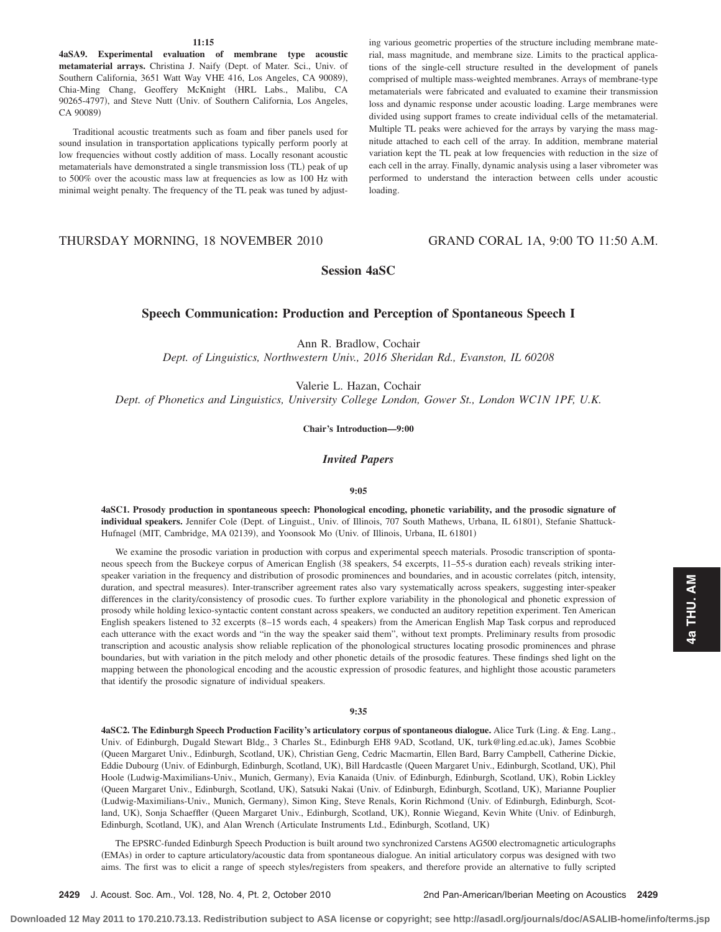## **11:15**

**4aSA9. Experimental evaluation of membrane type acoustic metamaterial arrays.** Christina J. Naify Dept. of Mater. Sci., Univ. of Southern California, 3651 Watt Way VHE 416, Los Angeles, CA 90089), Chia-Ming Chang, Geoffery McKnight HRL Labs., Malibu, CA 90265-4797), and Steve Nutt (Univ. of Southern California, Los Angeles, CA 90089)

Traditional acoustic treatments such as foam and fiber panels used for sound insulation in transportation applications typically perform poorly at low frequencies without costly addition of mass. Locally resonant acoustic metamaterials have demonstrated a single transmission loss (TL) peak of up to 500% over the acoustic mass law at frequencies as low as 100 Hz with minimal weight penalty. The frequency of the TL peak was tuned by adjusting various geometric properties of the structure including membrane material, mass magnitude, and membrane size. Limits to the practical applications of the single-cell structure resulted in the development of panels comprised of multiple mass-weighted membranes. Arrays of membrane-type metamaterials were fabricated and evaluated to examine their transmission loss and dynamic response under acoustic loading. Large membranes were divided using support frames to create individual cells of the metamaterial. Multiple TL peaks were achieved for the arrays by varying the mass magnitude attached to each cell of the array. In addition, membrane material variation kept the TL peak at low frequencies with reduction in the size of each cell in the array. Finally, dynamic analysis using a laser vibrometer was performed to understand the interaction between cells under acoustic loading.

# THURSDAY MORNING, 18 NOVEMBER 2010 GRAND CORAL 1A, 9:00 TO 11:50 A.M.

**Session 4aSC**

# **Speech Communication: Production and Perception of Spontaneous Speech I**

Ann R. Bradlow, Cochair *Dept. of Linguistics, Northwestern Univ., 2016 Sheridan Rd., Evanston, IL 60208*

Valerie L. Hazan, Cochair

*Dept. of Phonetics and Linguistics, University College London, Gower St., London WC1N 1PF, U.K.*

**Chair's Introduction—9:00**

# *Invited Papers*

## **9:05**

**4aSC1. Prosody production in spontaneous speech: Phonological encoding, phonetic variability, and the prosodic signature of** individual speakers. Jennifer Cole (Dept. of Linguist., Univ. of Illinois, 707 South Mathews, Urbana, IL 61801), Stefanie Shattuck-Hufnagel (MIT, Cambridge, MA 02139), and Yoonsook Mo (Univ. of Illinois, Urbana, IL 61801)

We examine the prosodic variation in production with corpus and experimental speech materials. Prosodic transcription of spontaneous speech from the Buckeye corpus of American English (38 speakers, 54 excerpts, 11–55-s duration each) reveals striking interspeaker variation in the frequency and distribution of prosodic prominences and boundaries, and in acoustic correlates (pitch, intensity, duration, and spectral measures). Inter-transcriber agreement rates also vary systematically across speakers, suggesting inter-speaker differences in the clarity/consistency of prosodic cues. To further explore variability in the phonological and phonetic expression of prosody while holding lexico-syntactic content constant across speakers, we conducted an auditory repetition experiment. Ten American English speakers listened to 32 excerpts (8–15 words each, 4 speakers) from the American English Map Task corpus and reproduced each utterance with the exact words and "in the way the speaker said them", without text prompts. Preliminary results from prosodic transcription and acoustic analysis show reliable replication of the phonological structures locating prosodic prominences and phrase boundaries, but with variation in the pitch melody and other phonetic details of the prosodic features. These findings shed light on the mapping between the phonological encoding and the acoustic expression of prosodic features, and highlight those acoustic parameters that identify the prosodic signature of individual speakers.

## **9:35**

**4aSC2. The Edinburgh Speech Production Facility's articulatory corpus of spontaneous dialogue.** Alice Turk Ling. & Eng. Lang., Univ. of Edinburgh, Dugald Stewart Bldg., 3 Charles St., Edinburgh EH8 9AD, Scotland, UK, turk@ling.ed.ac.uk), James Scobbie (Queen Margaret Univ., Edinburgh, Scotland, UK), Christian Geng, Cedric Macmartin, Ellen Bard, Barry Campbell, Catherine Dickie, Eddie Dubourg (Univ. of Edinburgh, Edinburgh, Scotland, UK), Bill Hardcastle (Queen Margaret Univ., Edinburgh, Scotland, UK), Phil Hoole (Ludwig-Maximilians-Univ., Munich, Germany), Evia Kanaida (Univ. of Edinburgh, Edinburgh, Scotland, UK), Robin Lickley (Queen Margaret Univ., Edinburgh, Scotland, UK), Satsuki Nakai (Univ. of Edinburgh, Edinburgh, Scotland, UK), Marianne Pouplier (Ludwig-Maximilians-Univ., Munich, Germany), Simon King, Steve Renals, Korin Richmond (Univ. of Edinburgh, Edinburgh, Scotland, UK), Sonja Schaeffler (Queen Margaret Univ., Edinburgh, Scotland, UK), Ronnie Wiegand, Kevin White (Univ. of Edinburgh, Edinburgh, Scotland, UK), and Alan Wrench (Articulate Instruments Ltd., Edinburgh, Scotland, UK)

The EPSRC-funded Edinburgh Speech Production is built around two synchronized Carstens AG500 electromagnetic articulographs (EMAs) in order to capture articulatory/acoustic data from spontaneous dialogue. An initial articulatory corpus was designed with two aims. The first was to elicit a range of speech styles/registers from speakers, and therefore provide an alternative to fully scripted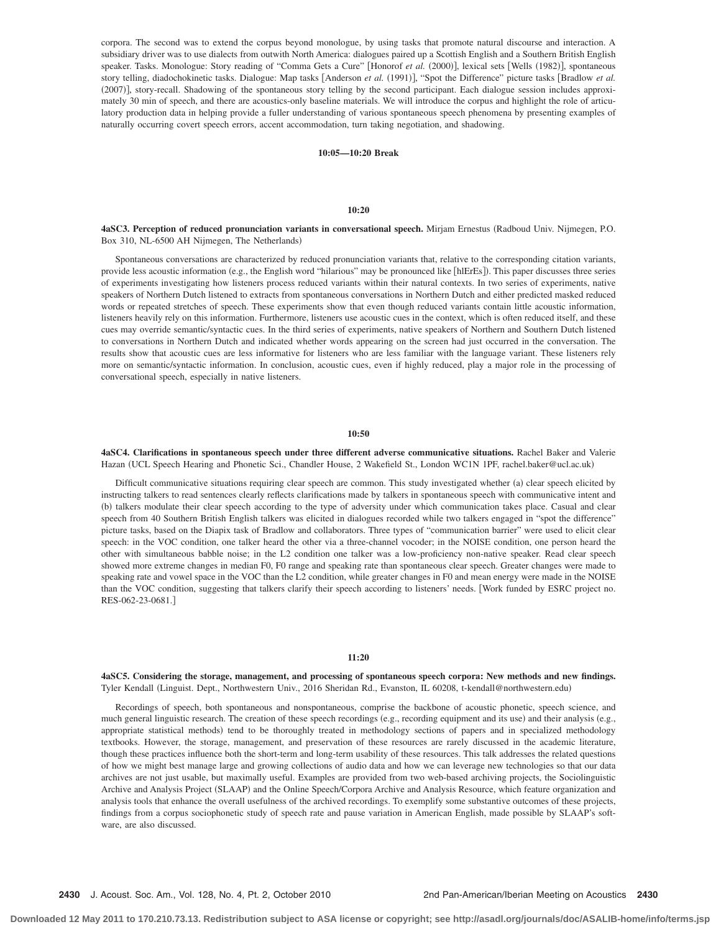corpora. The second was to extend the corpus beyond monologue, by using tasks that promote natural discourse and interaction. A subsidiary driver was to use dialects from outwith North America: dialogues paired up a Scottish English and a Southern British English speaker. Tasks. Monologue: Story reading of "Comma Gets a Cure" [Honorof et al. (2000)], lexical sets [Wells (1982)], spontaneous story telling, diadochokinetic tasks. Dialogue: Map tasks [Anderson *et al.* (1991)], "Spot the Difference" picture tasks [Bradlow *et al.* (2007)], story-recall. Shadowing of the spontaneous story telling by the second participant. Each dialogue session includes approximately 30 min of speech, and there are acoustics-only baseline materials. We will introduce the corpus and highlight the role of articulatory production data in helping provide a fuller understanding of various spontaneous speech phenomena by presenting examples of naturally occurring covert speech errors, accent accommodation, turn taking negotiation, and shadowing.

## **10:05—10:20 Break**

## **10:20**

**4aSC3. Perception of reduced pronunciation variants in conversational speech.** Mirjam Ernestus Radboud Univ. Nijmegen, P.O. Box 310, NL-6500 AH Nijmegen, The Netherlands)

Spontaneous conversations are characterized by reduced pronunciation variants that, relative to the corresponding citation variants, provide less acoustic information (e.g., the English word "hilarious" may be pronounced like [hlErEs]). This paper discusses three series of experiments investigating how listeners process reduced variants within their natural contexts. In two series of experiments, native speakers of Northern Dutch listened to extracts from spontaneous conversations in Northern Dutch and either predicted masked reduced words or repeated stretches of speech. These experiments show that even though reduced variants contain little acoustic information, listeners heavily rely on this information. Furthermore, listeners use acoustic cues in the context, which is often reduced itself, and these cues may override semantic/syntactic cues. In the third series of experiments, native speakers of Northern and Southern Dutch listened to conversations in Northern Dutch and indicated whether words appearing on the screen had just occurred in the conversation. The results show that acoustic cues are less informative for listeners who are less familiar with the language variant. These listeners rely more on semantic/syntactic information. In conclusion, acoustic cues, even if highly reduced, play a major role in the processing of conversational speech, especially in native listeners.

## **10:50**

**4aSC4. Clarifications in spontaneous speech under three different adverse communicative situations.** Rachel Baker and Valerie Hazan (UCL Speech Hearing and Phonetic Sci., Chandler House, 2 Wakefield St., London WC1N 1PF, rachel.baker@ucl.ac.uk)

Difficult communicative situations requiring clear speech are common. This study investigated whether (a) clear speech elicited by instructing talkers to read sentences clearly reflects clarifications made by talkers in spontaneous speech with communicative intent and (b) talkers modulate their clear speech according to the type of adversity under which communication takes place. Casual and clear speech from 40 Southern British English talkers was elicited in dialogues recorded while two talkers engaged in "spot the difference" picture tasks, based on the Diapix task of Bradlow and collaborators. Three types of "communication barrier" were used to elicit clear speech: in the VOC condition, one talker heard the other via a three-channel vocoder; in the NOISE condition, one person heard the other with simultaneous babble noise; in the L2 condition one talker was a low-proficiency non-native speaker. Read clear speech showed more extreme changes in median F0, F0 range and speaking rate than spontaneous clear speech. Greater changes were made to speaking rate and vowel space in the VOC than the L2 condition, while greater changes in F0 and mean energy were made in the NOISE than the VOC condition, suggesting that talkers clarify their speech according to listeners' needs. Work funded by ESRC project no. RES-062-23-0681.

## **11:20**

**4aSC5. Considering the storage, management, and processing of spontaneous speech corpora: New methods and new findings.** Tyler Kendall Linguist. Dept., Northwestern Univ., 2016 Sheridan Rd., Evanston, IL 60208, t-kendall@northwestern.edu-

Recordings of speech, both spontaneous and nonspontaneous, comprise the backbone of acoustic phonetic, speech science, and much general linguistic research. The creation of these speech recordings (e.g., recording equipment and its use) and their analysis (e.g., appropriate statistical methods) tend to be thoroughly treated in methodology sections of papers and in specialized methodology textbooks. However, the storage, management, and preservation of these resources are rarely discussed in the academic literature, though these practices influence both the short-term and long-term usability of these resources. This talk addresses the related questions of how we might best manage large and growing collections of audio data and how we can leverage new technologies so that our data archives are not just usable, but maximally useful. Examples are provided from two web-based archiving projects, the Sociolinguistic Archive and Analysis Project (SLAAP) and the Online Speech/Corpora Archive and Analysis Resource, which feature organization and analysis tools that enhance the overall usefulness of the archived recordings. To exemplify some substantive outcomes of these projects, findings from a corpus sociophonetic study of speech rate and pause variation in American English, made possible by SLAAP's software, are also discussed.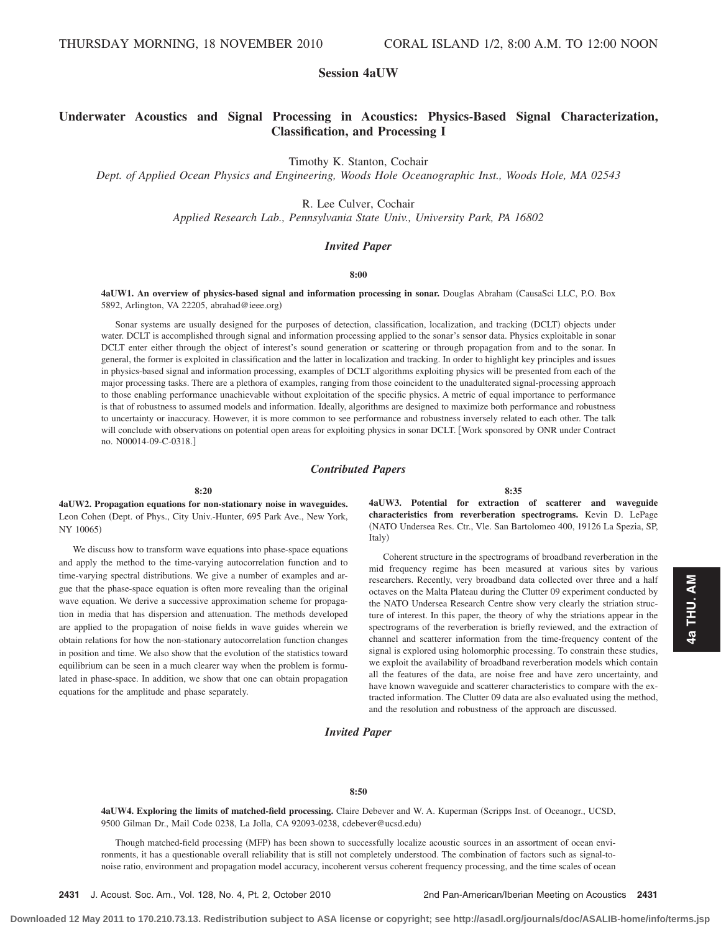# **Session 4aUW**

# **Underwater Acoustics and Signal Processing in Acoustics: Physics-Based Signal Characterization, Classification, and Processing I**

Timothy K. Stanton, Cochair

*Dept. of Applied Ocean Physics and Engineering, Woods Hole Oceanographic Inst., Woods Hole, MA 02543*

R. Lee Culver, Cochair

*Applied Research Lab., Pennsylvania State Univ., University Park, PA 16802*

# *Invited Paper*

## **8:00**

**4aUW1. An overview of physics-based signal and information processing in sonar.** Douglas Abraham CausaSci LLC, P.O. Box 5892, Arlington, VA 22205, abrahad@ieee.org)

Sonar systems are usually designed for the purposes of detection, classification, localization, and tracking (DCLT) objects under water. DCLT is accomplished through signal and information processing applied to the sonar's sensor data. Physics exploitable in sonar DCLT enter either through the object of interest's sound generation or scattering or through propagation from and to the sonar. In general, the former is exploited in classification and the latter in localization and tracking. In order to highlight key principles and issues in physics-based signal and information processing, examples of DCLT algorithms exploiting physics will be presented from each of the major processing tasks. There are a plethora of examples, ranging from those coincident to the unadulterated signal-processing approach to those enabling performance unachievable without exploitation of the specific physics. A metric of equal importance to performance is that of robustness to assumed models and information. Ideally, algorithms are designed to maximize both performance and robustness to uncertainty or inaccuracy. However, it is more common to see performance and robustness inversely related to each other. The talk will conclude with observations on potential open areas for exploiting physics in sonar DCLT. Work sponsored by ONR under Contract no. N00014-09-C-0318.

## *Contributed Papers*

## **8:20**

**4aUW2. Propagation equations for non-stationary noise in waveguides.** Leon Cohen (Dept. of Phys., City Univ.-Hunter, 695 Park Ave., New York, NY 10065)

We discuss how to transform wave equations into phase-space equations and apply the method to the time-varying autocorrelation function and to time-varying spectral distributions. We give a number of examples and argue that the phase-space equation is often more revealing than the original wave equation. We derive a successive approximation scheme for propagation in media that has dispersion and attenuation. The methods developed are applied to the propagation of noise fields in wave guides wherein we obtain relations for how the non-stationary autocorrelation function changes in position and time. We also show that the evolution of the statistics toward equilibrium can be seen in a much clearer way when the problem is formulated in phase-space. In addition, we show that one can obtain propagation equations for the amplitude and phase separately.

**8:35**

**4aUW3. Potential for extraction of scatterer and waveguide characteristics from reverberation spectrograms.** Kevin D. LePage NATO Undersea Res. Ctr., Vle. San Bartolomeo 400, 19126 La Spezia, SP, Italy)

Coherent structure in the spectrograms of broadband reverberation in the mid frequency regime has been measured at various sites by various researchers. Recently, very broadband data collected over three and a half octaves on the Malta Plateau during the Clutter 09 experiment conducted by the NATO Undersea Research Centre show very clearly the striation structure of interest. In this paper, the theory of why the striations appear in the spectrograms of the reverberation is briefly reviewed, and the extraction of channel and scatterer information from the time-frequency content of the signal is explored using holomorphic processing. To constrain these studies, we exploit the availability of broadband reverberation models which contain all the features of the data, are noise free and have zero uncertainty, and have known waveguide and scatterer characteristics to compare with the extracted information. The Clutter 09 data are also evaluated using the method, and the resolution and robustness of the approach are discussed.

# *Invited Paper*

# **8:50**

**4aUW4. Exploring the limits of matched-field processing.** Claire Debever and W. A. Kuperman (Scripps Inst. of Oceanogr., UCSD, 9500 Gilman Dr., Mail Code 0238, La Jolla, CA 92093-0238, cdebever@ucsd.edu-

Though matched-field processing (MFP) has been shown to successfully localize acoustic sources in an assortment of ocean environments, it has a questionable overall reliability that is still not completely understood. The combination of factors such as signal-tonoise ratio, environment and propagation model accuracy, incoherent versus coherent frequency processing, and the time scales of ocean

**2431** J. Acoust. Soc. Am., Vol. 128, No. 4, Pt. 2, October 2010 2nd Pan-American/Iberian Meeting on Acoustics **2431**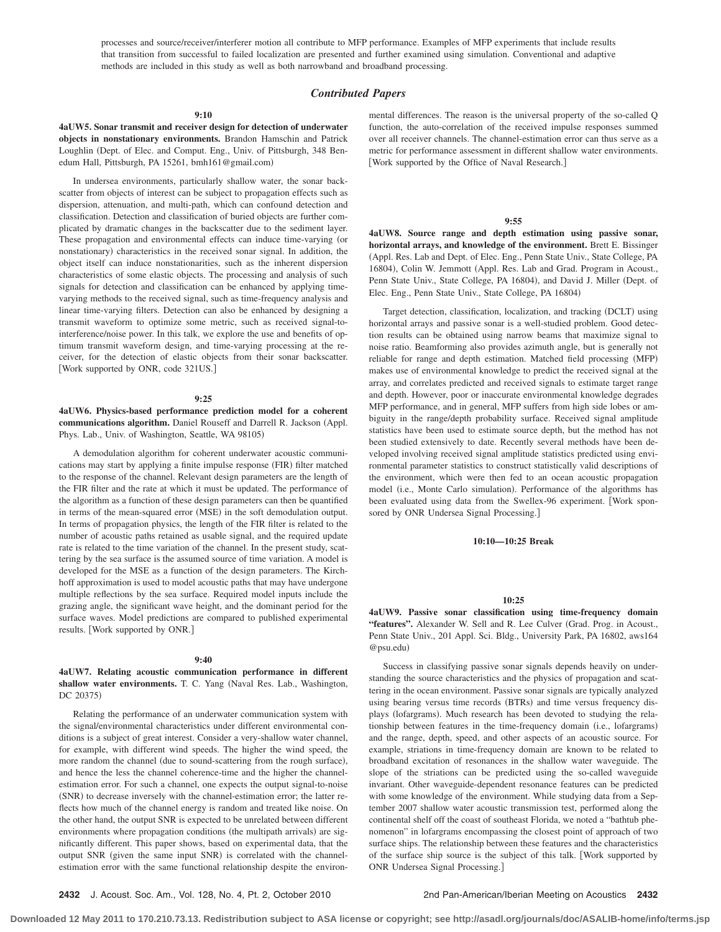processes and source/receiver/interferer motion all contribute to MFP performance. Examples of MFP experiments that include results that transition from successful to failed localization are presented and further examined using simulation. Conventional and adaptive methods are included in this study as well as both narrowband and broadband processing.

## *Contributed Papers*

## **9:10**

**4aUW5. Sonar transmit and receiver design for detection of underwater objects in nonstationary environments.** Brandon Hamschin and Patrick Loughlin (Dept. of Elec. and Comput. Eng., Univ. of Pittsburgh, 348 Benedum Hall, Pittsburgh, PA 15261, bmh161@gmail.com)

In undersea environments, particularly shallow water, the sonar backscatter from objects of interest can be subject to propagation effects such as dispersion, attenuation, and multi-path, which can confound detection and classification. Detection and classification of buried objects are further complicated by dramatic changes in the backscatter due to the sediment layer. These propagation and environmental effects can induce time-varying (or nonstationary) characteristics in the received sonar signal. In addition, the object itself can induce nonstationarities, such as the inherent dispersion characteristics of some elastic objects. The processing and analysis of such signals for detection and classification can be enhanced by applying timevarying methods to the received signal, such as time-frequency analysis and linear time-varying filters. Detection can also be enhanced by designing a transmit waveform to optimize some metric, such as received signal-tointerference/noise power. In this talk, we explore the use and benefits of optimum transmit waveform design, and time-varying processing at the receiver, for the detection of elastic objects from their sonar backscatter. Work supported by ONR, code 321US.

#### **9:25**

**4aUW6. Physics-based performance prediction model for a coherent** communications algorithm. Daniel Rouseff and Darrell R. Jackson (Appl. Phys. Lab., Univ. of Washington, Seattle, WA 98105)

A demodulation algorithm for coherent underwater acoustic communications may start by applying a finite impulse response (FIR) filter matched to the response of the channel. Relevant design parameters are the length of the FIR filter and the rate at which it must be updated. The performance of the algorithm as a function of these design parameters can then be quantified in terms of the mean-squared error (MSE) in the soft demodulation output. In terms of propagation physics, the length of the FIR filter is related to the number of acoustic paths retained as usable signal, and the required update rate is related to the time variation of the channel. In the present study, scattering by the sea surface is the assumed source of time variation. A model is developed for the MSE as a function of the design parameters. The Kirchhoff approximation is used to model acoustic paths that may have undergone multiple reflections by the sea surface. Required model inputs include the grazing angle, the significant wave height, and the dominant period for the surface waves. Model predictions are compared to published experimental results. Work supported by ONR.

## **9:40**

**4aUW7. Relating acoustic communication performance in different** shallow water environments. T. C. Yang (Naval Res. Lab., Washington, DC 20375)

Relating the performance of an underwater communication system with the signal/environmental characteristics under different environmental conditions is a subject of great interest. Consider a very-shallow water channel, for example, with different wind speeds. The higher the wind speed, the more random the channel (due to sound-scattering from the rough surface), and hence the less the channel coherence-time and the higher the channelestimation error. For such a channel, one expects the output signal-to-noise (SNR) to decrease inversely with the channel-estimation error; the latter reflects how much of the channel energy is random and treated like noise. On the other hand, the output SNR is expected to be unrelated between different environments where propagation conditions (the multipath arrivals) are significantly different. This paper shows, based on experimental data, that the output SNR (given the same input SNR) is correlated with the channelestimation error with the same functional relationship despite the environmental differences. The reason is the universal property of the so-called Q function, the auto-correlation of the received impulse responses summed over all receiver channels. The channel-estimation error can thus serve as a metric for performance assessment in different shallow water environments. Work supported by the Office of Naval Research.

## **9:55**

**4aUW8. Source range and depth estimation using passive sonar, horizontal arrays, and knowledge of the environment.** Brett E. Bissinger Appl. Res. Lab and Dept. of Elec. Eng., Penn State Univ., State College, PA 16804), Colin W. Jemmott (Appl. Res. Lab and Grad. Program in Acoust., Penn State Univ., State College, PA 16804), and David J. Miller (Dept. of Elec. Eng., Penn State Univ., State College, PA 16804)

Target detection, classification, localization, and tracking (DCLT) using horizontal arrays and passive sonar is a well-studied problem. Good detection results can be obtained using narrow beams that maximize signal to noise ratio. Beamforming also provides azimuth angle, but is generally not reliable for range and depth estimation. Matched field processing (MFP) makes use of environmental knowledge to predict the received signal at the array, and correlates predicted and received signals to estimate target range and depth. However, poor or inaccurate environmental knowledge degrades MFP performance, and in general, MFP suffers from high side lobes or ambiguity in the range/depth probability surface. Received signal amplitude statistics have been used to estimate source depth, but the method has not been studied extensively to date. Recently several methods have been developed involving received signal amplitude statistics predicted using environmental parameter statistics to construct statistically valid descriptions of the environment, which were then fed to an ocean acoustic propagation model (i.e., Monte Carlo simulation). Performance of the algorithms has been evaluated using data from the Swellex-96 experiment. Work sponsored by ONR Undersea Signal Processing.

## **10:10—10:25 Break**

## **10:25**

**4aUW9. Passive sonar classification using time-frequency domain** "features". Alexander W. Sell and R. Lee Culver (Grad. Prog. in Acoust., Penn State Univ., 201 Appl. Sci. Bldg., University Park, PA 16802, aws164 @psu.edu-

Success in classifying passive sonar signals depends heavily on understanding the source characteristics and the physics of propagation and scattering in the ocean environment. Passive sonar signals are typically analyzed using bearing versus time records (BTRs) and time versus frequency displays (lofargrams). Much research has been devoted to studying the relationship between features in the time-frequency domain (i.e., lofargrams) and the range, depth, speed, and other aspects of an acoustic source. For example, striations in time-frequency domain are known to be related to broadband excitation of resonances in the shallow water waveguide. The slope of the striations can be predicted using the so-called waveguide invariant. Other waveguide-dependent resonance features can be predicted with some knowledge of the environment. While studying data from a September 2007 shallow water acoustic transmission test, performed along the continental shelf off the coast of southeast Florida, we noted a "bathtub phenomenon" in lofargrams encompassing the closest point of approach of two surface ships. The relationship between these features and the characteristics of the surface ship source is the subject of this talk. Work supported by ONR Undersea Signal Processing.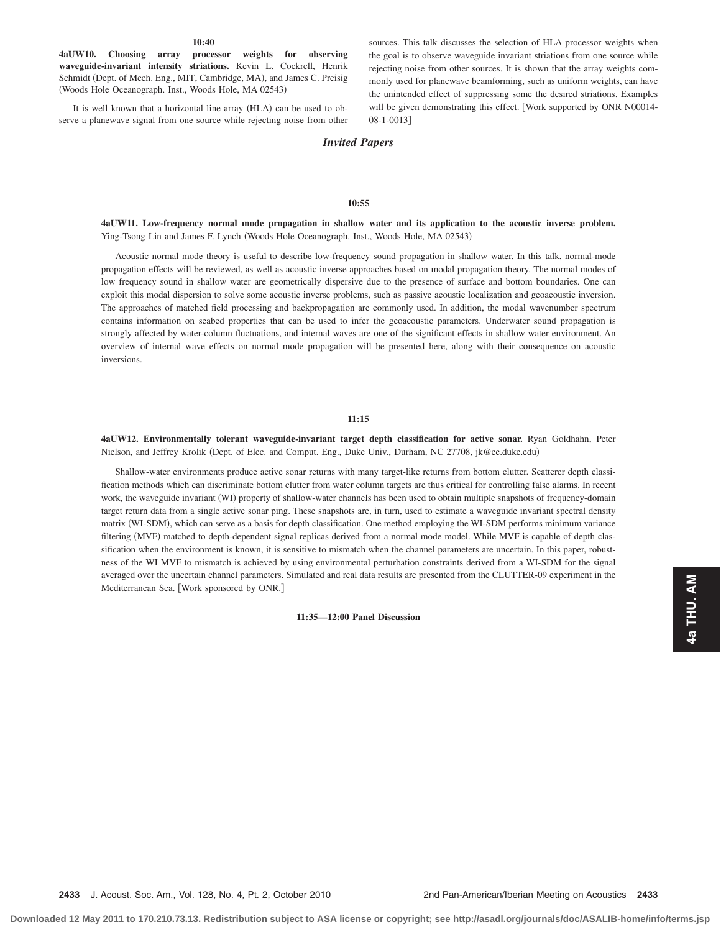**4aUW10. Choosing array processor weights for observing waveguide-invariant intensity striations.** Kevin L. Cockrell, Henrik Schmidt (Dept. of Mech. Eng., MIT, Cambridge, MA), and James C. Preisig (Woods Hole Oceanograph. Inst., Woods Hole, MA 02543)

It is well known that a horizontal line array (HLA) can be used to observe a planewave signal from one source while rejecting noise from other sources. This talk discusses the selection of HLA processor weights when the goal is to observe waveguide invariant striations from one source while rejecting noise from other sources. It is shown that the array weights commonly used for planewave beamforming, such as uniform weights, can have the unintended effect of suppressing some the desired striations. Examples will be given demonstrating this effect. [Work supported by ONR N00014-08-1-0013

# *Invited Papers*

#### **10:55**

**4aUW11. Low-frequency normal mode propagation in shallow water and its application to the acoustic inverse problem.** Ying-Tsong Lin and James F. Lynch (Woods Hole Oceanograph. Inst., Woods Hole, MA 02543)

Acoustic normal mode theory is useful to describe low-frequency sound propagation in shallow water. In this talk, normal-mode propagation effects will be reviewed, as well as acoustic inverse approaches based on modal propagation theory. The normal modes of low frequency sound in shallow water are geometrically dispersive due to the presence of surface and bottom boundaries. One can exploit this modal dispersion to solve some acoustic inverse problems, such as passive acoustic localization and geoacoustic inversion. The approaches of matched field processing and backpropagation are commonly used. In addition, the modal wavenumber spectrum contains information on seabed properties that can be used to infer the geoacoustic parameters. Underwater sound propagation is strongly affected by water-column fluctuations, and internal waves are one of the significant effects in shallow water environment. An overview of internal wave effects on normal mode propagation will be presented here, along with their consequence on acoustic inversions.

## **11:15**

**4aUW12. Environmentally tolerant waveguide-invariant target depth classification for active sonar.** Ryan Goldhahn, Peter Nielson, and Jeffrey Krolik (Dept. of Elec. and Comput. Eng., Duke Univ., Durham, NC 27708, jk@ee.duke.edu)

Shallow-water environments produce active sonar returns with many target-like returns from bottom clutter. Scatterer depth classification methods which can discriminate bottom clutter from water column targets are thus critical for controlling false alarms. In recent work, the waveguide invariant (WI) property of shallow-water channels has been used to obtain multiple snapshots of frequency-domain target return data from a single active sonar ping. These snapshots are, in turn, used to estimate a waveguide invariant spectral density matrix (WI-SDM), which can serve as a basis for depth classification. One method employing the WI-SDM performs minimum variance filtering (MVF) matched to depth-dependent signal replicas derived from a normal mode model. While MVF is capable of depth classification when the environment is known, it is sensitive to mismatch when the channel parameters are uncertain. In this paper, robustness of the WI MVF to mismatch is achieved by using environmental perturbation constraints derived from a WI-SDM for the signal averaged over the uncertain channel parameters. Simulated and real data results are presented from the CLUTTER-09 experiment in the Mediterranean Sea. [Work sponsored by ONR.]

**11:35—12:00 Panel Discussion**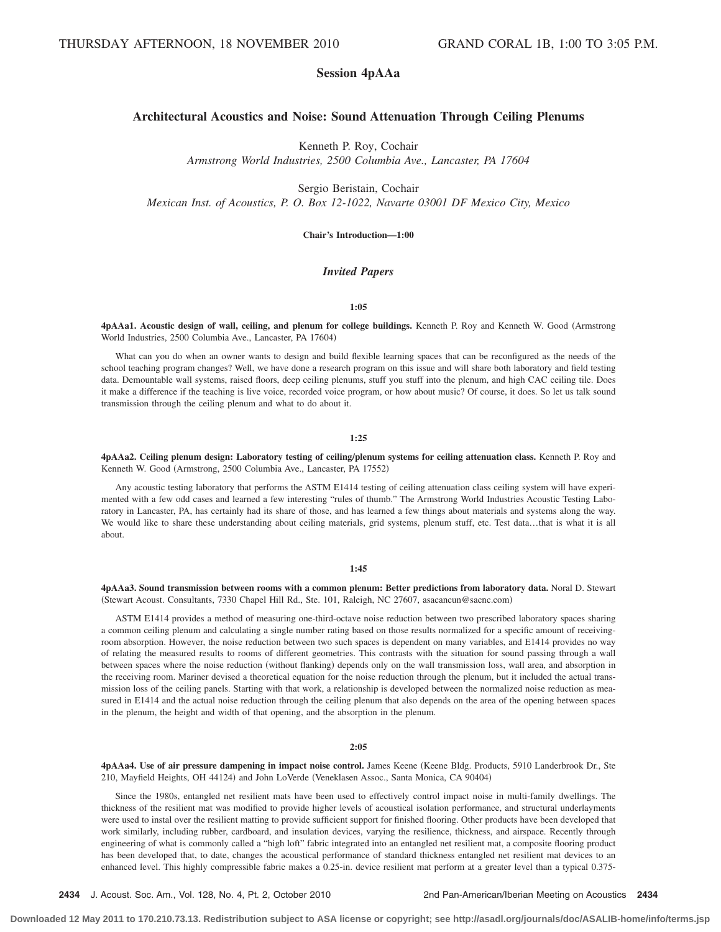# **Session 4pAAa**

# **Architectural Acoustics and Noise: Sound Attenuation Through Ceiling Plenums**

Kenneth P. Roy, Cochair

*Armstrong World Industries, 2500 Columbia Ave., Lancaster, PA 17604*

Sergio Beristain, Cochair *Mexican Inst. of Acoustics, P. O. Box 12-1022, Navarte 03001 DF Mexico City, Mexico*

**Chair's Introduction—1:00**

# *Invited Papers*

## **1:05**

**4pAAa1. Acoustic design of wall, ceiling, and plenum for college buildings.** Kenneth P. Roy and Kenneth W. Good Armstrong World Industries, 2500 Columbia Ave., Lancaster, PA 17604)

What can you do when an owner wants to design and build flexible learning spaces that can be reconfigured as the needs of the school teaching program changes? Well, we have done a research program on this issue and will share both laboratory and field testing data. Demountable wall systems, raised floors, deep ceiling plenums, stuff you stuff into the plenum, and high CAC ceiling tile. Does it make a difference if the teaching is live voice, recorded voice program, or how about music? Of course, it does. So let us talk sound transmission through the ceiling plenum and what to do about it.

## **1:25**

**4pAAa2. Ceiling plenum design: Laboratory testing of ceiling/plenum systems for ceiling attenuation class.** Kenneth P. Roy and Kenneth W. Good (Armstrong, 2500 Columbia Ave., Lancaster, PA 17552)

Any acoustic testing laboratory that performs the ASTM E1414 testing of ceiling attenuation class ceiling system will have experimented with a few odd cases and learned a few interesting "rules of thumb." The Armstrong World Industries Acoustic Testing Laboratory in Lancaster, PA, has certainly had its share of those, and has learned a few things about materials and systems along the way. We would like to share these understanding about ceiling materials, grid systems, plenum stuff, etc. Test data…that is what it is all about.

## **1:45**

**4pAAa3. Sound transmission between rooms with a common plenum: Better predictions from laboratory data.** Noral D. Stewart (Stewart Acoust. Consultants, 7330 Chapel Hill Rd., Ste. 101, Raleigh, NC 27607, asacancun@sacnc.com)

ASTM E1414 provides a method of measuring one-third-octave noise reduction between two prescribed laboratory spaces sharing a common ceiling plenum and calculating a single number rating based on those results normalized for a specific amount of receivingroom absorption. However, the noise reduction between two such spaces is dependent on many variables, and E1414 provides no way of relating the measured results to rooms of different geometries. This contrasts with the situation for sound passing through a wall between spaces where the noise reduction (without flanking) depends only on the wall transmission loss, wall area, and absorption in the receiving room. Mariner devised a theoretical equation for the noise reduction through the plenum, but it included the actual transmission loss of the ceiling panels. Starting with that work, a relationship is developed between the normalized noise reduction as measured in E1414 and the actual noise reduction through the ceiling plenum that also depends on the area of the opening between spaces in the plenum, the height and width of that opening, and the absorption in the plenum.

## **2:05**

**4pAAa4. Use of air pressure dampening in impact noise control.** James Keene Keene Bldg. Products, 5910 Landerbrook Dr., Ste 210, Mayfield Heights, OH 44124) and John LoVerde (Veneklasen Assoc., Santa Monica, CA 90404)

Since the 1980s, entangled net resilient mats have been used to effectively control impact noise in multi-family dwellings. The thickness of the resilient mat was modified to provide higher levels of acoustical isolation performance, and structural underlayments were used to instal over the resilient matting to provide sufficient support for finished flooring. Other products have been developed that work similarly, including rubber, cardboard, and insulation devices, varying the resilience, thickness, and airspace. Recently through engineering of what is commonly called a "high loft" fabric integrated into an entangled net resilient mat, a composite flooring product has been developed that, to date, changes the acoustical performance of standard thickness entangled net resilient mat devices to an enhanced level. This highly compressible fabric makes a 0.25-in. device resilient mat perform at a greater level than a typical 0.375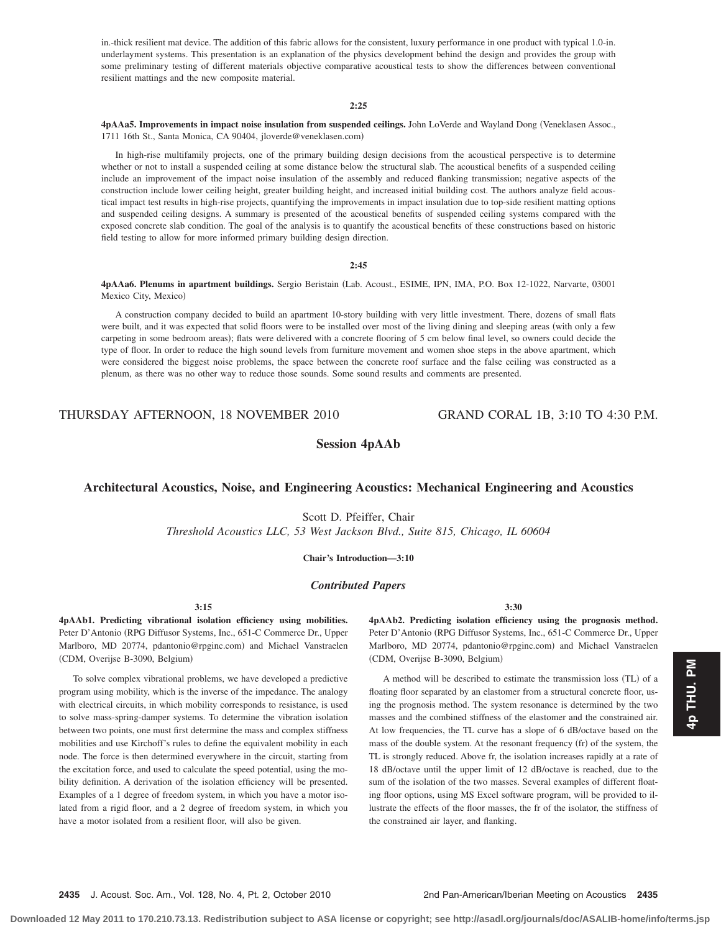in.-thick resilient mat device. The addition of this fabric allows for the consistent, luxury performance in one product with typical 1.0-in. underlayment systems. This presentation is an explanation of the physics development behind the design and provides the group with some preliminary testing of different materials objective comparative acoustical tests to show the differences between conventional resilient mattings and the new composite material.

## **2:25**

**4pAAa5. Improvements in impact noise insulation from suspended ceilings.** John LoVerde and Wayland Dong Veneklasen Assoc., 1711 16th St., Santa Monica, CA 90404, jloverde@veneklasen.com)

In high-rise multifamily projects, one of the primary building design decisions from the acoustical perspective is to determine whether or not to install a suspended ceiling at some distance below the structural slab. The acoustical benefits of a suspended ceiling include an improvement of the impact noise insulation of the assembly and reduced flanking transmission; negative aspects of the construction include lower ceiling height, greater building height, and increased initial building cost. The authors analyze field acoustical impact test results in high-rise projects, quantifying the improvements in impact insulation due to top-side resilient matting options and suspended ceiling designs. A summary is presented of the acoustical benefits of suspended ceiling systems compared with the exposed concrete slab condition. The goal of the analysis is to quantify the acoustical benefits of these constructions based on historic field testing to allow for more informed primary building design direction.

**2:45**

**4pAAa6. Plenums in apartment buildings.** Sergio Beristain Lab. Acoust., ESIME, IPN, IMA, P.O. Box 12-1022, Narvarte, 03001 Mexico City, Mexico)

A construction company decided to build an apartment 10-story building with very little investment. There, dozens of small flats were built, and it was expected that solid floors were to be installed over most of the living dining and sleeping areas (with only a few carpeting in some bedroom areas); flats were delivered with a concrete flooring of 5 cm below final level, so owners could decide the type of floor. In order to reduce the high sound levels from furniture movement and women shoe steps in the above apartment, which were considered the biggest noise problems, the space between the concrete roof surface and the false ceiling was constructed as a plenum, as there was no other way to reduce those sounds. Some sound results and comments are presented.

# THURSDAY AFTERNOON, 18 NOVEMBER 2010 GRAND CORAL 1B, 3:10 TO 4:30 P.M.

# **Session 4pAAb**

# **Architectural Acoustics, Noise, and Engineering Acoustics: Mechanical Engineering and Acoustics**

Scott D. Pfeiffer, Chair

*Threshold Acoustics LLC, 53 West Jackson Blvd., Suite 815, Chicago, IL 60604*

**Chair's Introduction—3:10**

## *Contributed Papers*

**3:15**

**4pAAb1. Predicting vibrational isolation efficiency using mobilities.** Peter D'Antonio (RPG Diffusor Systems, Inc., 651-C Commerce Dr., Upper Marlboro, MD 20774, pdantonio@rpginc.com) and Michael Vanstraelen (CDM, Overijse B-3090, Belgium)

To solve complex vibrational problems, we have developed a predictive program using mobility, which is the inverse of the impedance. The analogy with electrical circuits, in which mobility corresponds to resistance, is used to solve mass-spring-damper systems. To determine the vibration isolation between two points, one must first determine the mass and complex stiffness mobilities and use Kirchoff's rules to define the equivalent mobility in each node. The force is then determined everywhere in the circuit, starting from the excitation force, and used to calculate the speed potential, using the mobility definition. A derivation of the isolation efficiency will be presented. Examples of a 1 degree of freedom system, in which you have a motor isolated from a rigid floor, and a 2 degree of freedom system, in which you have a motor isolated from a resilient floor, will also be given.

**3:30**

**4pAAb2. Predicting isolation efficiency using the prognosis method.** Peter D'Antonio (RPG Diffusor Systems, Inc., 651-C Commerce Dr., Upper Marlboro, MD 20774, pdantonio@rpginc.com) and Michael Vanstraelen (CDM, Overijse B-3090, Belgium)

A method will be described to estimate the transmission loss (TL) of a floating floor separated by an elastomer from a structural concrete floor, using the prognosis method. The system resonance is determined by the two masses and the combined stiffness of the elastomer and the constrained air. At low frequencies, the TL curve has a slope of 6 dB/octave based on the mass of the double system. At the resonant frequency (fr) of the system, the TL is strongly reduced. Above fr, the isolation increases rapidly at a rate of 18 dB/octave until the upper limit of 12 dB/octave is reached, due to the sum of the isolation of the two masses. Several examples of different floating floor options, using MS Excel software program, will be provided to illustrate the effects of the floor masses, the fr of the isolator, the stiffness of the constrained air layer, and flanking.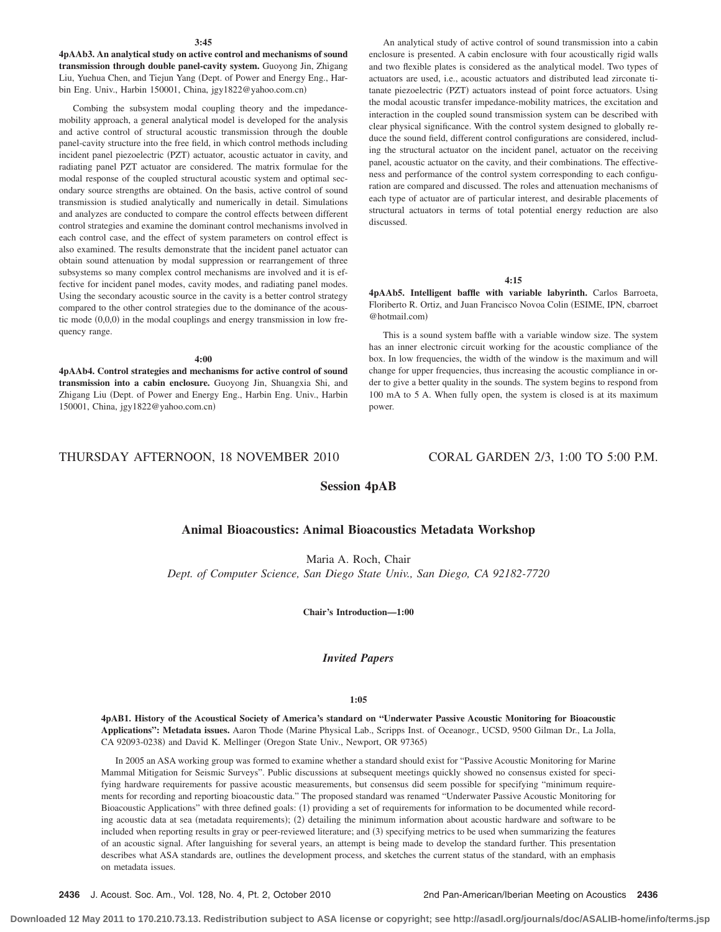**4pAAb3. An analytical study on active control and mechanisms of sound transmission through double panel-cavity system.** Guoyong Jin, Zhigang Liu, Yuehua Chen, and Tiejun Yang (Dept. of Power and Energy Eng., Harbin Eng. Univ., Harbin 150001, China, jgy1822@yahoo.com.cn)

Combing the subsystem modal coupling theory and the impedancemobility approach, a general analytical model is developed for the analysis and active control of structural acoustic transmission through the double panel-cavity structure into the free field, in which control methods including incident panel piezoelectric (PZT) actuator, acoustic actuator in cavity, and radiating panel PZT actuator are considered. The matrix formulae for the modal response of the coupled structural acoustic system and optimal secondary source strengths are obtained. On the basis, active control of sound transmission is studied analytically and numerically in detail. Simulations and analyzes are conducted to compare the control effects between different control strategies and examine the dominant control mechanisms involved in each control case, and the effect of system parameters on control effect is also examined. The results demonstrate that the incident panel actuator can obtain sound attenuation by modal suppression or rearrangement of three subsystems so many complex control mechanisms are involved and it is effective for incident panel modes, cavity modes, and radiating panel modes. Using the secondary acoustic source in the cavity is a better control strategy compared to the other control strategies due to the dominance of the acoustic mode  $(0,0,0)$  in the modal couplings and energy transmission in low frequency range.

**4:00**

**4pAAb4. Control strategies and mechanisms for active control of sound transmission into a cabin enclosure.** Guoyong Jin, Shuangxia Shi, and Zhigang Liu Dept. of Power and Energy Eng., Harbin Eng. Univ., Harbin 150001, China, jgy1822@yahoo.com.cn-

# THURSDAY AFTERNOON, 18 NOVEMBER 2010 CORAL GARDEN 2/3, 1:00 TO 5:00 P.M.

An analytical study of active control of sound transmission into a cabin enclosure is presented. A cabin enclosure with four acoustically rigid walls and two flexible plates is considered as the analytical model. Two types of actuators are used, i.e., acoustic actuators and distributed lead zirconate titanate piezoelectric (PZT) actuators instead of point force actuators. Using the modal acoustic transfer impedance-mobility matrices, the excitation and interaction in the coupled sound transmission system can be described with clear physical significance. With the control system designed to globally reduce the sound field, different control configurations are considered, including the structural actuator on the incident panel, actuator on the receiving panel, acoustic actuator on the cavity, and their combinations. The effectiveness and performance of the control system corresponding to each configuration are compared and discussed. The roles and attenuation mechanisms of each type of actuator are of particular interest, and desirable placements of structural actuators in terms of total potential energy reduction are also discussed.

## **4:15**

**4pAAb5. Intelligent baffle with variable labyrinth.** Carlos Barroeta, Floriberto R. Ortiz, and Juan Francisco Novoa Colin (ESIME, IPN, cbarroet @hotmail.com-

This is a sound system baffle with a variable window size. The system has an inner electronic circuit working for the acoustic compliance of the box. In low frequencies, the width of the window is the maximum and will change for upper frequencies, thus increasing the acoustic compliance in order to give a better quality in the sounds. The system begins to respond from 100 mA to 5 A. When fully open, the system is closed is at its maximum power.

**Session 4pAB**

# **Animal Bioacoustics: Animal Bioacoustics Metadata Workshop**

Maria A. Roch, Chair *Dept. of Computer Science, San Diego State Univ., San Diego, CA 92182-7720*

**Chair's Introduction—1:00**

# *Invited Papers*

## **1:05**

**4pAB1. History of the Acoustical Society of America's standard on "Underwater Passive Acoustic Monitoring for Bioacoustic Applications": Metadata issues.** Aaron Thode Marine Physical Lab., Scripps Inst. of Oceanogr., UCSD, 9500 Gilman Dr., La Jolla, CA 92093-0238) and David K. Mellinger (Oregon State Univ., Newport, OR 97365)

In 2005 an ASA working group was formed to examine whether a standard should exist for "Passive Acoustic Monitoring for Marine Mammal Mitigation for Seismic Surveys". Public discussions at subsequent meetings quickly showed no consensus existed for specifying hardware requirements for passive acoustic measurements, but consensus did seem possible for specifying "minimum requirements for recording and reporting bioacoustic data." The proposed standard was renamed "Underwater Passive Acoustic Monitoring for Bioacoustic Applications" with three defined goals: (1) providing a set of requirements for information to be documented while recording acoustic data at sea (metadata requirements); (2) detailing the minimum information about acoustic hardware and software to be included when reporting results in gray or peer-reviewed literature; and (3) specifying metrics to be used when summarizing the features of an acoustic signal. After languishing for several years, an attempt is being made to develop the standard further. This presentation describes what ASA standards are, outlines the development process, and sketches the current status of the standard, with an emphasis on metadata issues.

**2436** J. Acoust. Soc. Am., Vol. 128, No. 4, Pt. 2, October 2010 2nd Pan-American/Iberian Meeting on Acoustics **2436**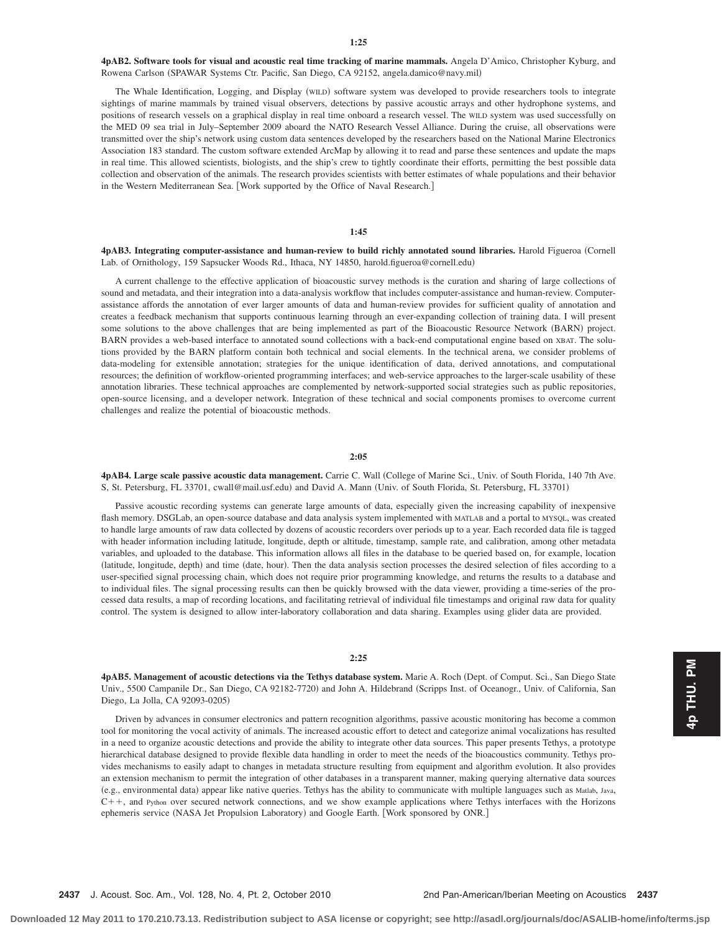**4pAB2. Software tools for visual and acoustic real time tracking of marine mammals.** Angela D'Amico, Christopher Kyburg, and Rowena Carlson (SPAWAR Systems Ctr. Pacific, San Diego, CA 92152, angela.damico@navy.mil)

The Whale Identification, Logging, and Display (WILD) software system was developed to provide researchers tools to integrate sightings of marine mammals by trained visual observers, detections by passive acoustic arrays and other hydrophone systems, and positions of research vessels on a graphical display in real time onboard a research vessel. The WILD system was used successfully on the MED 09 sea trial in July–September 2009 aboard the NATO Research Vessel Alliance. During the cruise, all observations were transmitted over the ship's network using custom data sentences developed by the researchers based on the National Marine Electronics Association 183 standard. The custom software extended ArcMap by allowing it to read and parse these sentences and update the maps in real time. This allowed scientists, biologists, and the ship's crew to tightly coordinate their efforts, permitting the best possible data collection and observation of the animals. The research provides scientists with better estimates of whale populations and their behavior in the Western Mediterranean Sea. [Work supported by the Office of Naval Research.]

# **1:45**

**4pAB3. Integrating computer-assistance and human-review to build richly annotated sound libraries.** Harold Figueroa Cornell Lab. of Ornithology, 159 Sapsucker Woods Rd., Ithaca, NY 14850, harold.figueroa@cornell.edu)

A current challenge to the effective application of bioacoustic survey methods is the curation and sharing of large collections of sound and metadata, and their integration into a data-analysis workflow that includes computer-assistance and human-review. Computerassistance affords the annotation of ever larger amounts of data and human-review provides for sufficient quality of annotation and creates a feedback mechanism that supports continuous learning through an ever-expanding collection of training data. I will present some solutions to the above challenges that are being implemented as part of the Bioacoustic Resource Network (BARN) project. BARN provides a web-based interface to annotated sound collections with a back-end computational engine based on XBAT. The solutions provided by the BARN platform contain both technical and social elements. In the technical arena, we consider problems of data-modeling for extensible annotation; strategies for the unique identification of data, derived annotations, and computational resources; the definition of workflow-oriented programming interfaces; and web-service approaches to the larger-scale usability of these annotation libraries. These technical approaches are complemented by network-supported social strategies such as public repositories, open-source licensing, and a developer network. Integration of these technical and social components promises to overcome current challenges and realize the potential of bioacoustic methods.

## **2:05**

**4pAB4. Large scale passive acoustic data management.** Carrie C. Wall College of Marine Sci., Univ. of South Florida, 140 7th Ave. S, St. Petersburg, FL 33701, cwall@mail.usf.edu) and David A. Mann (Univ. of South Florida, St. Petersburg, FL 33701)

Passive acoustic recording systems can generate large amounts of data, especially given the increasing capability of inexpensive flash memory. DSGLab, an open-source database and data analysis system implemented with MATLAB and a portal to MYSQL, was created to handle large amounts of raw data collected by dozens of acoustic recorders over periods up to a year. Each recorded data file is tagged with header information including latitude, longitude, depth or altitude, timestamp, sample rate, and calibration, among other metadata variables, and uploaded to the database. This information allows all files in the database to be queried based on, for example, location (latitude, longitude, depth) and time (date, hour). Then the data analysis section processes the desired selection of files according to a user-specified signal processing chain, which does not require prior programming knowledge, and returns the results to a database and to individual files. The signal processing results can then be quickly browsed with the data viewer, providing a time-series of the processed data results, a map of recording locations, and facilitating retrieval of individual file timestamps and original raw data for quality control. The system is designed to allow inter-laboratory collaboration and data sharing. Examples using glider data are provided.

## **2:25**

**4pAB5. Management of acoustic detections via the Tethys database system.** Marie A. Roch Dept. of Comput. Sci., San Diego State Univ., 5500 Campanile Dr., San Diego, CA 92182-7720) and John A. Hildebrand (Scripps Inst. of Oceanogr., Univ. of California, San Diego, La Jolla, CA 92093-0205)

Driven by advances in consumer electronics and pattern recognition algorithms, passive acoustic monitoring has become a common tool for monitoring the vocal activity of animals. The increased acoustic effort to detect and categorize animal vocalizations has resulted in a need to organize acoustic detections and provide the ability to integrate other data sources. This paper presents Tethys, a prototype hierarchical database designed to provide flexible data handling in order to meet the needs of the bioacoustics community. Tethys provides mechanisms to easily adapt to changes in metadata structure resulting from equipment and algorithm evolution. It also provides an extension mechanism to permit the integration of other databases in a transparent manner, making querying alternative data sources (e.g., environmental data) appear like native queries. Tethys has the ability to communicate with multiple languages such as Matlab, Java,  $C++$ , and Python over secured network connections, and we show example applications where Tethys interfaces with the Horizons ephemeris service (NASA Jet Propulsion Laboratory) and Google Earth. [Work sponsored by ONR.]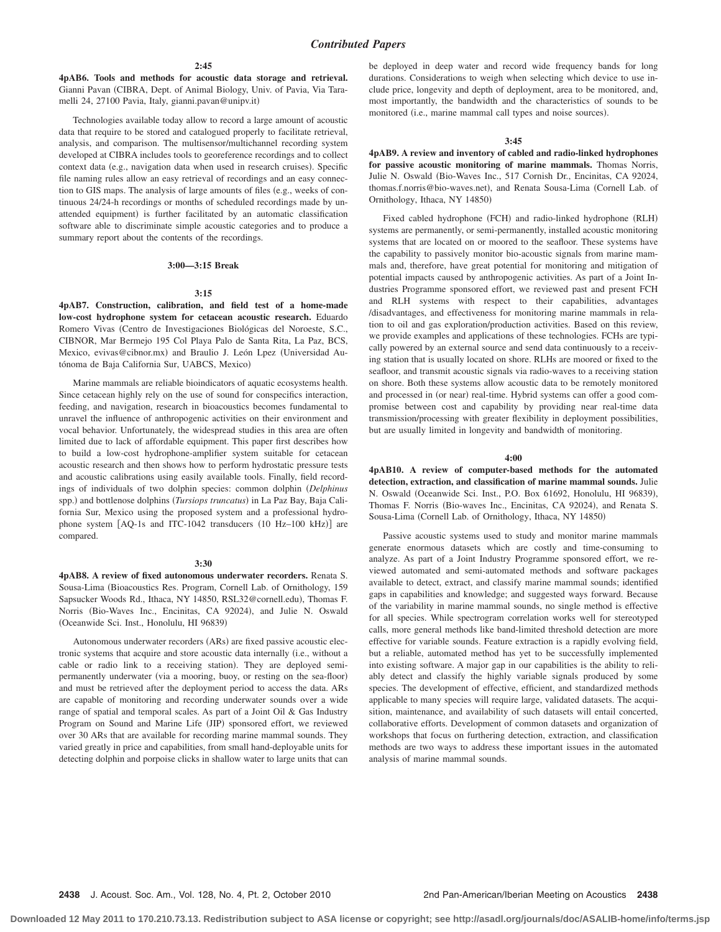## **2:45**

**4pAB6. Tools and methods for acoustic data storage and retrieval.** Gianni Pavan CIBRA, Dept. of Animal Biology, Univ. of Pavia, Via Taramelli 24, 27100 Pavia, Italy, gianni.pavan@unipv.it-

Technologies available today allow to record a large amount of acoustic data that require to be stored and catalogued properly to facilitate retrieval, analysis, and comparison. The multisensor/multichannel recording system developed at CIBRA includes tools to georeference recordings and to collect context data (e.g., navigation data when used in research cruises). Specific file naming rules allow an easy retrieval of recordings and an easy connection to GIS maps. The analysis of large amounts of files (e.g., weeks of continuous 24/24-h recordings or months of scheduled recordings made by unattended equipment) is further facilitated by an automatic classification software able to discriminate simple acoustic categories and to produce a summary report about the contents of the recordings.

## **3:00—3:15 Break**

#### **3:15**

**4pAB7. Construction, calibration, and field test of a home-made low-cost hydrophone system for cetacean acoustic research.** Eduardo Romero Vivas Centro de Investigaciones Biológicas del Noroeste, S.C., CIBNOR, Mar Bermejo 195 Col Playa Palo de Santa Rita, La Paz, BCS, Mexico, evivas@cibnor.mx) and Braulio J. León Lpez (Universidad Autónoma de Baja California Sur, UABCS, Mexico)

Marine mammals are reliable bioindicators of aquatic ecosystems health. Since cetacean highly rely on the use of sound for conspecifics interaction, feeding, and navigation, research in bioacoustics becomes fundamental to unravel the influence of anthropogenic activities on their environment and vocal behavior. Unfortunately, the widespread studies in this area are often limited due to lack of affordable equipment. This paper first describes how to build a low-cost hydrophone-amplifier system suitable for cetacean acoustic research and then shows how to perform hydrostatic pressure tests and acoustic calibrations using easily available tools. Finally, field recordings of individuals of two dolphin species: common dolphin *Delphinus* spp.) and bottlenose dolphins (Tursiops truncatus) in La Paz Bay, Baja California Sur, Mexico using the proposed system and a professional hydrophone system [AQ-1s and ITC-1042 transducers (10 Hz-100 kHz)] are compared.

## **3:30**

**4pAB8. A review of fixed autonomous underwater recorders.** Renata S. Sousa-Lima (Bioacoustics Res. Program, Cornell Lab. of Ornithology, 159 Sapsucker Woods Rd., Ithaca, NY 14850, RSL32@cornell.edu), Thomas F. Norris (Bio-Waves Inc., Encinitas, CA 92024), and Julie N. Oswald (Oceanwide Sci. Inst., Honolulu, HI 96839)

Autonomous underwater recorders (ARs) are fixed passive acoustic electronic systems that acquire and store acoustic data internally (i.e., without a cable or radio link to a receiving station). They are deployed semipermanently underwater (via a mooring, buoy, or resting on the sea-floor) and must be retrieved after the deployment period to access the data. ARs are capable of monitoring and recording underwater sounds over a wide range of spatial and temporal scales. As part of a Joint Oil & Gas Industry Program on Sound and Marine Life (JIP) sponsored effort, we reviewed over 30 ARs that are available for recording marine mammal sounds. They varied greatly in price and capabilities, from small hand-deployable units for detecting dolphin and porpoise clicks in shallow water to large units that can be deployed in deep water and record wide frequency bands for long durations. Considerations to weigh when selecting which device to use include price, longevity and depth of deployment, area to be monitored, and, most importantly, the bandwidth and the characteristics of sounds to be monitored (i.e., marine mammal call types and noise sources).

## **3:45**

**4pAB9. A review and inventory of cabled and radio-linked hydrophones for passive acoustic monitoring of marine mammals.** Thomas Norris, Julie N. Oswald (Bio-Waves Inc., 517 Cornish Dr., Encinitas, CA 92024, thomas.f.norris@bio-waves.net), and Renata Sousa-Lima (Cornell Lab. of Ornithology, Ithaca, NY 14850)

Fixed cabled hydrophone (FCH) and radio-linked hydrophone (RLH) systems are permanently, or semi-permanently, installed acoustic monitoring systems that are located on or moored to the seafloor. These systems have the capability to passively monitor bio-acoustic signals from marine mammals and, therefore, have great potential for monitoring and mitigation of potential impacts caused by anthropogenic activities. As part of a Joint Industries Programme sponsored effort, we reviewed past and present FCH and RLH systems with respect to their capabilities, advantages /disadvantages, and effectiveness for monitoring marine mammals in relation to oil and gas exploration/production activities. Based on this review, we provide examples and applications of these technologies. FCHs are typically powered by an external source and send data continuously to a receiving station that is usually located on shore. RLHs are moored or fixed to the seafloor, and transmit acoustic signals via radio-waves to a receiving station on shore. Both these systems allow acoustic data to be remotely monitored and processed in (or near) real-time. Hybrid systems can offer a good compromise between cost and capability by providing near real-time data transmission/processing with greater flexibility in deployment possibilities, but are usually limited in longevity and bandwidth of monitoring.

## **4:00**

**4pAB10. A review of computer-based methods for the automated detection, extraction, and classification of marine mammal sounds.** Julie N. Oswald (Oceanwide Sci. Inst., P.O. Box 61692, Honolulu, HI 96839), Thomas F. Norris (Bio-waves Inc., Encinitas, CA 92024), and Renata S. Sousa-Lima (Cornell Lab. of Ornithology, Ithaca, NY 14850)

Passive acoustic systems used to study and monitor marine mammals generate enormous datasets which are costly and time-consuming to analyze. As part of a Joint Industry Programme sponsored effort, we reviewed automated and semi-automated methods and software packages available to detect, extract, and classify marine mammal sounds; identified gaps in capabilities and knowledge; and suggested ways forward. Because of the variability in marine mammal sounds, no single method is effective for all species. While spectrogram correlation works well for stereotyped calls, more general methods like band-limited threshold detection are more effective for variable sounds. Feature extraction is a rapidly evolving field, but a reliable, automated method has yet to be successfully implemented into existing software. A major gap in our capabilities is the ability to reliably detect and classify the highly variable signals produced by some species. The development of effective, efficient, and standardized methods applicable to many species will require large, validated datasets. The acquisition, maintenance, and availability of such datasets will entail concerted, collaborative efforts. Development of common datasets and organization of workshops that focus on furthering detection, extraction, and classification methods are two ways to address these important issues in the automated analysis of marine mammal sounds.

**2438** J. Acoust. Soc. Am., Vol. 128, No. 4, Pt. 2, October 2010 2nd Pan-American/Iberian Meeting on Acoustics **2438**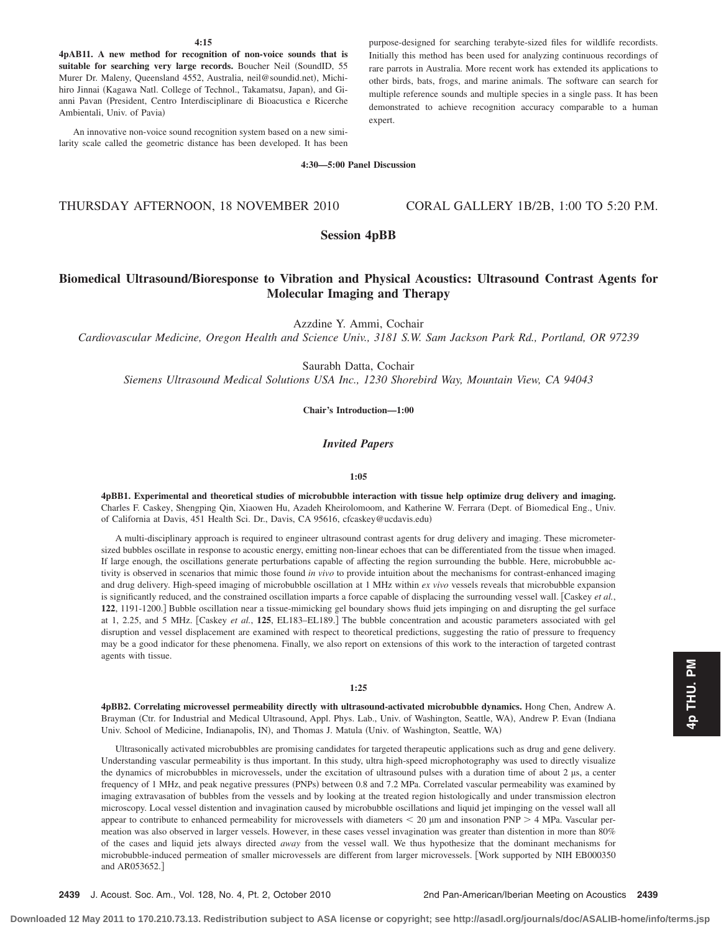**4pAB11. A new method for recognition of non-voice sounds that is** suitable for searching very large records. Boucher Neil (SoundID, 55 Murer Dr. Maleny, Queensland 4552, Australia, neil@soundid.net), Michihiro Jinnai (Kagawa Natl. College of Technol., Takamatsu, Japan), and Gianni Pavan (President, Centro Interdisciplinare di Bioacustica e Ricerche Ambientali, Univ. of Pavia)

An innovative non-voice sound recognition system based on a new similarity scale called the geometric distance has been developed. It has been purpose-designed for searching terabyte-sized files for wildlife recordists. Initially this method has been used for analyzing continuous recordings of rare parrots in Australia. More recent work has extended its applications to other birds, bats, frogs, and marine animals. The software can search for multiple reference sounds and multiple species in a single pass. It has been demonstrated to achieve recognition accuracy comparable to a human expert.

**4:30—5:00 Panel Discussion**

THURSDAY AFTERNOON, 18 NOVEMBER 2010 CORAL GALLERY 1B/2B, 1:00 TO 5:20 P.M.

# **Session 4pBB**

# **Biomedical Ultrasound/Bioresponse to Vibration and Physical Acoustics: Ultrasound Contrast Agents for Molecular Imaging and Therapy**

Azzdine Y. Ammi, Cochair

*Cardiovascular Medicine, Oregon Health and Science Univ., 3181 S.W. Sam Jackson Park Rd., Portland, OR 97239*

Saurabh Datta, Cochair

*Siemens Ultrasound Medical Solutions USA Inc., 1230 Shorebird Way, Mountain View, CA 94043*

**Chair's Introduction—1:00**

# *Invited Papers*

## **1:05**

**4pBB1. Experimental and theoretical studies of microbubble interaction with tissue help optimize drug delivery and imaging.** Charles F. Caskey, Shengping Qin, Xiaowen Hu, Azadeh Kheirolomoom, and Katherine W. Ferrara Dept. of Biomedical Eng., Univ. of California at Davis, 451 Health Sci. Dr., Davis, CA 95616, cfcaskey@ucdavis.edu-

A multi-disciplinary approach is required to engineer ultrasound contrast agents for drug delivery and imaging. These micrometersized bubbles oscillate in response to acoustic energy, emitting non-linear echoes that can be differentiated from the tissue when imaged. If large enough, the oscillations generate perturbations capable of affecting the region surrounding the bubble. Here, microbubble activity is observed in scenarios that mimic those found *in vivo* to provide intuition about the mechanisms for contrast-enhanced imaging and drug delivery. High-speed imaging of microbubble oscillation at 1 MHz within *ex vivo* vessels reveals that microbubble expansion is significantly reduced, and the constrained oscillation imparts a force capable of displacing the surrounding vessel wall. [Caskey et al., **122**, 1191-1200. Bubble oscillation near a tissue-mimicking gel boundary shows fluid jets impinging on and disrupting the gel surface at 1, 2.25, and 5 MHz. Caskey *et al.*, **125**, EL183–EL189. The bubble concentration and acoustic parameters associated with gel disruption and vessel displacement are examined with respect to theoretical predictions, suggesting the ratio of pressure to frequency may be a good indicator for these phenomena. Finally, we also report on extensions of this work to the interaction of targeted contrast agents with tissue.

## **1:25**

**4pBB2. Correlating microvessel permeability directly with ultrasound-activated microbubble dynamics.** Hong Chen, Andrew A. Brayman (Ctr. for Industrial and Medical Ultrasound, Appl. Phys. Lab., Univ. of Washington, Seattle, WA), Andrew P. Evan (Indiana Univ. School of Medicine, Indianapolis, IN), and Thomas J. Matula (Univ. of Washington, Seattle, WA)

Ultrasonically activated microbubbles are promising candidates for targeted therapeutic applications such as drug and gene delivery. Understanding vascular permeability is thus important. In this study, ultra high-speed microphotography was used to directly visualize the dynamics of microbubbles in microvessels, under the excitation of ultrasound pulses with a duration time of about 2 µs, a center frequency of 1 MHz, and peak negative pressures (PNPs) between 0.8 and 7.2 MPa. Correlated vascular permeability was examined by imaging extravasation of bubbles from the vessels and by looking at the treated region histologically and under transmission electron microscopy. Local vessel distention and invagination caused by microbubble oscillations and liquid jet impinging on the vessel wall all appear to contribute to enhanced permeability for microvessels with diameters  $\leq 20 \text{ }\mu\text{m}$  and insonation PNP  $> 4$  MPa. Vascular permeation was also observed in larger vessels. However, in these cases vessel invagination was greater than distention in more than 80% of the cases and liquid jets always directed *away* from the vessel wall. We thus hypothesize that the dominant mechanisms for microbubble-induced permeation of smaller microvessels are different from larger microvessels. Work supported by NIH EB000350 and AR053652.

**2439** J. Acoust. Soc. Am., Vol. 128, No. 4, Pt. 2, October 2010 2nd Pan-American/Iberian Meeting on Acoustics **2439**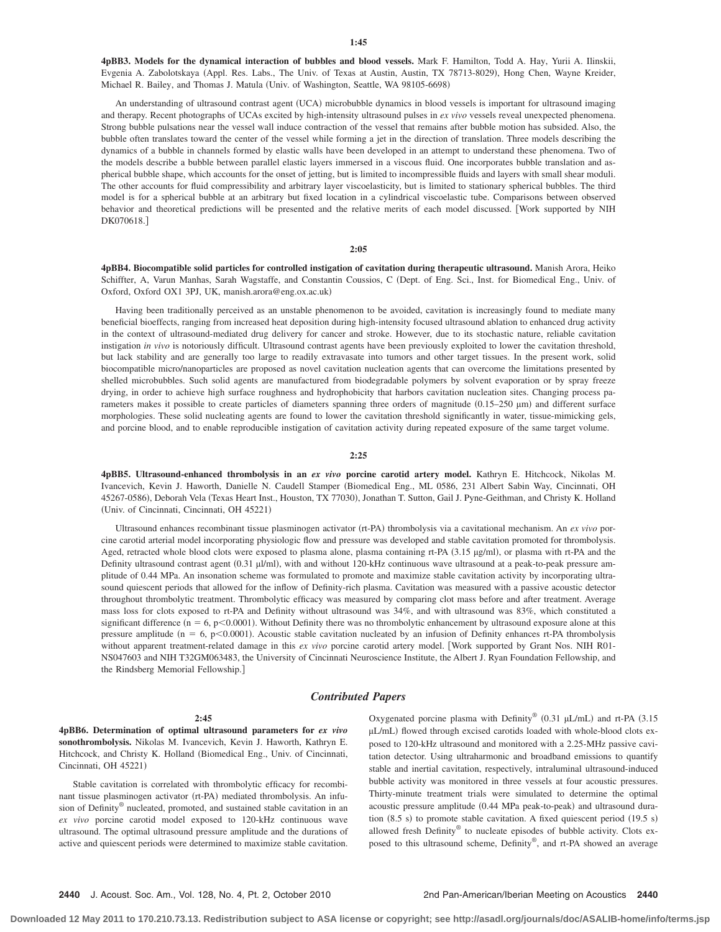**4pBB3. Models for the dynamical interaction of bubbles and blood vessels.** Mark F. Hamilton, Todd A. Hay, Yurii A. Ilinskii, Evgenia A. Zabolotskaya (Appl. Res. Labs., The Univ. of Texas at Austin, Austin, TX 78713-8029), Hong Chen, Wayne Kreider, Michael R. Bailey, and Thomas J. Matula (Univ. of Washington, Seattle, WA 98105-6698)

An understanding of ultrasound contrast agent (UCA) microbubble dynamics in blood vessels is important for ultrasound imaging and therapy. Recent photographs of UCAs excited by high-intensity ultrasound pulses in *ex vivo* vessels reveal unexpected phenomena. Strong bubble pulsations near the vessel wall induce contraction of the vessel that remains after bubble motion has subsided. Also, the bubble often translates toward the center of the vessel while forming a jet in the direction of translation. Three models describing the dynamics of a bubble in channels formed by elastic walls have been developed in an attempt to understand these phenomena. Two of the models describe a bubble between parallel elastic layers immersed in a viscous fluid. One incorporates bubble translation and aspherical bubble shape, which accounts for the onset of jetting, but is limited to incompressible fluids and layers with small shear moduli. The other accounts for fluid compressibility and arbitrary layer viscoelasticity, but is limited to stationary spherical bubbles. The third model is for a spherical bubble at an arbitrary but fixed location in a cylindrical viscoelastic tube. Comparisons between observed behavior and theoretical predictions will be presented and the relative merits of each model discussed. Work supported by NIH DK070618.]

## **2:05**

**4pBB4. Biocompatible solid particles for controlled instigation of cavitation during therapeutic ultrasound.** Manish Arora, Heiko Schiffter, A, Varun Manhas, Sarah Wagstaffe, and Constantin Coussios, C (Dept. of Eng. Sci., Inst. for Biomedical Eng., Univ. of Oxford, Oxford OX1 3PJ, UK, manish.arora@eng.ox.ac.uk-

Having been traditionally perceived as an unstable phenomenon to be avoided, cavitation is increasingly found to mediate many beneficial bioeffects, ranging from increased heat deposition during high-intensity focused ultrasound ablation to enhanced drug activity in the context of ultrasound-mediated drug delivery for cancer and stroke. However, due to its stochastic nature, reliable cavitation instigation *in vivo* is notoriously difficult. Ultrasound contrast agents have been previously exploited to lower the cavitation threshold, but lack stability and are generally too large to readily extravasate into tumors and other target tissues. In the present work, solid biocompatible micro/nanoparticles are proposed as novel cavitation nucleation agents that can overcome the limitations presented by shelled microbubbles. Such solid agents are manufactured from biodegradable polymers by solvent evaporation or by spray freeze drying, in order to achieve high surface roughness and hydrophobicity that harbors cavitation nucleation sites. Changing process parameters makes it possible to create particles of diameters spanning three orders of magnitude (0.15–250 µm) and different surface morphologies. These solid nucleating agents are found to lower the cavitation threshold significantly in water, tissue-mimicking gels, and porcine blood, and to enable reproducible instigation of cavitation activity during repeated exposure of the same target volume.

## **2:25**

**4pBB5. Ultrasound-enhanced thrombolysis in an** *ex vivo* **porcine carotid artery model.** Kathryn E. Hitchcock, Nikolas M. Ivancevich, Kevin J. Haworth, Danielle N. Caudell Stamper (Biomedical Eng., ML 0586, 231 Albert Sabin Way, Cincinnati, OH 45267-0586), Deborah Vela (Texas Heart Inst., Houston, TX 77030), Jonathan T. Sutton, Gail J. Pyne-Geithman, and Christy K. Holland Univ. of Cincinnati, Cincinnati, OH 45221-

Ultrasound enhances recombinant tissue plasminogen activator (rt-PA) thrombolysis via a cavitational mechanism. An *ex vivo* porcine carotid arterial model incorporating physiologic flow and pressure was developed and stable cavitation promoted for thrombolysis. Aged, retracted whole blood clots were exposed to plasma alone, plasma containing rt-PA  $(3.15 \text{ µg/ml})$ , or plasma with rt-PA and the Definity ultrasound contrast agent (0.31 µl/ml), with and without 120-kHz continuous wave ultrasound at a peak-to-peak pressure amplitude of 0.44 MPa. An insonation scheme was formulated to promote and maximize stable cavitation activity by incorporating ultrasound quiescent periods that allowed for the inflow of Definity-rich plasma. Cavitation was measured with a passive acoustic detector throughout thrombolytic treatment. Thrombolytic efficacy was measured by comparing clot mass before and after treatment. Average mass loss for clots exposed to rt-PA and Definity without ultrasound was 34%, and with ultrasound was 83%, which constituted a significant difference  $(n = 6, p<0.0001)$ . Without Definity there was no thrombolytic enhancement by ultrasound exposure alone at this pressure amplitude  $(n = 6, p<0.0001)$ . Acoustic stable cavitation nucleated by an infusion of Definity enhances rt-PA thrombolysis without apparent treatment-related damage in this *ex vivo* porcine carotid artery model. Work supported by Grant Nos. NIH R01- NS047603 and NIH T32GM063483, the University of Cincinnati Neuroscience Institute, the Albert J. Ryan Foundation Fellowship, and the Rindsberg Memorial Fellowship.

# *Contributed Papers*

# **2:45**

**4pBB6. Determination of optimal ultrasound parameters for** *ex vivo* **sonothrombolysis.** Nikolas M. Ivancevich, Kevin J. Haworth, Kathryn E. Hitchcock, and Christy K. Holland (Biomedical Eng., Univ. of Cincinnati, Cincinnati, OH 45221)

Stable cavitation is correlated with thrombolytic efficacy for recombinant tissue plasminogen activator (rt-PA) mediated thrombolysis. An infusion of Definity® nucleated, promoted, and sustained stable cavitation in an *ex vivo* porcine carotid model exposed to 120-kHz continuous wave ultrasound. The optimal ultrasound pressure amplitude and the durations of active and quiescent periods were determined to maximize stable cavitation.

Oxygenated porcine plasma with Definity®  $(0.31 \mu L/mL)$  and rt-PA  $(3.15$ µL/mL) flowed through excised carotids loaded with whole-blood clots exposed to 120-kHz ultrasound and monitored with a 2.25-MHz passive cavitation detector. Using ultraharmonic and broadband emissions to quantify stable and inertial cavitation, respectively, intraluminal ultrasound-induced bubble activity was monitored in three vessels at four acoustic pressures. Thirty-minute treatment trials were simulated to determine the optimal acoustic pressure amplitude (0.44 MPa peak-to-peak) and ultrasound duration  $(8.5 \text{ s})$  to promote stable cavitation. A fixed quiescent period  $(19.5 \text{ s})$ allowed fresh Definity® to nucleate episodes of bubble activity. Clots exposed to this ultrasound scheme, Definity®, and rt-PA showed an average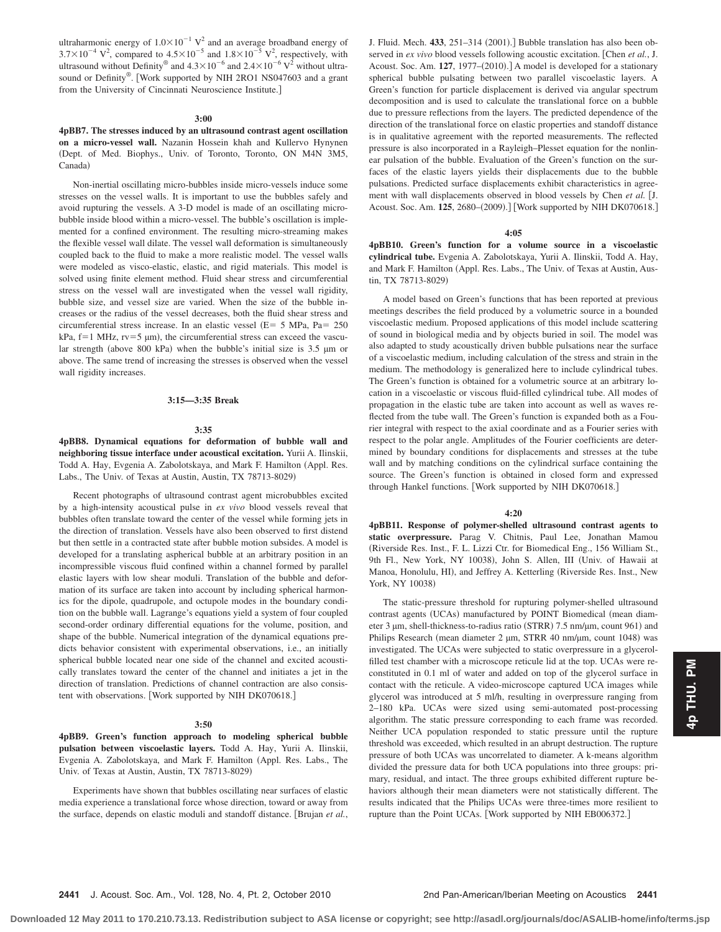ultraharmonic energy of  $1.0\times10^{-1}$  V<sup>2</sup> and an average broadband energy of  $3.7\times10^{-4}$  V<sup>2</sup>, compared to  $4.5\times10^{-5}$  and  $1.8\times10^{-5}$  V<sup>2</sup>, respectively, with ultrasound without Definity® and  $4.3\times10^{-6}$  and  $2.4\times10^{-6}$  V<sup>2</sup> without ultrasound or Definity®. [Work supported by NIH 2RO1 NS047603 and a grant from the University of Cincinnati Neuroscience Institute.

## **3:00**

**4pBB7. The stresses induced by an ultrasound contrast agent oscillation on a micro-vessel wall.** Nazanin Hossein khah and Kullervo Hynynen Dept. of Med. Biophys., Univ. of Toronto, Toronto, ON M4N 3M5, Canada)

Non-inertial oscillating micro-bubbles inside micro-vessels induce some stresses on the vessel walls. It is important to use the bubbles safely and avoid rupturing the vessels. A 3-D model is made of an oscillating microbubble inside blood within a micro-vessel. The bubble's oscillation is implemented for a confined environment. The resulting micro-streaming makes the flexible vessel wall dilate. The vessel wall deformation is simultaneously coupled back to the fluid to make a more realistic model. The vessel walls were modeled as visco-elastic, elastic, and rigid materials. This model is solved using finite element method. Fluid shear stress and circumferential stress on the vessel wall are investigated when the vessel wall rigidity, bubble size, and vessel size are varied. When the size of the bubble increases or the radius of the vessel decreases, both the fluid shear stress and circumferential stress increase. In an elastic vessel ( $E = 5$  MPa,  $Pa = 250$ kPa,  $f=1$  MHz,  $rv=5 \mu m$ ), the circumferential stress can exceed the vascular strength (above 800 kPa) when the bubble's initial size is 3.5 µm or above. The same trend of increasing the stresses is observed when the vessel wall rigidity increases.

## **3:15—3:35 Break**

#### **3:35**

**4pBB8. Dynamical equations for deformation of bubble wall and neighboring tissue interface under acoustical excitation.** Yurii A. Ilinskii, Todd A. Hay, Evgenia A. Zabolotskaya, and Mark F. Hamilton (Appl. Res. Labs., The Univ. of Texas at Austin, Austin, TX 78713-8029)

Recent photographs of ultrasound contrast agent microbubbles excited by a high-intensity acoustical pulse in *ex vivo* blood vessels reveal that bubbles often translate toward the center of the vessel while forming jets in the direction of translation. Vessels have also been observed to first distend but then settle in a contracted state after bubble motion subsides. A model is developed for a translating aspherical bubble at an arbitrary position in an incompressible viscous fluid confined within a channel formed by parallel elastic layers with low shear moduli. Translation of the bubble and deformation of its surface are taken into account by including spherical harmonics for the dipole, quadrupole, and octupole modes in the boundary condition on the bubble wall. Lagrange's equations yield a system of four coupled second-order ordinary differential equations for the volume, position, and shape of the bubble. Numerical integration of the dynamical equations predicts behavior consistent with experimental observations, i.e., an initially spherical bubble located near one side of the channel and excited acoustically translates toward the center of the channel and initiates a jet in the direction of translation. Predictions of channel contraction are also consistent with observations. [Work supported by NIH DK070618.]

## **3:50**

**4pBB9. Green's function approach to modeling spherical bubble pulsation between viscoelastic layers.** Todd A. Hay, Yurii A. Ilinskii, Evgenia A. Zabolotskaya, and Mark F. Hamilton (Appl. Res. Labs., The Univ. of Texas at Austin, Austin, TX 78713-8029)

Experiments have shown that bubbles oscillating near surfaces of elastic media experience a translational force whose direction, toward or away from the surface, depends on elastic moduli and standoff distance. Brujan *et al.*,

J. Fluid. Mech. 433, 251-314 (2001).] Bubble translation has also been observed in *ex vivo* blood vessels following acoustic excitation. [Chen *et al.*, J. Acoust. Soc. Am. 127, 1977-(2010).] A model is developed for a stationary spherical bubble pulsating between two parallel viscoelastic layers. A Green's function for particle displacement is derived via angular spectrum decomposition and is used to calculate the translational force on a bubble due to pressure reflections from the layers. The predicted dependence of the direction of the translational force on elastic properties and standoff distance is in qualitative agreement with the reported measurements. The reflected pressure is also incorporated in a Rayleigh–Plesset equation for the nonlinear pulsation of the bubble. Evaluation of the Green's function on the surfaces of the elastic layers yields their displacements due to the bubble pulsations. Predicted surface displacements exhibit characteristics in agreement with wall displacements observed in blood vessels by Chen *et al.* J. Acoust. Soc. Am. 125, 2680-(2009).] [Work supported by NIH DK070618.]

### **4:05**

**4pBB10. Green's function for a volume source in a viscoelastic cylindrical tube.** Evgenia A. Zabolotskaya, Yurii A. Ilinskii, Todd A. Hay, and Mark F. Hamilton (Appl. Res. Labs., The Univ. of Texas at Austin, Austin, TX 78713-8029)

A model based on Green's functions that has been reported at previous meetings describes the field produced by a volumetric source in a bounded viscoelastic medium. Proposed applications of this model include scattering of sound in biological media and by objects buried in soil. The model was also adapted to study acoustically driven bubble pulsations near the surface of a viscoelastic medium, including calculation of the stress and strain in the medium. The methodology is generalized here to include cylindrical tubes. The Green's function is obtained for a volumetric source at an arbitrary location in a viscoelastic or viscous fluid-filled cylindrical tube. All modes of propagation in the elastic tube are taken into account as well as waves reflected from the tube wall. The Green's function is expanded both as a Fourier integral with respect to the axial coordinate and as a Fourier series with respect to the polar angle. Amplitudes of the Fourier coefficients are determined by boundary conditions for displacements and stresses at the tube wall and by matching conditions on the cylindrical surface containing the source. The Green's function is obtained in closed form and expressed through Hankel functions. [Work supported by NIH DK070618.]

#### **4:20**

**4pBB11. Response of polymer-shelled ultrasound contrast agents to static overpressure.** Parag V. Chitnis, Paul Lee, Jonathan Mamou Riverside Res. Inst., F. L. Lizzi Ctr. for Biomedical Eng., 156 William St., 9th Fl., New York, NY 10038), John S. Allen, III (Univ. of Hawaii at Manoa, Honolulu, HI), and Jeffrey A. Ketterling (Riverside Res. Inst., New York, NY 10038)

The static-pressure threshold for rupturing polymer-shelled ultrasound contrast agents (UCAs) manufactured by POINT Biomedical (mean diameter 3 µm, shell-thickness-to-radius ratio (STRR) 7.5 nm/µm, count 961) and Philips Research (mean diameter 2 µm, STRR 40 nm/µm, count 1048) was investigated. The UCAs were subjected to static overpressure in a glycerolfilled test chamber with a microscope reticule lid at the top. UCAs were reconstituted in 0.1 ml of water and added on top of the glycerol surface in contact with the reticule. A video-microscope captured UCA images while glycerol was introduced at 5 ml/h, resulting in overpressure ranging from 2–180 kPa. UCAs were sized using semi-automated post-processing algorithm. The static pressure corresponding to each frame was recorded. Neither UCA population responded to static pressure until the rupture threshold was exceeded, which resulted in an abrupt destruction. The rupture pressure of both UCAs was uncorrelated to diameter. A k-means algorithm divided the pressure data for both UCA populations into three groups: primary, residual, and intact. The three groups exhibited different rupture behaviors although their mean diameters were not statistically different. The results indicated that the Philips UCAs were three-times more resilient to rupture than the Point UCAs. [Work supported by NIH EB006372.]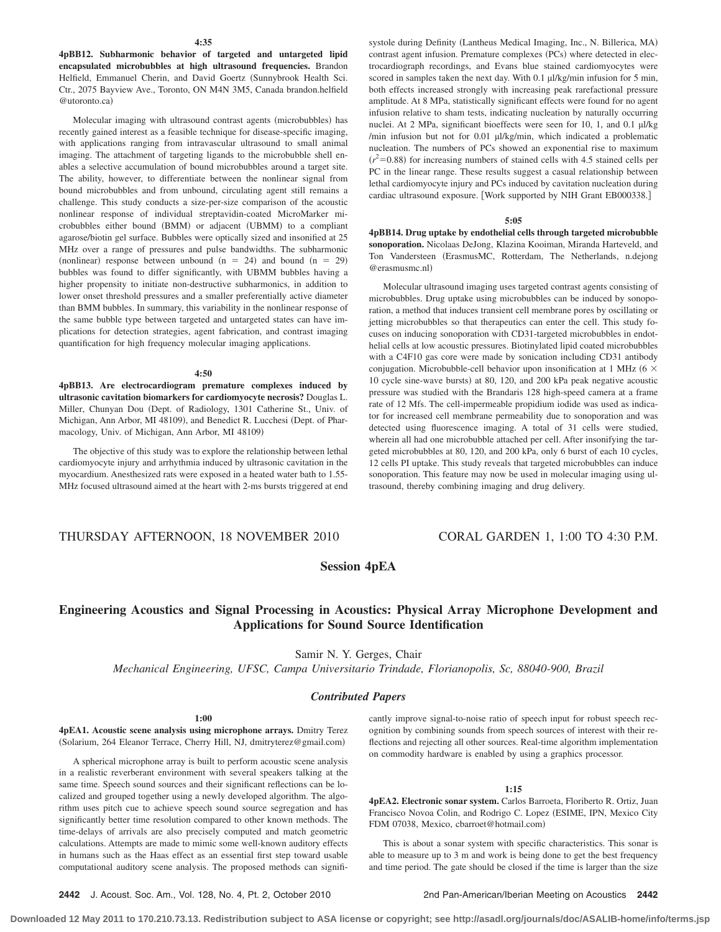**4pBB12. Subharmonic behavior of targeted and untargeted lipid encapsulated microbubbles at high ultrasound frequencies.** Brandon Helfield, Emmanuel Cherin, and David Goertz (Sunnybrook Health Sci. Ctr., 2075 Bayview Ave., Toronto, ON M4N 3M5, Canada brandon.helfield @utoronto.ca)

Molecular imaging with ultrasound contrast agents (microbubbles) has recently gained interest as a feasible technique for disease-specific imaging, with applications ranging from intravascular ultrasound to small animal imaging. The attachment of targeting ligands to the microbubble shell enables a selective accumulation of bound microbubbles around a target site. The ability, however, to differentiate between the nonlinear signal from bound microbubbles and from unbound, circulating agent still remains a challenge. This study conducts a size-per-size comparison of the acoustic nonlinear response of individual streptavidin-coated MicroMarker microbubbles either bound (BMM) or adjacent (UBMM) to a compliant agarose/biotin gel surface. Bubbles were optically sized and insonified at 25 MHz over a range of pressures and pulse bandwidths. The subharmonic (nonlinear) response between unbound  $(n = 24)$  and bound  $(n = 29)$ bubbles was found to differ significantly, with UBMM bubbles having a higher propensity to initiate non-destructive subharmonics, in addition to lower onset threshold pressures and a smaller preferentially active diameter than BMM bubbles. In summary, this variability in the nonlinear response of the same bubble type between targeted and untargeted states can have implications for detection strategies, agent fabrication, and contrast imaging quantification for high frequency molecular imaging applications.

## **4:50**

**4pBB13. Are electrocardiogram premature complexes induced by ultrasonic cavitation biomarkers for cardiomyocyte necrosis?** Douglas L. Miller, Chunyan Dou Dept. of Radiology, 1301 Catherine St., Univ. of Michigan, Ann Arbor, MI 48109), and Benedict R. Lucchesi (Dept. of Pharmacology, Univ. of Michigan, Ann Arbor, MI 48109)

The objective of this study was to explore the relationship between lethal cardiomyocyte injury and arrhythmia induced by ultrasonic cavitation in the myocardium. Anesthesized rats were exposed in a heated water bath to 1.55- MHz focused ultrasound aimed at the heart with 2-ms bursts triggered at end

systole during Definity (Lantheus Medical Imaging, Inc., N. Billerica, MA) contrast agent infusion. Premature complexes (PCs) where detected in electrocardiograph recordings, and Evans blue stained cardiomyocytes were scored in samples taken the next day. With 0.1  $\mu$ l/kg/min infusion for 5 min, both effects increased strongly with increasing peak rarefactional pressure amplitude. At 8 MPa, statistically significant effects were found for no agent infusion relative to sham tests, indicating nucleation by naturally occurring nuclei. At 2 MPa, significant bioeffects were seen for 10, 1, and 0.1  $\mu$ I/kg /min infusion but not for 0.01 µl/kg/min, which indicated a problematic nucleation. The numbers of PCs showed an exponential rise to maximum  $(r<sup>2</sup>=0.88)$  for increasing numbers of stained cells with 4.5 stained cells per PC in the linear range. These results suggest a casual relationship between lethal cardiomyocyte injury and PCs induced by cavitation nucleation during cardiac ultrasound exposure. Work supported by NIH Grant EB000338.

# **5:05**

**4pBB14. Drug uptake by endothelial cells through targeted microbubble sonoporation.** Nicolaas DeJong, Klazina Kooiman, Miranda Harteveld, and Ton Vandersteen (ErasmusMC, Rotterdam, The Netherlands, n.dejong @erasmusmc.nl-

Molecular ultrasound imaging uses targeted contrast agents consisting of microbubbles. Drug uptake using microbubbles can be induced by sonoporation, a method that induces transient cell membrane pores by oscillating or jetting microbubbles so that therapeutics can enter the cell. This study focuses on inducing sonoporation with CD31-targeted microbubbles in endothelial cells at low acoustic pressures. Biotinylated lipid coated microbubbles with a C4F10 gas core were made by sonication including CD31 antibody conjugation. Microbubble-cell behavior upon insonification at 1 MHz (6  $\times$ 10 cycle sine-wave bursts) at 80, 120, and 200 kPa peak negative acoustic pressure was studied with the Brandaris 128 high-speed camera at a frame rate of 12 Mfs. The cell-impermeable propidium iodide was used as indicator for increased cell membrane permeability due to sonoporation and was detected using fluorescence imaging. A total of 31 cells were studied, wherein all had one microbubble attached per cell. After insonifying the targeted microbubbles at 80, 120, and 200 kPa, only 6 burst of each 10 cycles, 12 cells PI uptake. This study reveals that targeted microbubbles can induce sonoporation. This feature may now be used in molecular imaging using ultrasound, thereby combining imaging and drug delivery.

# THURSDAY AFTERNOON, 18 NOVEMBER 2010 CORAL GARDEN 1, 1:00 TO 4:30 P.M.

# **Session 4pEA**

# **Engineering Acoustics and Signal Processing in Acoustics: Physical Array Microphone Development and Applications for Sound Source Identification**

Samir N. Y. Gerges, Chair

*Mechanical Engineering, UFSC, Campa Universitario Trindade, Florianopolis, Sc, 88040-900, Brazil*

# *Contributed Papers*

**1:00**

**4pEA1. Acoustic scene analysis using microphone arrays.** Dmitry Terez (Solarium, 264 Eleanor Terrace, Cherry Hill, NJ, dmitryterez@gmail.com)

A spherical microphone array is built to perform acoustic scene analysis in a realistic reverberant environment with several speakers talking at the same time. Speech sound sources and their significant reflections can be localized and grouped together using a newly developed algorithm. The algorithm uses pitch cue to achieve speech sound source segregation and has significantly better time resolution compared to other known methods. The time-delays of arrivals are also precisely computed and match geometric calculations. Attempts are made to mimic some well-known auditory effects in humans such as the Haas effect as an essential first step toward usable computational auditory scene analysis. The proposed methods can significantly improve signal-to-noise ratio of speech input for robust speech recognition by combining sounds from speech sources of interest with their reflections and rejecting all other sources. Real-time algorithm implementation on commodity hardware is enabled by using a graphics processor.

# **1:15**

**4pEA2. Electronic sonar system.** Carlos Barroeta, Floriberto R. Ortiz, Juan Francisco Novoa Colin, and Rodrigo C. Lopez (ESIME, IPN, Mexico City FDM 07038, Mexico, cbarroet@hotmail.com)

This is about a sonar system with specific characteristics. This sonar is able to measure up to 3 m and work is being done to get the best frequency and time period. The gate should be closed if the time is larger than the size

**2442** J. Acoust. Soc. Am., Vol. 128, No. 4, Pt. 2, October 2010 2nd Pan-American/Iberian Meeting on Acoustics **2442**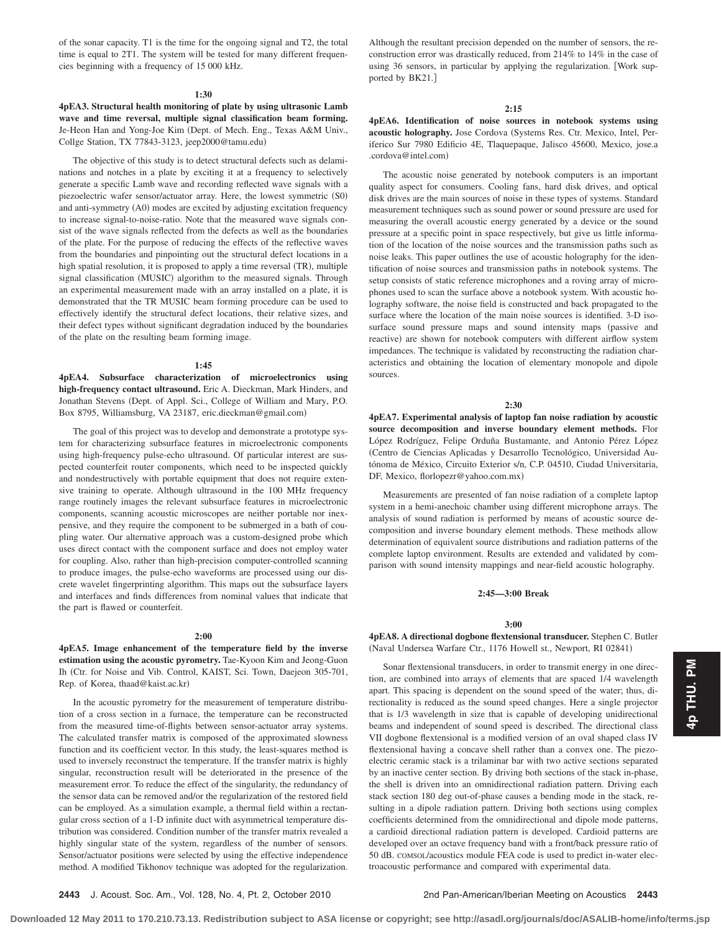of the sonar capacity. T1 is the time for the ongoing signal and T2, the total time is equal to 2T1. The system will be tested for many different frequencies beginning with a frequency of 15 000 kHz.

#### **1:30**

**4pEA3. Structural health monitoring of plate by using ultrasonic Lamb wave and time reversal, multiple signal classification beam forming.** Je-Heon Han and Yong-Joe Kim (Dept. of Mech. Eng., Texas A&M Univ., Collge Station, TX 77843-3123, jeep2000@tamu.edu)

The objective of this study is to detect structural defects such as delaminations and notches in a plate by exciting it at a frequency to selectively generate a specific Lamb wave and recording reflected wave signals with a piezoelectric wafer sensor/actuator array. Here, the lowest symmetric (S0) and anti-symmetry (A0) modes are excited by adjusting excitation frequency to increase signal-to-noise-ratio. Note that the measured wave signals consist of the wave signals reflected from the defects as well as the boundaries of the plate. For the purpose of reducing the effects of the reflective waves from the boundaries and pinpointing out the structural defect locations in a high spatial resolution, it is proposed to apply a time reversal (TR), multiple signal classification (MUSIC) algorithm to the measured signals. Through an experimental measurement made with an array installed on a plate, it is demonstrated that the TR MUSIC beam forming procedure can be used to effectively identify the structural defect locations, their relative sizes, and their defect types without significant degradation induced by the boundaries of the plate on the resulting beam forming image.

#### **1:45**

**4pEA4. Subsurface characterization of microelectronics using high-frequency contact ultrasound.** Eric A. Dieckman, Mark Hinders, and Jonathan Stevens (Dept. of Appl. Sci., College of William and Mary, P.O. Box 8795, Williamsburg, VA 23187, eric.dieckman@gmail.com-

The goal of this project was to develop and demonstrate a prototype system for characterizing subsurface features in microelectronic components using high-frequency pulse-echo ultrasound. Of particular interest are suspected counterfeit router components, which need to be inspected quickly and nondestructively with portable equipment that does not require extensive training to operate. Although ultrasound in the 100 MHz frequency range routinely images the relevant subsurface features in microelectronic components, scanning acoustic microscopes are neither portable nor inexpensive, and they require the component to be submerged in a bath of coupling water. Our alternative approach was a custom-designed probe which uses direct contact with the component surface and does not employ water for coupling. Also, rather than high-precision computer-controlled scanning to produce images, the pulse-echo waveforms are processed using our discrete wavelet fingerprinting algorithm. This maps out the subsurface layers and interfaces and finds differences from nominal values that indicate that the part is flawed or counterfeit.

#### **2:00**

**4pEA5. Image enhancement of the temperature field by the inverse estimation using the acoustic pyrometry.** Tae-Kyoon Kim and Jeong-Guon Ih Ctr. for Noise and Vib. Control, KAIST, Sci. Town, Daejeon 305-701, Rep. of Korea, thaad@kaist.ac.kr)

In the acoustic pyrometry for the measurement of temperature distribution of a cross section in a furnace, the temperature can be reconstructed from the measured time-of-flights between sensor-actuator array systems. The calculated transfer matrix is composed of the approximated slowness function and its coefficient vector. In this study, the least-squares method is used to inversely reconstruct the temperature. If the transfer matrix is highly singular, reconstruction result will be deteriorated in the presence of the measurement error. To reduce the effect of the singularity, the redundancy of the sensor data can be removed and/or the regularization of the restored field can be employed. As a simulation example, a thermal field within a rectangular cross section of a 1-D infinite duct with asymmetrical temperature distribution was considered. Condition number of the transfer matrix revealed a highly singular state of the system, regardless of the number of sensors. Sensor/actuator positions were selected by using the effective independence method. A modified Tikhonov technique was adopted for the regularization.

Although the resultant precision depended on the number of sensors, the reconstruction error was drastically reduced, from 214% to 14% in the case of using 36 sensors, in particular by applying the regularization. Work supported by BK21.

## **2:15**

**4pEA6. Identification of noise sources in notebook systems using** acoustic holography. Jose Cordova (Systems Res. Ctr. Mexico, Intel, Periferico Sur 7980 Edificio 4E, Tlaquepaque, Jalisco 45600, Mexico, jose.a .cordova@intel.com)

The acoustic noise generated by notebook computers is an important quality aspect for consumers. Cooling fans, hard disk drives, and optical disk drives are the main sources of noise in these types of systems. Standard measurement techniques such as sound power or sound pressure are used for measuring the overall acoustic energy generated by a device or the sound pressure at a specific point in space respectively, but give us little information of the location of the noise sources and the transmission paths such as noise leaks. This paper outlines the use of acoustic holography for the identification of noise sources and transmission paths in notebook systems. The setup consists of static reference microphones and a roving array of microphones used to scan the surface above a notebook system. With acoustic holography software, the noise field is constructed and back propagated to the surface where the location of the main noise sources is identified. 3-D isosurface sound pressure maps and sound intensity maps (passive and reactive) are shown for notebook computers with different airflow system impedances. The technique is validated by reconstructing the radiation characteristics and obtaining the location of elementary monopole and dipole sources.

## **2:30**

**4pEA7. Experimental analysis of laptop fan noise radiation by acoustic source decomposition and inverse boundary element methods.** Flor López Rodríguez, Felipe Orduña Bustamante, and Antonio Pérez López Centro de Ciencias Aplicadas y Desarrollo Tecnológico, Universidad Autónoma de México, Circuito Exterior s/n, C.P. 04510, Ciudad Universitaria, DF, Mexico, florlopezr@yahoo.com.mx)

Measurements are presented of fan noise radiation of a complete laptop system in a hemi-anechoic chamber using different microphone arrays. The analysis of sound radiation is performed by means of acoustic source decomposition and inverse boundary element methods. These methods allow determination of equivalent source distributions and radiation patterns of the complete laptop environment. Results are extended and validated by comparison with sound intensity mappings and near-field acoustic holography.

## **2:45—3:00 Break**

#### **3:00**

**4pEA8. A directional dogbone flextensional transducer.** Stephen C. Butler (Naval Undersea Warfare Ctr., 1176 Howell st., Newport, RI 02841)

Sonar flextensional transducers, in order to transmit energy in one direction, are combined into arrays of elements that are spaced 1/4 wavelength apart. This spacing is dependent on the sound speed of the water; thus, directionality is reduced as the sound speed changes. Here a single projector that is 1/3 wavelength in size that is capable of developing unidirectional beams and independent of sound speed is described. The directional class VII dogbone flextensional is a modified version of an oval shaped class IV flextensional having a concave shell rather than a convex one. The piezoelectric ceramic stack is a trilaminar bar with two active sections separated by an inactive center section. By driving both sections of the stack in-phase, the shell is driven into an omnidirectional radiation pattern. Driving each stack section 180 deg out-of-phase causes a bending mode in the stack, resulting in a dipole radiation pattern. Driving both sections using complex coefficients determined from the omnidirectional and dipole mode patterns, a cardioid directional radiation pattern is developed. Cardioid patterns are developed over an octave frequency band with a front/back pressure ratio of 50 dB. COMSOL/acoustics module FEA code is used to predict in-water electroacoustic performance and compared with experimental data.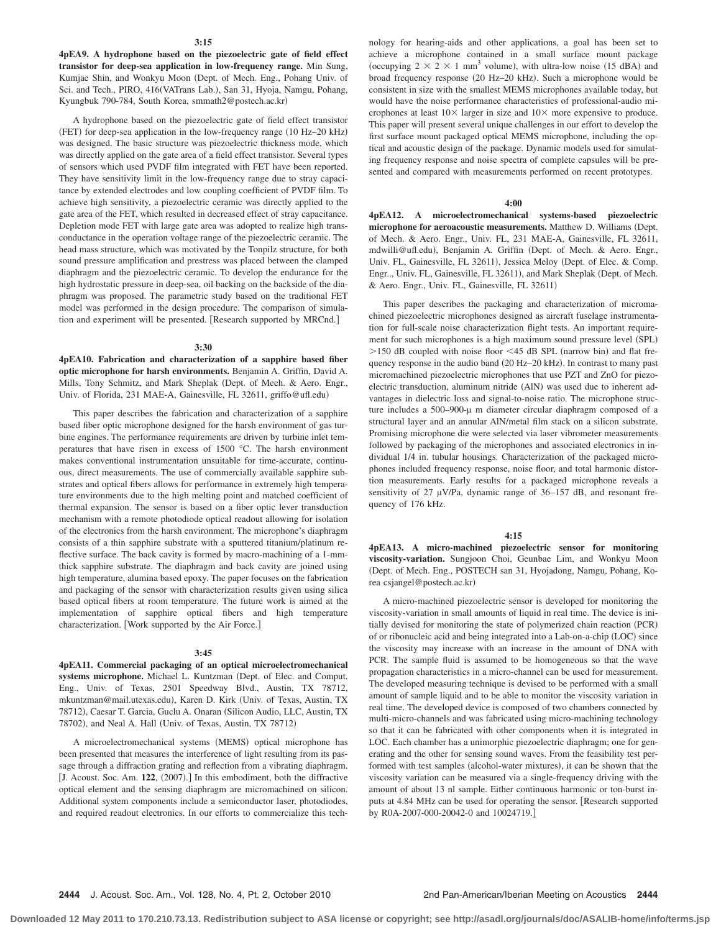**4pEA9. A hydrophone based on the piezoelectric gate of field effect transistor for deep-sea application in low-frequency range.** Min Sung, Kumjae Shin, and Wonkyu Moon Dept. of Mech. Eng., Pohang Univ. of Sci. and Tech., PIRO, 416(VATrans Lab.), San 31, Hyoja, Namgu, Pohang, Kyungbuk 790-784, South Korea, smmath2@postech.ac.kr)

A hydrophone based on the piezoelectric gate of field effect transistor (FET) for deep-sea application in the low-frequency range (10 Hz–20 kHz) was designed. The basic structure was piezoelectric thickness mode, which was directly applied on the gate area of a field effect transistor. Several types of sensors which used PVDF film integrated with FET have been reported. They have sensitivity limit in the low-frequency range due to stray capacitance by extended electrodes and low coupling coefficient of PVDF film. To achieve high sensitivity, a piezoelectric ceramic was directly applied to the gate area of the FET, which resulted in decreased effect of stray capacitance. Depletion mode FET with large gate area was adopted to realize high transconductance in the operation voltage range of the piezoelectric ceramic. The head mass structure, which was motivated by the Tonpilz structure, for both sound pressure amplification and prestress was placed between the clamped diaphragm and the piezoelectric ceramic. To develop the endurance for the high hydrostatic pressure in deep-sea, oil backing on the backside of the diaphragm was proposed. The parametric study based on the traditional FET model was performed in the design procedure. The comparison of simulation and experiment will be presented. [Research supported by MRCnd.]

## **3:30**

**4pEA10. Fabrication and characterization of a sapphire based fiber optic microphone for harsh environments.** Benjamin A. Griffin, David A. Mills, Tony Schmitz, and Mark Sheplak (Dept. of Mech. & Aero. Engr., Univ. of Florida, 231 MAE-A, Gainesville, FL 32611, griffo@ufl.edu)

This paper describes the fabrication and characterization of a sapphire based fiber optic microphone designed for the harsh environment of gas turbine engines. The performance requirements are driven by turbine inlet temperatures that have risen in excess of 1500 °C. The harsh environment makes conventional instrumentation unsuitable for time-accurate, continuous, direct measurements. The use of commercially available sapphire substrates and optical fibers allows for performance in extremely high temperature environments due to the high melting point and matched coefficient of thermal expansion. The sensor is based on a fiber optic lever transduction mechanism with a remote photodiode optical readout allowing for isolation of the electronics from the harsh environment. The microphone's diaphragm consists of a thin sapphire substrate with a sputtered titanium/platinum reflective surface. The back cavity is formed by macro-machining of a 1-mmthick sapphire substrate. The diaphragm and back cavity are joined using high temperature, alumina based epoxy. The paper focuses on the fabrication and packaging of the sensor with characterization results given using silica based optical fibers at room temperature. The future work is aimed at the implementation of sapphire optical fibers and high temperature characterization. Work supported by the Air Force.

#### **3:45**

**4pEA11. Commercial packaging of an optical microelectromechanical** systems microphone. Michael L. Kuntzman (Dept. of Elec. and Comput. Eng., Univ. of Texas, 2501 Speedway Blvd., Austin, TX 78712, mkuntzman@mail.utexas.edu), Karen D. Kirk (Univ. of Texas, Austin, TX 78712), Caesar T. Garcia, Guclu A. Onaran (Silicon Audio, LLC, Austin, TX 78702), and Neal A. Hall (Univ. of Texas, Austin, TX 78712)

A microelectromechanical systems (MEMS) optical microphone has been presented that measures the interference of light resulting from its passage through a diffraction grating and reflection from a vibrating diaphragm. [J. Acoust. Soc. Am. 122, (2007).] In this embodiment, both the diffractive optical element and the sensing diaphragm are micromachined on silicon. Additional system components include a semiconductor laser, photodiodes, and required readout electronics. In our efforts to commercialize this technology for hearing-aids and other applications, a goal has been set to achieve a microphone contained in a small surface mount package (occupying  $2 \times 2 \times 1$  mm<sup>3</sup> volume), with ultra-low noise (15 dBA) and broad frequency response (20 Hz-20 kHz). Such a microphone would be consistent in size with the smallest MEMS microphones available today, but would have the noise performance characteristics of professional-audio microphones at least  $10\times$  larger in size and  $10\times$  more expensive to produce. This paper will present several unique challenges in our effort to develop the first surface mount packaged optical MEMS microphone, including the optical and acoustic design of the package. Dynamic models used for simulating frequency response and noise spectra of complete capsules will be presented and compared with measurements performed on recent prototypes.

## **4:00**

**4pEA12. A microelectromechanical systems-based piezoelectric** microphone for aeroacoustic measurements. Matthew D. Williams (Dept. of Mech. & Aero. Engr., Univ. FL, 231 MAE-A, Gainesville, FL 32611, mdwilli@ufl.edu), Benjamin A. Griffin (Dept. of Mech. & Aero. Engr., Univ. FL, Gainesville, FL 32611), Jessica Meloy (Dept. of Elec. & Comp. Engr.., Univ. FL, Gainesville, FL 32611), and Mark Sheplak (Dept. of Mech. & Aero. Engr., Univ. FL, Gainesville, FL 32611)

This paper describes the packaging and characterization of micromachined piezoelectric microphones designed as aircraft fuselage instrumentation for full-scale noise characterization flight tests. An important requirement for such microphones is a high maximum sound pressure level (SPL)  $>$ 150 dB coupled with noise floor <45 dB SPL (narrow bin) and flat frequency response in the audio band (20 Hz-20 kHz). In contrast to many past micromachined piezoelectric microphones that use PZT and ZnO for piezoelectric transduction, aluminum nitride (AlN) was used due to inherent advantages in dielectric loss and signal-to-noise ratio. The microphone structure includes a 500–900-µ m diameter circular diaphragm composed of a structural layer and an annular AlN/metal film stack on a silicon substrate. Promising microphone die were selected via laser vibrometer measurements followed by packaging of the microphones and associated electronics in individual 1/4 in. tubular housings. Characterization of the packaged microphones included frequency response, noise floor, and total harmonic distortion measurements. Early results for a packaged microphone reveals a sensitivity of 27 µV/Pa, dynamic range of 36-157 dB, and resonant frequency of 176 kHz.

## **4:15**

**4pEA13. A micro-machined piezoelectric sensor for monitoring viscosity-variation.** Sungjoon Choi, Geunbae Lim, and Wonkyu Moon Dept. of Mech. Eng., POSTECH san 31, Hyojadong, Namgu, Pohang, Korea csjangel@postech.ac.kr-

A micro-machined piezoelectric sensor is developed for monitoring the viscosity-variation in small amounts of liquid in real time. The device is initially devised for monitoring the state of polymerized chain reaction (PCR) of or ribonucleic acid and being integrated into a Lab-on-a-chip (LOC) since the viscosity may increase with an increase in the amount of DNA with PCR. The sample fluid is assumed to be homogeneous so that the wave propagation characteristics in a micro-channel can be used for measurement. The developed measuring technique is devised to be performed with a small amount of sample liquid and to be able to monitor the viscosity variation in real time. The developed device is composed of two chambers connected by multi-micro-channels and was fabricated using micro-machining technology so that it can be fabricated with other components when it is integrated in LOC. Each chamber has a unimorphic piezoelectric diaphragm; one for generating and the other for sensing sound waves. From the feasibility test performed with test samples (alcohol-water mixtures), it can be shown that the viscosity variation can be measured via a single-frequency driving with the amount of about 13 nl sample. Either continuous harmonic or ton-burst inputs at 4.84 MHz can be used for operating the sensor. [Research supported by R0A-2007-000-20042-0 and 10024719.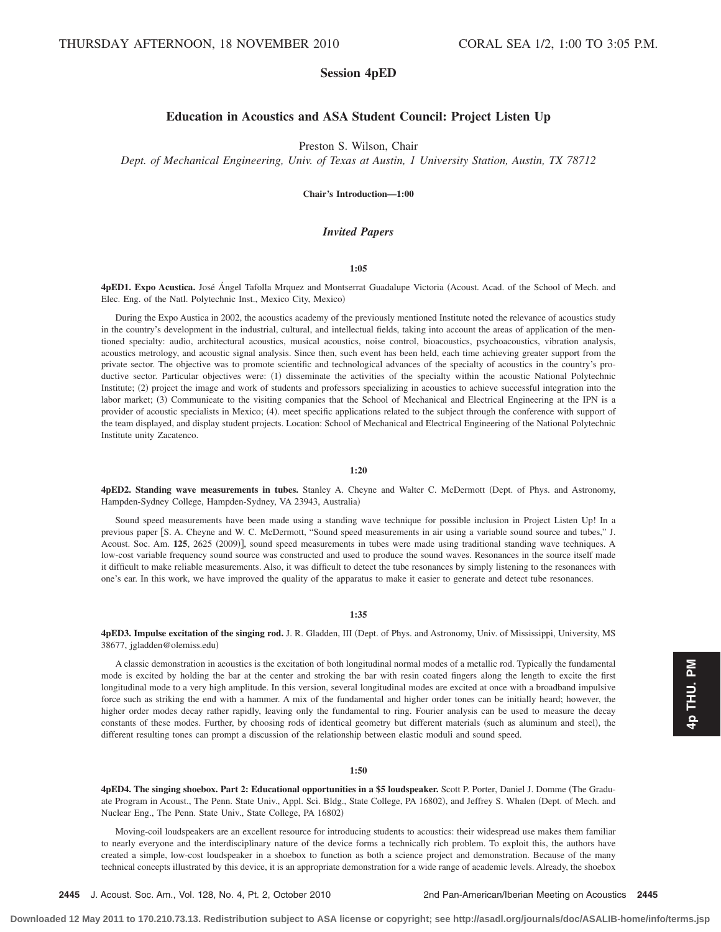# **Session 4pED**

# **Education in Acoustics and ASA Student Council: Project Listen Up**

Preston S. Wilson, Chair

*Dept. of Mechanical Engineering, Univ. of Texas at Austin, 1 University Station, Austin, TX 78712*

## **Chair's Introduction—1:00**

# *Invited Papers*

## **1:05**

4pED1. Expo Acustica. José Ángel Tafolla Mrquez and Montserrat Guadalupe Victoria (Acoust. Acad. of the School of Mech. and Elec. Eng. of the Natl. Polytechnic Inst., Mexico City, Mexico)

During the Expo Austica in 2002, the acoustics academy of the previously mentioned Institute noted the relevance of acoustics study in the country's development in the industrial, cultural, and intellectual fields, taking into account the areas of application of the mentioned specialty: audio, architectural acoustics, musical acoustics, noise control, bioacoustics, psychoacoustics, vibration analysis, acoustics metrology, and acoustic signal analysis. Since then, such event has been held, each time achieving greater support from the private sector. The objective was to promote scientific and technological advances of the specialty of acoustics in the country's productive sector. Particular objectives were: (1) disseminate the activities of the specialty within the acoustic National Polytechnic Institute; (2) project the image and work of students and professors specializing in acoustics to achieve successful integration into the labor market; (3) Communicate to the visiting companies that the School of Mechanical and Electrical Engineering at the IPN is a provider of acoustic specialists in Mexico; (4). meet specific applications related to the subject through the conference with support of the team displayed, and display student projects. Location: School of Mechanical and Electrical Engineering of the National Polytechnic Institute unity Zacatenco.

**1:20**

**4pED2. Standing wave measurements in tubes.** Stanley A. Cheyne and Walter C. McDermott Dept. of Phys. and Astronomy, Hampden-Sydney College, Hampden-Sydney, VA 23943, Australia-

Sound speed measurements have been made using a standing wave technique for possible inclusion in Project Listen Up! In a previous paper [S. A. Cheyne and W. C. McDermott, "Sound speed measurements in air using a variable sound source and tubes," J. Acoust. Soc. Am. 125, 2625 (2009)], sound speed measurements in tubes were made using traditional standing wave techniques. A low-cost variable frequency sound source was constructed and used to produce the sound waves. Resonances in the source itself made it difficult to make reliable measurements. Also, it was difficult to detect the tube resonances by simply listening to the resonances with one's ear. In this work, we have improved the quality of the apparatus to make it easier to generate and detect tube resonances.

**1:35**

**4pED3. Impulse excitation of the singing rod.** J. R. Gladden, III Dept. of Phys. and Astronomy, Univ. of Mississippi, University, MS 38677, jgladden@olemiss.edu-

A classic demonstration in acoustics is the excitation of both longitudinal normal modes of a metallic rod. Typically the fundamental mode is excited by holding the bar at the center and stroking the bar with resin coated fingers along the length to excite the first longitudinal mode to a very high amplitude. In this version, several longitudinal modes are excited at once with a broadband impulsive force such as striking the end with a hammer. A mix of the fundamental and higher order tones can be initially heard; however, the higher order modes decay rather rapidly, leaving only the fundamental to ring. Fourier analysis can be used to measure the decay constants of these modes. Further, by choosing rods of identical geometry but different materials (such as aluminum and steel), the different resulting tones can prompt a discussion of the relationship between elastic moduli and sound speed.

## **1:50**

**4pED4. The singing shoebox. Part 2: Educational opportunities in a \$5 loudspeaker.** Scott P. Porter, Daniel J. Domme The Graduate Program in Acoust., The Penn. State Univ., Appl. Sci. Bldg., State College, PA 16802), and Jeffrey S. Whalen (Dept. of Mech. and Nuclear Eng., The Penn. State Univ., State College, PA 16802)

Moving-coil loudspeakers are an excellent resource for introducing students to acoustics: their widespread use makes them familiar to nearly everyone and the interdisciplinary nature of the device forms a technically rich problem. To exploit this, the authors have created a simple, low-cost loudspeaker in a shoebox to function as both a science project and demonstration. Because of the many technical concepts illustrated by this device, it is an appropriate demonstration for a wide range of academic levels. Already, the shoebox **4p THU. PM**

4p THU. PM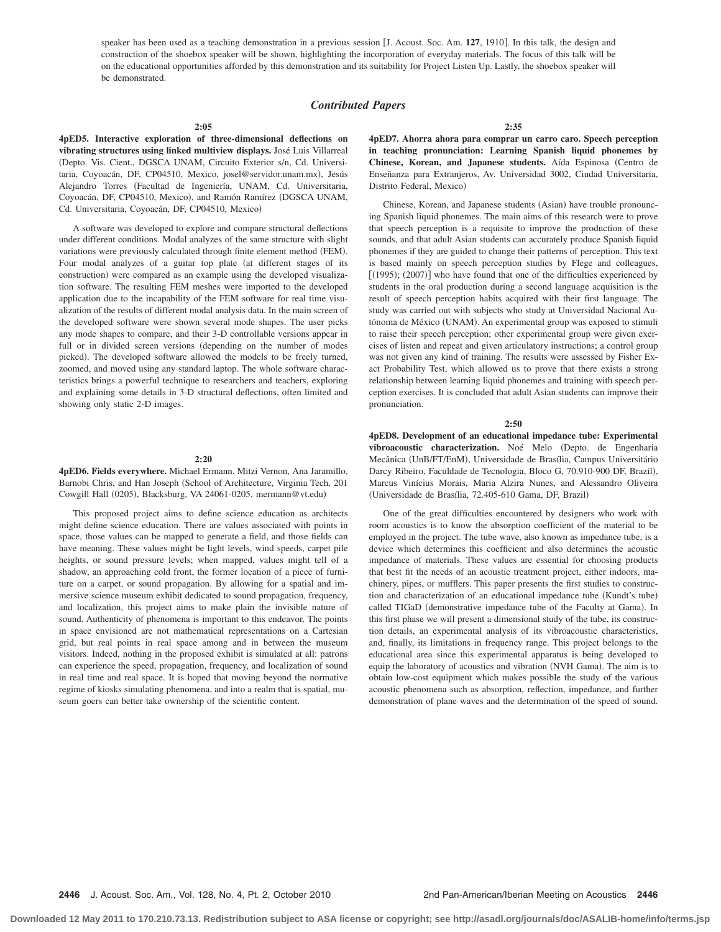speaker has been used as a teaching demonstration in a previous session [J. Acoust. Soc. Am. 127, 1910]. In this talk, the design and construction of the shoebox speaker will be shown, highlighting the incorporation of everyday materials. The focus of this talk will be on the educational opportunities afforded by this demonstration and its suitability for Project Listen Up. Lastly, the shoebox speaker will be demonstrated.

# *Contributed Papers*

## **2:05**

**4pED5. Interactive exploration of three-dimensional deflections on vibrating structures using linked multiview displays.** José Luis Villarreal Depto. Vis. Cient., DGSCA UNAM, Circuito Exterior s/n, Cd. Universitaria, Coyoacán, DF, CP04510, Mexico, josel@servidor.unam.mx), Jesús Alejandro Torres Facultad de Ingeniería, UNAM, Cd. Universitaria, Coyoacán, DF, CP04510, Mexico), and Ramón Ramírez (DGSCA UNAM, Cd. Universitaria, Coyoacán, DF, CP04510, Mexico)

A software was developed to explore and compare structural deflections under different conditions. Modal analyzes of the same structure with slight variations were previously calculated through finite element method (FEM). Four modal analyzes of a guitar top plate (at different stages of its construction) were compared as an example using the developed visualization software. The resulting FEM meshes were imported to the developed application due to the incapability of the FEM software for real time visualization of the results of different modal analysis data. In the main screen of the developed software were shown several mode shapes. The user picks any mode shapes to compare, and their 3-D controllable versions appear in full or in divided screen versions (depending on the number of modes picked). The developed software allowed the models to be freely turned, zoomed, and moved using any standard laptop. The whole software characteristics brings a powerful technique to researchers and teachers, exploring and explaining some details in 3-D structural deflections, often limited and showing only static 2-D images.

## **2:20**

**4pED6. Fields everywhere.** Michael Ermann, Mitzi Vernon, Ana Jaramillo, Barnobi Chris, and Han Joseph (School of Architecture, Virginia Tech, 201 Cowgill Hall (0205), Blacksburg, VA 24061-0205, mermann@vt.edu)

This proposed project aims to define science education as architects might define science education. There are values associated with points in space, those values can be mapped to generate a field, and those fields can have meaning. These values might be light levels, wind speeds, carpet pile heights, or sound pressure levels; when mapped, values might tell of a shadow, an approaching cold front, the former location of a piece of furniture on a carpet, or sound propagation. By allowing for a spatial and immersive science museum exhibit dedicated to sound propagation, frequency, and localization, this project aims to make plain the invisible nature of sound. Authenticity of phenomena is important to this endeavor. The points in space envisioned are not mathematical representations on a Cartesian grid, but real points in real space among and in between the museum visitors. Indeed, nothing in the proposed exhibit is simulated at all: patrons can experience the speed, propagation, frequency, and localization of sound in real time and real space. It is hoped that moving beyond the normative regime of kiosks simulating phenomena, and into a realm that is spatial, museum goers can better take ownership of the scientific content.

**2:35**

**4pED7. Ahorra ahora para comprar un carro caro. Speech perception in teaching pronunciation: Learning Spanish liquid phonemes by Chinese, Korean, and Japanese students.** Aída Espinosa Centro de Enseñanza para Extranjeros, Av. Universidad 3002, Ciudad Universitaria, Distrito Federal, Mexico)

Chinese, Korean, and Japanese students (Asian) have trouble pronouncing Spanish liquid phonemes. The main aims of this research were to prove that speech perception is a requisite to improve the production of these sounds, and that adult Asian students can accurately produce Spanish liquid phonemes if they are guided to change their patterns of perception. This text is based mainly on speech perception studies by Flege and colleagues, [(1995); (2007)] who have found that one of the difficulties experienced by students in the oral production during a second language acquisition is the result of speech perception habits acquired with their first language. The study was carried out with subjects who study at Universidad Nacional Autónoma de México (UNAM). An experimental group was exposed to stimuli to raise their speech perception; other experimental group were given exercises of listen and repeat and given articulatory instructions; a control group was not given any kind of training. The results were assessed by Fisher Exact Probability Test, which allowed us to prove that there exists a strong relationship between learning liquid phonemes and training with speech perception exercises. It is concluded that adult Asian students can improve their pronunciation.

#### **2:50**

**4pED8. Development of an educational impedance tube: Experimental vibroacoustic characterization.** Noé Melo Depto. de Engenharia Mecânica (UnB/FT/EnM), Universidade de Brasília, Campus Universitário Darcy Ribeiro, Faculdade de Tecnologia, Bloco G, 70.910-900 DF, Brazil), Marcus Vinícius Morais, Maria Alzira Nunes, and Alessandro Oliveira Universidade de Brasília, 72.405-610 Gama, DF, Brazil-

One of the great difficulties encountered by designers who work with room acoustics is to know the absorption coefficient of the material to be employed in the project. The tube wave, also known as impedance tube, is a device which determines this coefficient and also determines the acoustic impedance of materials. These values are essential for choosing products that best fit the needs of an acoustic treatment project, either indoors, machinery, pipes, or mufflers. This paper presents the first studies to construction and characterization of an educational impedance tube (Kundt's tube) called TIGaD (demonstrative impedance tube of the Faculty at Gama). In this first phase we will present a dimensional study of the tube, its construction details, an experimental analysis of its vibroacoustic characteristics, and, finally, its limitations in frequency range. This project belongs to the educational area since this experimental apparatus is being developed to equip the laboratory of acoustics and vibration (NVH Gama). The aim is to obtain low-cost equipment which makes possible the study of the various acoustic phenomena such as absorption, reflection, impedance, and further demonstration of plane waves and the determination of the speed of sound.

**Downloaded 12 May 2011 to 170.210.73.13. Redistribution subject to ASA license or copyright; see http://asadl.org/journals/doc/ASALIB-home/info/terms.jsp**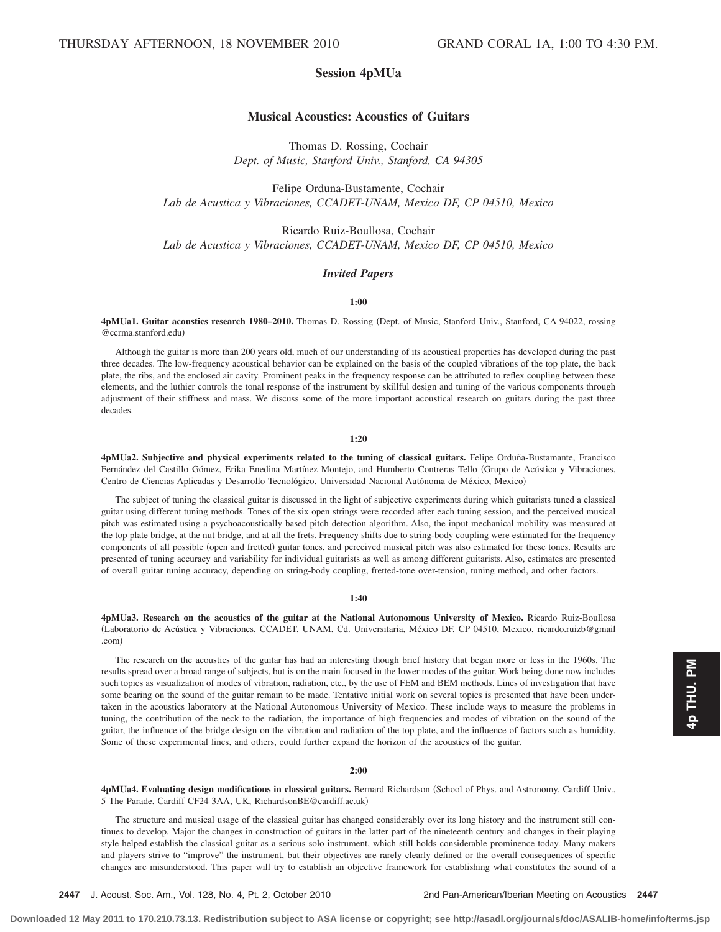# **Session 4pMUa**

# **Musical Acoustics: Acoustics of Guitars**

Thomas D. Rossing, Cochair *Dept. of Music, Stanford Univ., Stanford, CA 94305*

Felipe Orduna-Bustamente, Cochair *Lab de Acustica y Vibraciones, CCADET-UNAM, Mexico DF, CP 04510, Mexico*

# Ricardo Ruiz-Boullosa, Cochair *Lab de Acustica y Vibraciones, CCADET-UNAM, Mexico DF, CP 04510, Mexico*

# *Invited Papers*

## **1:00**

**4pMUa1. Guitar acoustics research 1980–2010.** Thomas D. Rossing Dept. of Music, Stanford Univ., Stanford, CA 94022, rossing @ccrma.stanford.edu-

Although the guitar is more than 200 years old, much of our understanding of its acoustical properties has developed during the past three decades. The low-frequency acoustical behavior can be explained on the basis of the coupled vibrations of the top plate, the back plate, the ribs, and the enclosed air cavity. Prominent peaks in the frequency response can be attributed to reflex coupling between these elements, and the luthier controls the tonal response of the instrument by skillful design and tuning of the various components through adjustment of their stiffness and mass. We discuss some of the more important acoustical research on guitars during the past three decades.

## **1:20**

**4pMUa2. Subjective and physical experiments related to the tuning of classical guitars.** Felipe Orduña-Bustamante, Francisco Fernández del Castillo Gómez, Erika Enedina Martínez Montejo, and Humberto Contreras Tello Grupo de Acústica y Vibraciones, Centro de Ciencias Aplicadas y Desarrollo Tecnológico, Universidad Nacional Autónoma de México, Mexico-

The subject of tuning the classical guitar is discussed in the light of subjective experiments during which guitarists tuned a classical guitar using different tuning methods. Tones of the six open strings were recorded after each tuning session, and the perceived musical pitch was estimated using a psychoacoustically based pitch detection algorithm. Also, the input mechanical mobility was measured at the top plate bridge, at the nut bridge, and at all the frets. Frequency shifts due to string-body coupling were estimated for the frequency components of all possible (open and fretted) guitar tones, and perceived musical pitch was also estimated for these tones. Results are presented of tuning accuracy and variability for individual guitarists as well as among different guitarists. Also, estimates are presented of overall guitar tuning accuracy, depending on string-body coupling, fretted-tone over-tension, tuning method, and other factors.

## **1:40**

**4pMUa3. Research on the acoustics of the guitar at the National Autonomous University of Mexico.** Ricardo Ruiz-Boullosa Laboratorio de Acústica y Vibraciones, CCADET, UNAM, Cd. Universitaria, México DF, CP 04510, Mexico, ricardo.ruizb@gmail .com)

The research on the acoustics of the guitar has had an interesting though brief history that began more or less in the 1960s. The results spread over a broad range of subjects, but is on the main focused in the lower modes of the guitar. Work being done now includes such topics as visualization of modes of vibration, radiation, etc., by the use of FEM and BEM methods. Lines of investigation that have some bearing on the sound of the guitar remain to be made. Tentative initial work on several topics is presented that have been undertaken in the acoustics laboratory at the National Autonomous University of Mexico. These include ways to measure the problems in tuning, the contribution of the neck to the radiation, the importance of high frequencies and modes of vibration on the sound of the guitar, the influence of the bridge design on the vibration and radiation of the top plate, and the influence of factors such as humidity. Some of these experimental lines, and others, could further expand the horizon of the acoustics of the guitar.

## **2:00**

4pMUa4. Evaluating design modifications in classical guitars. Bernard Richardson (School of Phys. and Astronomy, Cardiff Univ., 5 The Parade, Cardiff CF24 3AA, UK, RichardsonBE@cardiff.ac.uk-

The structure and musical usage of the classical guitar has changed considerably over its long history and the instrument still continues to develop. Major the changes in construction of guitars in the latter part of the nineteenth century and changes in their playing style helped establish the classical guitar as a serious solo instrument, which still holds considerable prominence today. Many makers and players strive to "improve" the instrument, but their objectives are rarely clearly defined or the overall consequences of specific changes are misunderstood. This paper will try to establish an objective framework for establishing what constitutes the sound of a **4p THU. PM**

4p THU. PM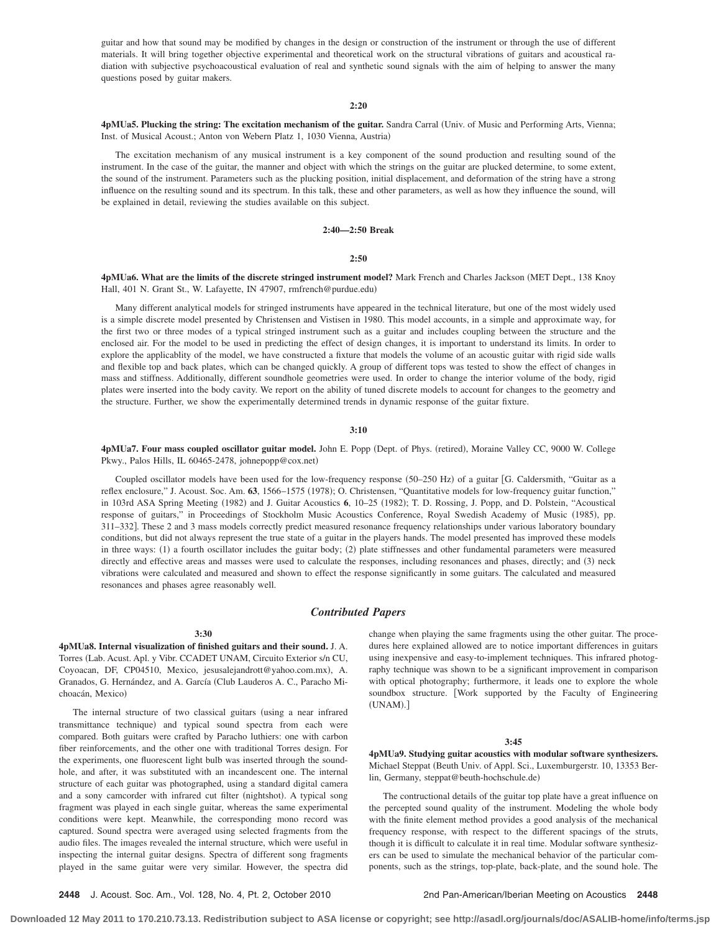guitar and how that sound may be modified by changes in the design or construction of the instrument or through the use of different materials. It will bring together objective experimental and theoretical work on the structural vibrations of guitars and acoustical radiation with subjective psychoacoustical evaluation of real and synthetic sound signals with the aim of helping to answer the many questions posed by guitar makers.

## **2:20**

**4pMUa5. Plucking the string: The excitation mechanism of the guitar.** Sandra Carral Univ. of Music and Performing Arts, Vienna; Inst. of Musical Acoust.; Anton von Webern Platz 1, 1030 Vienna, Austria)

The excitation mechanism of any musical instrument is a key component of the sound production and resulting sound of the instrument. In the case of the guitar, the manner and object with which the strings on the guitar are plucked determine, to some extent, the sound of the instrument. Parameters such as the plucking position, initial displacement, and deformation of the string have a strong influence on the resulting sound and its spectrum. In this talk, these and other parameters, as well as how they influence the sound, will be explained in detail, reviewing the studies available on this subject.

## **2:40—2:50 Break**

### **2:50**

**4pMUa6. What are the limits of the discrete stringed instrument model?** Mark French and Charles Jackson MET Dept., 138 Knoy Hall, 401 N. Grant St., W. Lafayette, IN 47907, rmfrench@purdue.edu)

Many different analytical models for stringed instruments have appeared in the technical literature, but one of the most widely used is a simple discrete model presented by Christensen and Vistisen in 1980. This model accounts, in a simple and approximate way, for the first two or three modes of a typical stringed instrument such as a guitar and includes coupling between the structure and the enclosed air. For the model to be used in predicting the effect of design changes, it is important to understand its limits. In order to explore the applicablity of the model, we have constructed a fixture that models the volume of an acoustic guitar with rigid side walls and flexible top and back plates, which can be changed quickly. A group of different tops was tested to show the effect of changes in mass and stiffness. Additionally, different soundhole geometries were used. In order to change the interior volume of the body, rigid plates were inserted into the body cavity. We report on the ability of tuned discrete models to account for changes to the geometry and the structure. Further, we show the experimentally determined trends in dynamic response of the guitar fixture.

#### **3:10**

4pMUa7. Four mass coupled oscillator guitar model. John E. Popp (Dept. of Phys. (retired), Moraine Valley CC, 9000 W. College Pkwy., Palos Hills, IL 60465-2478, johnepopp@cox.net)

Coupled oscillator models have been used for the low-frequency response (50–250 Hz) of a guitar [G. Caldersmith, "Guitar as a reflex enclosure," J. Acoust. Soc. Am. 63, 1566–1575 (1978); O. Christensen, "Quantitative models for low-frequency guitar function," in 103rd ASA Spring Meeting (1982) and J. Guitar Acoustics 6, 10–25 (1982); T. D. Rossing, J. Popp, and D. Polstein, "Acoustical response of guitars," in Proceedings of Stockholm Music Acoustics Conference, Royal Swedish Academy of Music (1985), pp. 311–332. These 2 and 3 mass models correctly predict measured resonance frequency relationships under various laboratory boundary conditions, but did not always represent the true state of a guitar in the players hands. The model presented has improved these models in three ways: (1) a fourth oscillator includes the guitar body; (2) plate stiffnesses and other fundamental parameters were measured directly and effective areas and masses were used to calculate the responses, including resonances and phases, directly; and (3) neck vibrations were calculated and measured and shown to effect the response significantly in some guitars. The calculated and measured resonances and phases agree reasonably well.

## *Contributed Papers*

### **3:30**

**4pMUa8. Internal visualization of finished guitars and their sound.** J. A. Torres (Lab. Acust. Apl. y Vibr. CCADET UNAM, Circuito Exterior s/n CU, Coyoacan, DF, CP04510, Mexico, jesusalejandrott@yahoo.com.mx), A. Granados, G. Hernández, and A. García Club Lauderos A. C., Paracho Michoacán, Mexico)

The internal structure of two classical guitars (using a near infrared transmittance technique) and typical sound spectra from each were compared. Both guitars were crafted by Paracho luthiers: one with carbon fiber reinforcements, and the other one with traditional Torres design. For the experiments, one fluorescent light bulb was inserted through the soundhole, and after, it was substituted with an incandescent one. The internal structure of each guitar was photographed, using a standard digital camera and a sony camcorder with infrared cut filter (nightshot). A typical song fragment was played in each single guitar, whereas the same experimental conditions were kept. Meanwhile, the corresponding mono record was captured. Sound spectra were averaged using selected fragments from the audio files. The images revealed the internal structure, which were useful in inspecting the internal guitar designs. Spectra of different song fragments played in the same guitar were very similar. However, the spectra did change when playing the same fragments using the other guitar. The procedures here explained allowed are to notice important differences in guitars using inexpensive and easy-to-implement techniques. This infrared photography technique was shown to be a significant improvement in comparison with optical photography; furthermore, it leads one to explore the whole soundbox structure. Work supported by the Faculty of Engineering  $(UNAM).$ 

## **3:45**

**4pMUa9. Studying guitar acoustics with modular software synthesizers.** Michael Steppat (Beuth Univ. of Appl. Sci., Luxemburgerstr. 10, 13353 Berlin, Germany, steppat@beuth-hochschule.de)

The contructional details of the guitar top plate have a great influence on the percepted sound quality of the instrument. Modeling the whole body with the finite element method provides a good analysis of the mechanical frequency response, with respect to the different spacings of the struts, though it is difficult to calculate it in real time. Modular software synthesizers can be used to simulate the mechanical behavior of the particular components, such as the strings, top-plate, back-plate, and the sound hole. The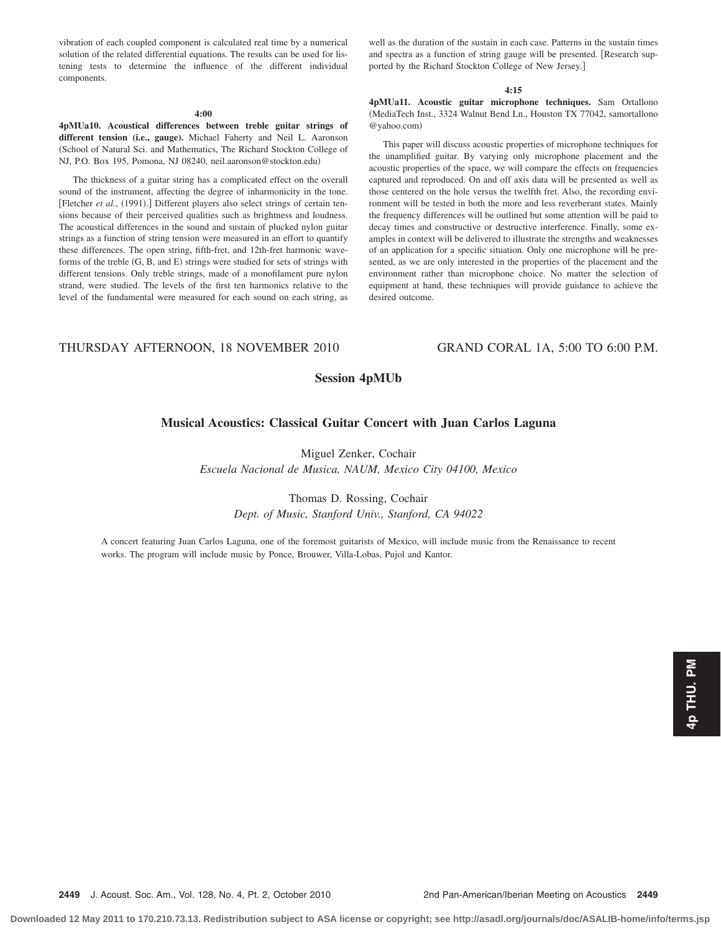vibration of each coupled component is calculated real time by a numerical solution of the related differential equations. The results can be used for listening tests to determine the influence of the different individual components.

## **4:00**

**4pMUa10. Acoustical differences between treble guitar strings of different tension (i.e., gauge).** Michael Faherty and Neil L. Aaronson (School of Natural Sci. and Mathematics, The Richard Stockton College of NJ, P.O. Box 195, Pomona, NJ 08240, neil.aaronson@stockton.edu-

The thickness of a guitar string has a complicated effect on the overall sound of the instrument, affecting the degree of inharmonicity in the tone. [Fletcher et al., (1991).] Different players also select strings of certain tensions because of their perceived qualities such as brightness and loudness. The acoustical differences in the sound and sustain of plucked nylon guitar strings as a function of string tension were measured in an effort to quantify these differences. The open string, fifth-fret, and 12th-fret harmonic waveforms of the treble (G, B, and E) strings were studied for sets of strings with different tensions. Only treble strings, made of a monofilament pure nylon strand, were studied. The levels of the first ten harmonics relative to the level of the fundamental were measured for each sound on each string, as well as the duration of the sustain in each case. Patterns in the sustain times and spectra as a function of string gauge will be presented. Research supported by the Richard Stockton College of New Jersey.

## **4:15**

**4pMUa11. Acoustic guitar microphone techniques.** Sam Ortallono MediaTech Inst., 3324 Walnut Bend Ln., Houston TX 77042, samortallono @yahoo.com)

This paper will discuss acoustic properties of microphone techniques for the unamplified guitar. By varying only microphone placement and the acoustic properties of the space, we will compare the effects on frequencies captured and reproduced. On and off axis data will be presented as well as those centered on the hole versus the twelfth fret. Also, the recording environment will be tested in both the more and less reverberant states. Mainly the frequency differences will be outlined but some attention will be paid to decay times and constructive or destructive interference. Finally, some examples in context will be delivered to illustrate the strengths and weaknesses of an application for a specific situation. Only one microphone will be presented, as we are only interested in the properties of the placement and the environment rather than microphone choice. No matter the selection of equipment at hand, these techniques will provide guidance to achieve the desired outcome.

# THURSDAY AFTERNOON, 18 NOVEMBER 2010 GRAND CORAL 1A, 5:00 TO 6:00 P.M.

# **Session 4pMUb**

# **Musical Acoustics: Classical Guitar Concert with Juan Carlos Laguna**

Miguel Zenker, Cochair

*Escuela Nacional de Musica, NAUM, Mexico City 04100, Mexico*

# Thomas D. Rossing, Cochair *Dept. of Music, Stanford Univ., Stanford, CA 94022*

A concert featuring Juan Carlos Laguna, one of the foremost guitarists of Mexico, will include music from the Renaissance to recent works. The program will include music by Ponce, Brouwer, Villa-Lobas, Pujol and Kantor.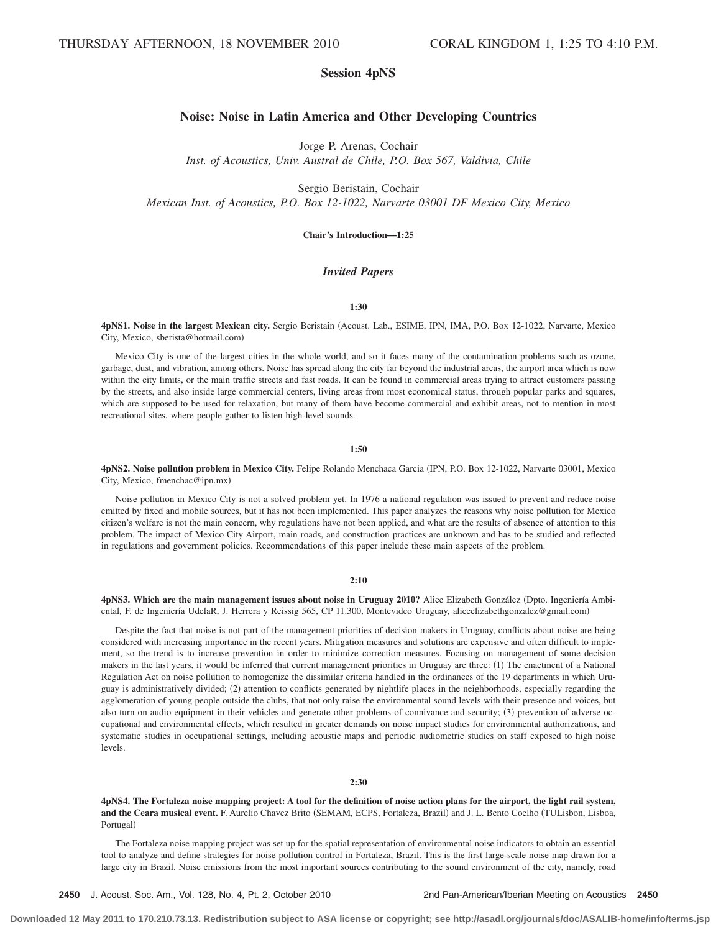# **Session 4pNS**

# **Noise: Noise in Latin America and Other Developing Countries**

Jorge P. Arenas, Cochair *Inst. of Acoustics, Univ. Austral de Chile, P.O. Box 567, Valdivia, Chile*

Sergio Beristain, Cochair *Mexican Inst. of Acoustics, P.O. Box 12-1022, Narvarte 03001 DF Mexico City, Mexico*

**Chair's Introduction—1:25**

# *Invited Papers*

## **1:30**

**4pNS1. Noise in the largest Mexican city.** Sergio Beristain Acoust. Lab., ESIME, IPN, IMA, P.O. Box 12-1022, Narvarte, Mexico City, Mexico, sberista@hotmail.com-

Mexico City is one of the largest cities in the whole world, and so it faces many of the contamination problems such as ozone, garbage, dust, and vibration, among others. Noise has spread along the city far beyond the industrial areas, the airport area which is now within the city limits, or the main traffic streets and fast roads. It can be found in commercial areas trying to attract customers passing by the streets, and also inside large commercial centers, living areas from most economical status, through popular parks and squares, which are supposed to be used for relaxation, but many of them have become commercial and exhibit areas, not to mention in most recreational sites, where people gather to listen high-level sounds.

#### **1:50**

**4pNS2. Noise pollution problem in Mexico City.** Felipe Rolando Menchaca Garcia IPN, P.O. Box 12-1022, Narvarte 03001, Mexico City, Mexico, fmenchac@ipn.mx-

Noise pollution in Mexico City is not a solved problem yet. In 1976 a national regulation was issued to prevent and reduce noise emitted by fixed and mobile sources, but it has not been implemented. This paper analyzes the reasons why noise pollution for Mexico citizen's welfare is not the main concern, why regulations have not been applied, and what are the results of absence of attention to this problem. The impact of Mexico City Airport, main roads, and construction practices are unknown and has to be studied and reflected in regulations and government policies. Recommendations of this paper include these main aspects of the problem.

## **2:10**

**4pNS3. Which are the main management issues about noise in Uruguay 2010?** Alice Elizabeth González Dpto. Ingeniería Ambiental, F. de Ingeniería UdelaR, J. Herrera y Reissig 565, CP 11.300, Montevideo Uruguay, aliceelizabethgonzalez@gmail.com-

Despite the fact that noise is not part of the management priorities of decision makers in Uruguay, conflicts about noise are being considered with increasing importance in the recent years. Mitigation measures and solutions are expensive and often difficult to implement, so the trend is to increase prevention in order to minimize correction measures. Focusing on management of some decision makers in the last years, it would be inferred that current management priorities in Uruguay are three: (1) The enactment of a National Regulation Act on noise pollution to homogenize the dissimilar criteria handled in the ordinances of the 19 departments in which Uruguay is administratively divided; (2) attention to conflicts generated by nightlife places in the neighborhoods, especially regarding the agglomeration of young people outside the clubs, that not only raise the environmental sound levels with their presence and voices, but also turn on audio equipment in their vehicles and generate other problems of connivance and security; (3) prevention of adverse occupational and environmental effects, which resulted in greater demands on noise impact studies for environmental authorizations, and systematic studies in occupational settings, including acoustic maps and periodic audiometric studies on staff exposed to high noise levels.

### **2:30**

**4pNS4. The Fortaleza noise mapping project: A tool for the definition of noise action plans for the airport, the light rail system,** and the Ceara musical event. F. Aurelio Chavez Brito (SEMAM, ECPS, Fortaleza, Brazil) and J. L. Bento Coelho (TULisbon, Lisboa, Portugal)

The Fortaleza noise mapping project was set up for the spatial representation of environmental noise indicators to obtain an essential tool to analyze and define strategies for noise pollution control in Fortaleza, Brazil. This is the first large-scale noise map drawn for a large city in Brazil. Noise emissions from the most important sources contributing to the sound environment of the city, namely, road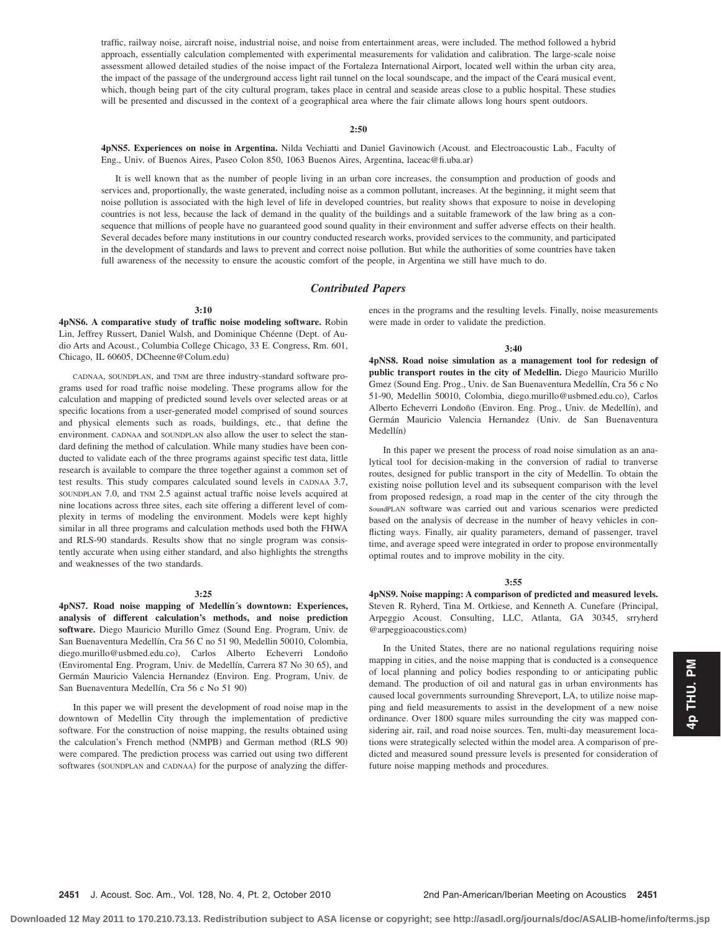traffic, railway noise, aircraft noise, industrial noise, and noise from entertainment areas, were included. The method followed a hybrid approach, essentially calculation complemented with experimental measurements for validation and calibration. The large-scale noise assessment allowed detailed studies of the noise impact of the Fortaleza International Airport, located well within the urban city area, the impact of the passage of the underground access light rail tunnel on the local soundscape, and the impact of the Ceará musical event, which, though being part of the city cultural program, takes place in central and seaside areas close to a public hospital. These studies will be presented and discussed in the context of a geographical area where the fair climate allows long hours spent outdoors.

# **2:50**

4pNS5. Experiences on noise in Argentina. Nilda Vechiatti and Daniel Gavinowich (Acoust. and Electroacoustic Lab., Faculty of Eng., Univ. of Buenos Aires, Paseo Colon 850, 1063 Buenos Aires, Argentina, laceac@fi.uba.ar-

It is well known that as the number of people living in an urban core increases, the consumption and production of goods and services and, proportionally, the waste generated, including noise as a common pollutant, increases. At the beginning, it might seem that noise pollution is associated with the high level of life in developed countries, but reality shows that exposure to noise in developing countries is not less, because the lack of demand in the quality of the buildings and a suitable framework of the law bring as a consequence that millions of people have no guaranteed good sound quality in their environment and suffer adverse effects on their health. Several decades before many institutions in our country conducted research works, provided services to the community, and participated in the development of standards and laws to prevent and correct noise pollution. But while the authorities of some countries have taken full awareness of the necessity to ensure the acoustic comfort of the people, in Argentina we still have much to do.

## *Contributed Papers*

**3:10**

**4pNS6. A comparative study of traffic noise modeling software.** Robin Lin, Jeffrey Russert, Daniel Walsh, and Dominique Chéenne (Dept. of Audio Arts and Acoust., Columbia College Chicago, 33 E. Congress, Rm. 601, Chicago, IL 60605, DCheenne@Colum.edu-

CADNAA, SOUNDPLAN, and TNM are three industry-standard software programs used for road traffic noise modeling. These programs allow for the calculation and mapping of predicted sound levels over selected areas or at specific locations from a user-generated model comprised of sound sources and physical elements such as roads, buildings, etc., that define the environment. CADNAA and SOUNDPLAN also allow the user to select the standard defining the method of calculation. While many studies have been conducted to validate each of the three programs against specific test data, little research is available to compare the three together against a common set of test results. This study compares calculated sound levels in CADNAA 3.7, SOUNDPLAN 7.0, and TNM 2.5 against actual traffic noise levels acquired at nine locations across three sites, each site offering a different level of complexity in terms of modeling the environment. Models were kept highly similar in all three programs and calculation methods used both the FHWA and RLS-90 standards. Results show that no single program was consistently accurate when using either standard, and also highlights the strengths and weaknesses of the two standards.

## **3:25**

**4pNS7. Road noise mapping of Medellín´s downtown: Experiences, analysis of different calculation's methods, and noise prediction** software. Diego Mauricio Murillo Gmez (Sound Eng. Program, Univ. de San Buenaventura Medellín, Cra 56 C no 51 90, Medellin 50010, Colombia, diego.murillo@usbmed.edu.co), Carlos Alberto Echeverri Londoño (Enviromental Eng. Program, Univ. de Medellín, Carrera 87 No 30 65), and Germán Mauricio Valencia Hernandez (Environ. Eng. Program, Univ. de San Buenaventura Medellín, Cra 56 c No 51 90)

In this paper we will present the development of road noise map in the downtown of Medellin City through the implementation of predictive software. For the construction of noise mapping, the results obtained using the calculation's French method (NMPB) and German method (RLS 90) were compared. The prediction process was carried out using two different softwares (SOUNDPLAN and CADNAA) for the purpose of analyzing the differences in the programs and the resulting levels. Finally, noise measurements were made in order to validate the prediction.

## **3:40**

**4pNS8. Road noise simulation as a management tool for redesign of public transport routes in the city of Medellin.** Diego Mauricio Murillo Gmez (Sound Eng. Prog., Univ. de San Buenaventura Medellín, Cra 56 c No 51-90, Medellin 50010, Colombia, diego.murillo@usbmed.edu.co), Carlos Alberto Echeverri Londoño (Environ. Eng. Prog., Univ. de Medellín), and Germán Mauricio Valencia Hernandez Univ. de San Buenaventura Medellín)

In this paper we present the process of road noise simulation as an analytical tool for decision-making in the conversion of radial to tranverse routes, designed for public transport in the city of Medellin. To obtain the existing noise pollution level and its subsequent comparison with the level from proposed redesign, a road map in the center of the city through the SoundPLAN software was carried out and various scenarios were predicted based on the analysis of decrease in the number of heavy vehicles in conflicting ways. Finally, air quality parameters, demand of passenger, travel time, and average speed were integrated in order to propose environmentally optimal routes and to improve mobility in the city.

#### **3:55**

**4pNS9. Noise mapping: A comparison of predicted and measured levels.** Steven R. Ryherd, Tina M. Ortkiese, and Kenneth A. Cunefare (Principal, Arpeggio Acoust. Consulting, LLC, Atlanta, GA 30345, srryherd @arpeggioacoustics.com)

In the United States, there are no national regulations requiring noise mapping in cities, and the noise mapping that is conducted is a consequence of local planning and policy bodies responding to or anticipating public demand. The production of oil and natural gas in urban environments has caused local governments surrounding Shreveport, LA, to utilize noise mapping and field measurements to assist in the development of a new noise ordinance. Over 1800 square miles surrounding the city was mapped considering air, rail, and road noise sources. Ten, multi-day measurement locations were strategically selected within the model area. A comparison of predicted and measured sound pressure levels is presented for consideration of future noise mapping methods and procedures.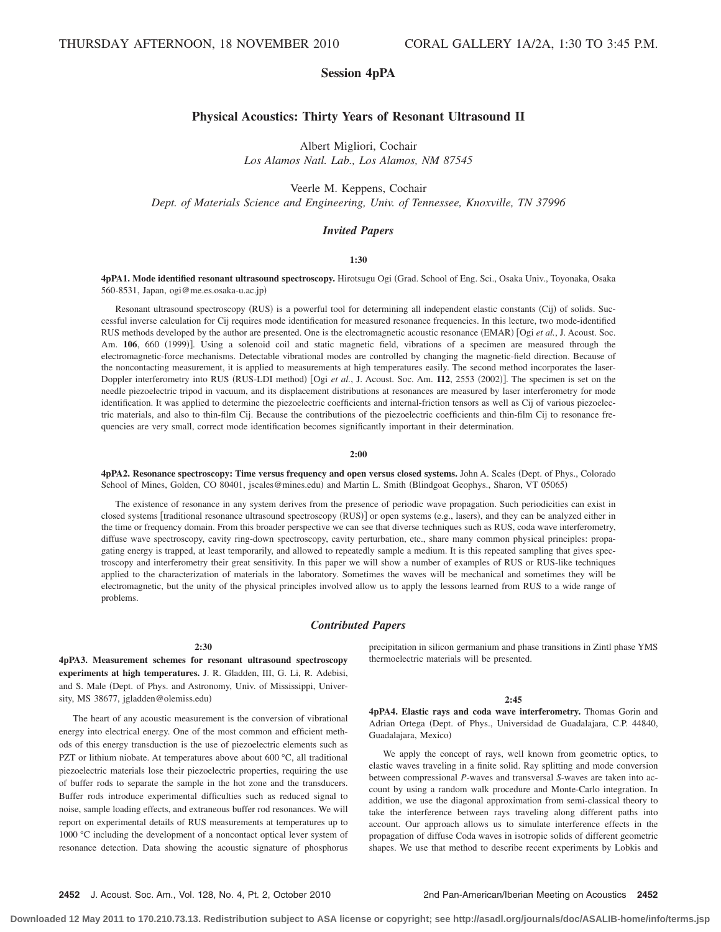## **Session 4pPA**

# **Physical Acoustics: Thirty Years of Resonant Ultrasound II**

Albert Migliori, Cochair *Los Alamos Natl. Lab., Los Alamos, NM 87545*

Veerle M. Keppens, Cochair *Dept. of Materials Science and Engineering, Univ. of Tennessee, Knoxville, TN 37996*

# *Invited Papers*

#### **1:30**

**4pPA1. Mode identified resonant ultrasound spectroscopy.** Hirotsugu Ogi Grad. School of Eng. Sci., Osaka Univ., Toyonaka, Osaka 560-8531, Japan, ogi@me.es.osaka-u.ac.jp)

Resonant ultrasound spectroscopy (RUS) is a powerful tool for determining all independent elastic constants (Cij) of solids. Successful inverse calculation for Cij requires mode identification for measured resonance frequencies. In this lecture, two mode-identified RUS methods developed by the author are presented. One is the electromagnetic acoustic resonance (EMAR) [Ogi et al., J. Acoust. Soc. Am. 106, 660 (1999)]. Using a solenoid coil and static magnetic field, vibrations of a specimen are measured through the electromagnetic-force mechanisms. Detectable vibrational modes are controlled by changing the magnetic-field direction. Because of the noncontacting measurement, it is applied to measurements at high temperatures easily. The second method incorporates the laser-Doppler interferometry into RUS (RUS-LDI method) [Ogi et al., J. Acoust. Soc. Am. 112, 2553 (2002)]. The specimen is set on the needle piezoelectric tripod in vacuum, and its displacement distributions at resonances are measured by laser interferometry for mode identification. It was applied to determine the piezoelectric coefficients and internal-friction tensors as well as Cij of various piezoelectric materials, and also to thin-film Cij. Because the contributions of the piezoelectric coefficients and thin-film Cij to resonance frequencies are very small, correct mode identification becomes significantly important in their determination.

**2:00**

**4pPA2. Resonance spectroscopy: Time versus frequency and open versus closed systems.** John A. Scales Dept. of Phys., Colorado School of Mines, Golden, CO 80401, jscales@mines.edu) and Martin L. Smith (Blindgoat Geophys., Sharon, VT 05065)

The existence of resonance in any system derives from the presence of periodic wave propagation. Such periodicities can exist in closed systems [traditional resonance ultrasound spectroscopy (RUS)] or open systems (e.g., lasers), and they can be analyzed either in the time or frequency domain. From this broader perspective we can see that diverse techniques such as RUS, coda wave interferometry, diffuse wave spectroscopy, cavity ring-down spectroscopy, cavity perturbation, etc., share many common physical principles: propagating energy is trapped, at least temporarily, and allowed to repeatedly sample a medium. It is this repeated sampling that gives spectroscopy and interferometry their great sensitivity. In this paper we will show a number of examples of RUS or RUS-like techniques applied to the characterization of materials in the laboratory. Sometimes the waves will be mechanical and sometimes they will be electromagnetic, but the unity of the physical principles involved allow us to apply the lessons learned from RUS to a wide range of problems.

## *Contributed Papers*

#### **2:30**

**4pPA3. Measurement schemes for resonant ultrasound spectroscopy experiments at high temperatures.** J. R. Gladden, III, G. Li, R. Adebisi, and S. Male (Dept. of Phys. and Astronomy, Univ. of Mississippi, University, MS 38677, jgladden@olemiss.edu)

The heart of any acoustic measurement is the conversion of vibrational energy into electrical energy. One of the most common and efficient methods of this energy transduction is the use of piezoelectric elements such as PZT or lithium niobate. At temperatures above about 600 °C, all traditional piezoelectric materials lose their piezoelectric properties, requiring the use of buffer rods to separate the sample in the hot zone and the transducers. Buffer rods introduce experimental difficulties such as reduced signal to noise, sample loading effects, and extraneous buffer rod resonances. We will report on experimental details of RUS measurements at temperatures up to 1000 °C including the development of a noncontact optical lever system of resonance detection. Data showing the acoustic signature of phosphorus precipitation in silicon germanium and phase transitions in Zintl phase YMS thermoelectric materials will be presented.

## **2:45**

**4pPA4. Elastic rays and coda wave interferometry.** Thomas Gorin and Adrian Ortega (Dept. of Phys., Universidad de Guadalajara, C.P. 44840, Guadalajara, Mexico)

We apply the concept of rays, well known from geometric optics, to elastic waves traveling in a finite solid. Ray splitting and mode conversion between compressional *P*-waves and transversal *S*-waves are taken into account by using a random walk procedure and Monte-Carlo integration. In addition, we use the diagonal approximation from semi-classical theory to take the interference between rays traveling along different paths into account. Our approach allows us to simulate interference effects in the propagation of diffuse Coda waves in isotropic solids of different geometric shapes. We use that method to describe recent experiments by Lobkis and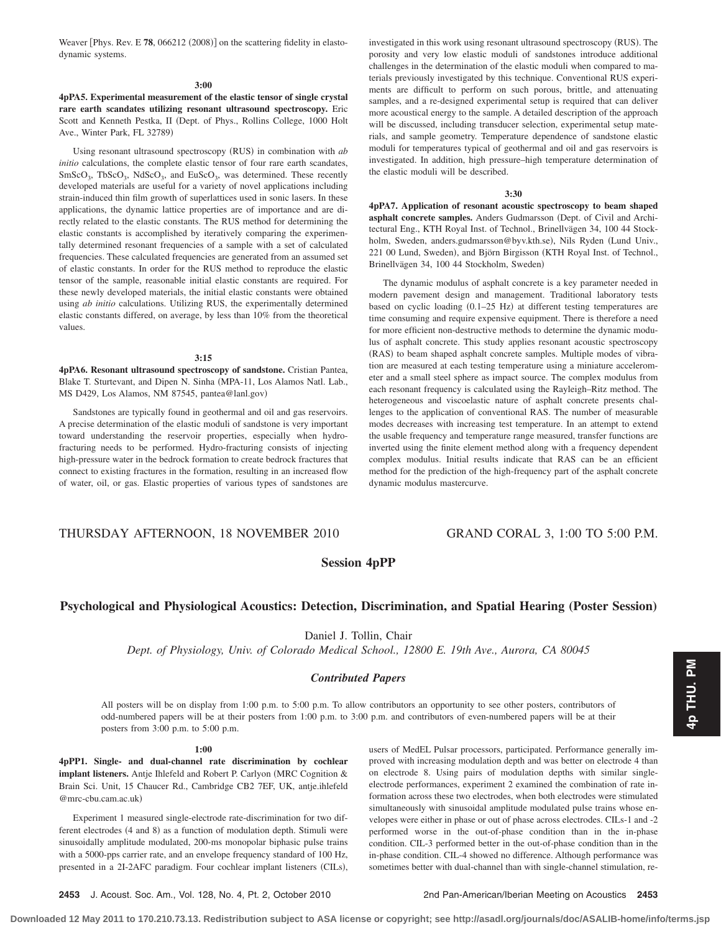Weaver [Phys. Rev. E 78, 066212 (2008)] on the scattering fidelity in elastodynamic systems.

## **3:00**

**4pPA5. Experimental measurement of the elastic tensor of single crystal rare earth scandates utilizing resonant ultrasound spectroscopy.** Eric Scott and Kenneth Pestka, II (Dept. of Phys., Rollins College, 1000 Holt Ave., Winter Park, FL 32789)

Using resonant ultrasound spectroscopy (RUS) in combination with *ab initio* calculations, the complete elastic tensor of four rare earth scandates,  $SmScO<sub>3</sub>$ , TbScO<sub>3</sub>, NdScO<sub>3</sub>, and EuScO<sub>3</sub>, was determined. These recently developed materials are useful for a variety of novel applications including strain-induced thin film growth of superlattices used in sonic lasers. In these applications, the dynamic lattice properties are of importance and are directly related to the elastic constants. The RUS method for determining the elastic constants is accomplished by iteratively comparing the experimentally determined resonant frequencies of a sample with a set of calculated frequencies. These calculated frequencies are generated from an assumed set of elastic constants. In order for the RUS method to reproduce the elastic tensor of the sample, reasonable initial elastic constants are required. For these newly developed materials, the initial elastic constants were obtained using *ab initio* calculations. Utilizing RUS, the experimentally determined elastic constants differed, on average, by less than 10% from the theoretical values.

## **3:15**

**4pPA6. Resonant ultrasound spectroscopy of sandstone.** Cristian Pantea, Blake T. Sturtevant, and Dipen N. Sinha (MPA-11, Los Alamos Natl. Lab., MS D429, Los Alamos, NM 87545, pantea@lanl.gov)

Sandstones are typically found in geothermal and oil and gas reservoirs. A precise determination of the elastic moduli of sandstone is very important toward understanding the reservoir properties, especially when hydrofracturing needs to be performed. Hydro-fracturing consists of injecting high-pressure water in the bedrock formation to create bedrock fractures that connect to existing fractures in the formation, resulting in an increased flow of water, oil, or gas. Elastic properties of various types of sandstones are

investigated in this work using resonant ultrasound spectroscopy (RUS). The porosity and very low elastic moduli of sandstones introduce additional challenges in the determination of the elastic moduli when compared to materials previously investigated by this technique. Conventional RUS experiments are difficult to perform on such porous, brittle, and attenuating samples, and a re-designed experimental setup is required that can deliver more acoustical energy to the sample. A detailed description of the approach will be discussed, including transducer selection, experimental setup materials, and sample geometry. Temperature dependence of sandstone elastic moduli for temperatures typical of geothermal and oil and gas reservoirs is investigated. In addition, high pressure–high temperature determination of the elastic moduli will be described.

## **3:30**

**4pPA7. Application of resonant acoustic spectroscopy to beam shaped** asphalt concrete samples. Anders Gudmarsson (Dept. of Civil and Architectural Eng., KTH Royal Inst. of Technol., Brinellvägen 34, 100 44 Stockholm, Sweden, anders.gudmarsson@byv.kth.se), Nils Ryden (Lund Univ., 221 00 Lund, Sweden), and Björn Birgisson (KTH Royal Inst. of Technol., Brinellvägen 34, 100 44 Stockholm, Sweden)

The dynamic modulus of asphalt concrete is a key parameter needed in modern pavement design and management. Traditional laboratory tests based on cyclic loading (0.1-25 Hz) at different testing temperatures are time consuming and require expensive equipment. There is therefore a need for more efficient non-destructive methods to determine the dynamic modulus of asphalt concrete. This study applies resonant acoustic spectroscopy (RAS) to beam shaped asphalt concrete samples. Multiple modes of vibration are measured at each testing temperature using a miniature accelerometer and a small steel sphere as impact source. The complex modulus from each resonant frequency is calculated using the Rayleigh–Ritz method. The heterogeneous and viscoelastic nature of asphalt concrete presents challenges to the application of conventional RAS. The number of measurable modes decreases with increasing test temperature. In an attempt to extend the usable frequency and temperature range measured, transfer functions are inverted using the finite element method along with a frequency dependent complex modulus. Initial results indicate that RAS can be an efficient method for the prediction of the high-frequency part of the asphalt concrete dynamic modulus mastercurve.

# THURSDAY AFTERNOON, 18 NOVEMBER 2010 GRAND CORAL 3, 1:00 TO 5:00 P.M.

# **Session 4pPP**

# **Psychological and Physiological Acoustics: Detection, Discrimination, and Spatial Hearing (Poster Session)**

Daniel J. Tollin, Chair

*Dept. of Physiology, Univ. of Colorado Medical School., 12800 E. 19th Ave., Aurora, CA 80045*

# *Contributed Papers*

All posters will be on display from 1:00 p.m. to 5:00 p.m. To allow contributors an opportunity to see other posters, contributors of odd-numbered papers will be at their posters from 1:00 p.m. to 3:00 p.m. and contributors of even-numbered papers will be at their posters from 3:00 p.m. to 5:00 p.m.

**4pPP1. Single- and dual-channel rate discrimination by cochlear** implant listeners. Antje Ihlefeld and Robert P. Carlyon (MRC Cognition & Brain Sci. Unit, 15 Chaucer Rd., Cambridge CB2 7EF, UK, antje.ihlefeld @mrc-cbu.cam.ac.uk-

Experiment 1 measured single-electrode rate-discrimination for two different electrodes (4 and 8) as a function of modulation depth. Stimuli were sinusoidally amplitude modulated, 200-ms monopolar biphasic pulse trains with a 5000-pps carrier rate, and an envelope frequency standard of 100 Hz, presented in a 2I-2AFC paradigm. Four cochlear implant listeners (CILs),

users of MedEL Pulsar processors, participated. Performance generally improved with increasing modulation depth and was better on electrode 4 than on electrode 8. Using pairs of modulation depths with similar singleelectrode performances, experiment 2 examined the combination of rate information across these two electrodes, when both electrodes were stimulated simultaneously with sinusoidal amplitude modulated pulse trains whose envelopes were either in phase or out of phase across electrodes. CILs-1 and -2 performed worse in the out-of-phase condition than in the in-phase condition. CIL-3 performed better in the out-of-phase condition than in the in-phase condition. CIL-4 showed no difference. Although performance was sometimes better with dual-channel than with single-channel stimulation, re-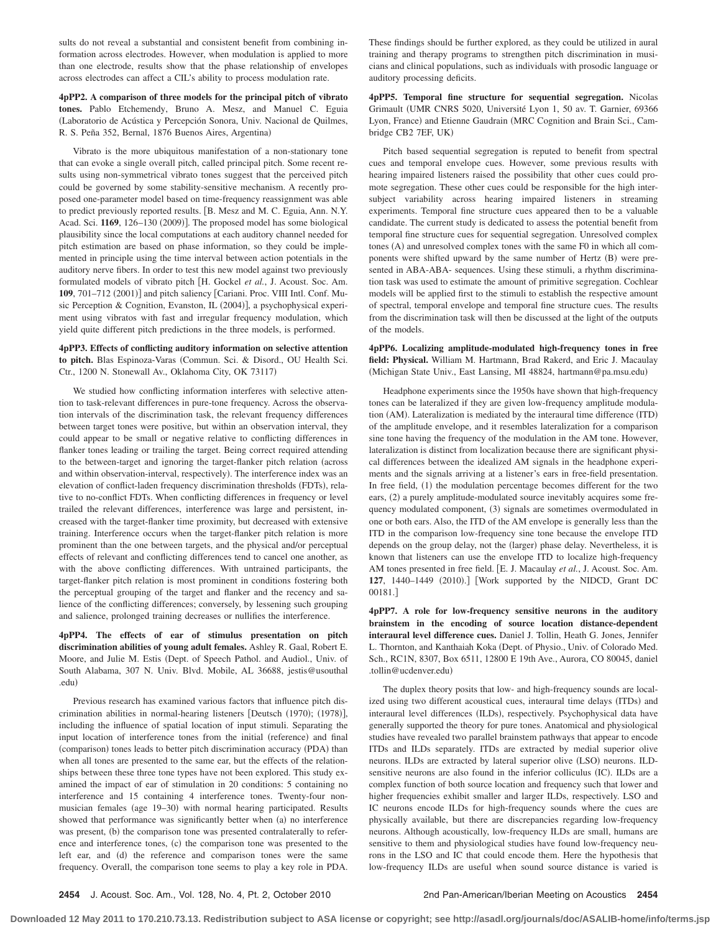sults do not reveal a substantial and consistent benefit from combining information across electrodes. However, when modulation is applied to more than one electrode, results show that the phase relationship of envelopes across electrodes can affect a CIL's ability to process modulation rate.

**4pPP2. A comparison of three models for the principal pitch of vibrato tones.** Pablo Etchemendy, Bruno A. Mesz, and Manuel C. Eguia Laboratorio de Acústica y Percepción Sonora, Univ. Nacional de Quilmes, R. S. Peña 352, Bernal, 1876 Buenos Aires, Argentina)

Vibrato is the more ubiquitous manifestation of a non-stationary tone that can evoke a single overall pitch, called principal pitch. Some recent results using non-symmetrical vibrato tones suggest that the perceived pitch could be governed by some stability-sensitive mechanism. A recently proposed one-parameter model based on time-frequency reassignment was able to predict previously reported results. [B. Mesz and M. C. Eguia, Ann. N.Y. Acad. Sci. 1169, 126-130 (2009)]. The proposed model has some biological plausibility since the local computations at each auditory channel needed for pitch estimation are based on phase information, so they could be implemented in principle using the time interval between action potentials in the auditory nerve fibers. In order to test this new model against two previously formulated models of vibrato pitch [H. Gockel et al., J. Acoust. Soc. Am. 109, 701-712 (2001)] and pitch saliency [Cariani. Proc. VIII Intl. Conf. Music Perception & Cognition, Evanston, IL (2004)], a psychophysical experiment using vibratos with fast and irregular frequency modulation, which yield quite different pitch predictions in the three models, is performed.

**4pPP3. Effects of conflicting auditory information on selective attention** to pitch. Blas Espinoza-Varas (Commun. Sci. & Disord., OU Health Sci. Ctr., 1200 N. Stonewall Av., Oklahoma City, OK 73117)

We studied how conflicting information interferes with selective attention to task-relevant differences in pure-tone frequency. Across the observation intervals of the discrimination task, the relevant frequency differences between target tones were positive, but within an observation interval, they could appear to be small or negative relative to conflicting differences in flanker tones leading or trailing the target. Being correct required attending to the between-target and ignoring the target-flanker pitch relation (across and within observation-interval, respectively). The interference index was an elevation of conflict-laden frequency discrimination thresholds (FDTs), relative to no-conflict FDTs. When conflicting differences in frequency or level trailed the relevant differences, interference was large and persistent, increased with the target-flanker time proximity, but decreased with extensive training. Interference occurs when the target-flanker pitch relation is more prominent than the one between targets, and the physical and/or perceptual effects of relevant and conflicting differences tend to cancel one another, as with the above conflicting differences. With untrained participants, the target-flanker pitch relation is most prominent in conditions fostering both the perceptual grouping of the target and flanker and the recency and salience of the conflicting differences; conversely, by lessening such grouping and salience, prolonged training decreases or nullifies the interference.

**4pPP4. The effects of ear of stimulus presentation on pitch discrimination abilities of young adult females.** Ashley R. Gaal, Robert E. Moore, and Julie M. Estis (Dept. of Speech Pathol. and Audiol., Univ. of South Alabama, 307 N. Univ. Blvd. Mobile, AL 36688, jestis@usouthal .edu)

Previous research has examined various factors that influence pitch discrimination abilities in normal-hearing listeners [Deutsch (1970); (1978)], including the influence of spatial location of input stimuli. Separating the input location of interference tones from the initial (reference) and final (comparison) tones leads to better pitch discrimination accuracy (PDA) than when all tones are presented to the same ear, but the effects of the relationships between these three tone types have not been explored. This study examined the impact of ear of stimulation in 20 conditions: 5 containing no interference and 15 containing 4 interference tones. Twenty-four nonmusician females (age 19-30) with normal hearing participated. Results showed that performance was significantly better when (a) no interference was present, (b) the comparison tone was presented contralaterally to reference and interference tones, (c) the comparison tone was presented to the left ear, and (d) the reference and comparison tones were the same frequency. Overall, the comparison tone seems to play a key role in PDA. These findings should be further explored, as they could be utilized in aural training and therapy programs to strengthen pitch discrimination in musicians and clinical populations, such as individuals with prosodic language or auditory processing deficits.

**4pPP5. Temporal fine structure for sequential segregation.** Nicolas Grimault UMR CNRS 5020, Université Lyon 1, 50 av. T. Garnier, 69366 Lyon, France) and Etienne Gaudrain (MRC Cognition and Brain Sci., Cambridge CB2 7EF, UK-

Pitch based sequential segregation is reputed to benefit from spectral cues and temporal envelope cues. However, some previous results with hearing impaired listeners raised the possibility that other cues could promote segregation. These other cues could be responsible for the high intersubject variability across hearing impaired listeners in streaming experiments. Temporal fine structure cues appeared then to be a valuable candidate. The current study is dedicated to assess the potential benefit from temporal fine structure cues for sequential segregation. Unresolved complex tones (A) and unresolved complex tones with the same F0 in which all components were shifted upward by the same number of Hertz (B) were presented in ABA-ABA- sequences. Using these stimuli, a rhythm discrimination task was used to estimate the amount of primitive segregation. Cochlear models will be applied first to the stimuli to establish the respective amount of spectral, temporal envelope and temporal fine structure cues. The results from the discrimination task will then be discussed at the light of the outputs of the models.

**4pPP6. Localizing amplitude-modulated high-frequency tones in free field: Physical.** William M. Hartmann, Brad Rakerd, and Eric J. Macaulay (Michigan State Univ., East Lansing, MI 48824, hartmann@pa.msu.edu)

Headphone experiments since the 1950s have shown that high-frequency tones can be lateralized if they are given low-frequency amplitude modulation (AM). Lateralization is mediated by the interaural time difference (ITD) of the amplitude envelope, and it resembles lateralization for a comparison sine tone having the frequency of the modulation in the AM tone. However, lateralization is distinct from localization because there are significant physical differences between the idealized AM signals in the headphone experiments and the signals arriving at a listener's ears in free-field presentation. In free field, (1) the modulation percentage becomes different for the two ears, (2) a purely amplitude-modulated source inevitably acquires some frequency modulated component, (3) signals are sometimes overmodulated in one or both ears. Also, the ITD of the AM envelope is generally less than the ITD in the comparison low-frequency sine tone because the envelope ITD depends on the group delay, not the (larger) phase delay. Nevertheless, it is known that listeners can use the envelope ITD to localize high-frequency AM tones presented in free field. [E. J. Macaulay *et al.*, J. Acoust. Soc. Am. 127, 1440-1449 (2010).] [Work supported by the NIDCD, Grant DC 00181.

**4pPP7. A role for low-frequency sensitive neurons in the auditory brainstem in the encoding of source location distance-dependent interaural level difference cues.** Daniel J. Tollin, Heath G. Jones, Jennifer L. Thornton, and Kanthaiah Koka (Dept. of Physio., Univ. of Colorado Med. Sch., RC1N, 8307, Box 6511, 12800 E 19th Ave., Aurora, CO 80045, daniel .tollin@ucdenver.edu-

The duplex theory posits that low- and high-frequency sounds are localized using two different acoustical cues, interaural time delays (ITDs) and interaural level differences (ILDs), respectively. Psychophysical data have generally supported the theory for pure tones. Anatomical and physiological studies have revealed two parallel brainstem pathways that appear to encode ITDs and ILDs separately. ITDs are extracted by medial superior olive neurons. ILDs are extracted by lateral superior olive (LSO) neurons. ILDsensitive neurons are also found in the inferior colliculus (IC). ILDs are a complex function of both source location and frequency such that lower and higher frequencies exhibit smaller and larger ILDs, respectively. LSO and IC neurons encode ILDs for high-frequency sounds where the cues are physically available, but there are discrepancies regarding low-frequency neurons. Although acoustically, low-frequency ILDs are small, humans are sensitive to them and physiological studies have found low-frequency neurons in the LSO and IC that could encode them. Here the hypothesis that low-frequency ILDs are useful when sound source distance is varied is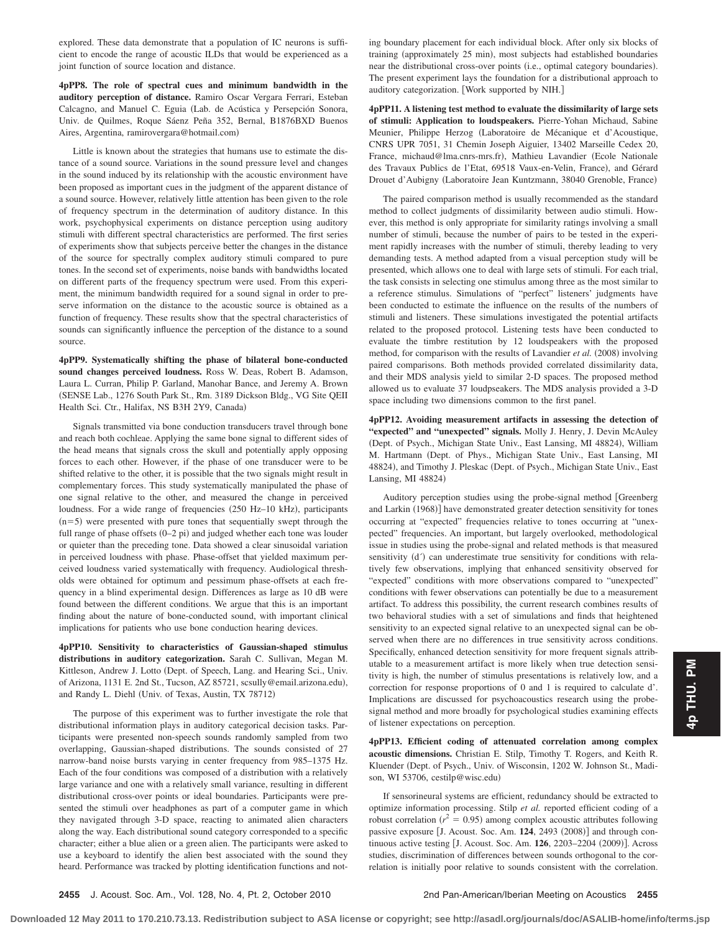explored. These data demonstrate that a population of IC neurons is sufficient to encode the range of acoustic ILDs that would be experienced as a joint function of source location and distance.

**4pPP8. The role of spectral cues and minimum bandwidth in the auditory perception of distance.** Ramiro Oscar Vergara Ferrari, Esteban Calcagno, and Manuel C. Eguia Lab. de Acústica y Persepción Sonora, Univ. de Quilmes, Roque Sáenz Peña 352, Bernal, B1876BXD Buenos Aires, Argentina, ramirovergara@hotmail.com-

Little is known about the strategies that humans use to estimate the distance of a sound source. Variations in the sound pressure level and changes in the sound induced by its relationship with the acoustic environment have been proposed as important cues in the judgment of the apparent distance of a sound source. However, relatively little attention has been given to the role of frequency spectrum in the determination of auditory distance. In this work, psychophysical experiments on distance perception using auditory stimuli with different spectral characteristics are performed. The first series of experiments show that subjects perceive better the changes in the distance of the source for spectrally complex auditory stimuli compared to pure tones. In the second set of experiments, noise bands with bandwidths located on different parts of the frequency spectrum were used. From this experiment, the minimum bandwidth required for a sound signal in order to preserve information on the distance to the acoustic source is obtained as a function of frequency. These results show that the spectral characteristics of sounds can significantly influence the perception of the distance to a sound source.

**4pPP9. Systematically shifting the phase of bilateral bone-conducted sound changes perceived loudness.** Ross W. Deas, Robert B. Adamson, Laura L. Curran, Philip P. Garland, Manohar Bance, and Jeremy A. Brown SENSE Lab., 1276 South Park St., Rm. 3189 Dickson Bldg., VG Site QEII Health Sci. Ctr., Halifax, NS B3H 2Y9, Canada)

Signals transmitted via bone conduction transducers travel through bone and reach both cochleae. Applying the same bone signal to different sides of the head means that signals cross the skull and potentially apply opposing forces to each other. However, if the phase of one transducer were to be shifted relative to the other, it is possible that the two signals might result in complementary forces. This study systematically manipulated the phase of one signal relative to the other, and measured the change in perceived loudness. For a wide range of frequencies (250 Hz-10 kHz), participants (n=5) were presented with pure tones that sequentially swept through the full range of phase offsets (0-2 pi) and judged whether each tone was louder or quieter than the preceding tone. Data showed a clear sinusoidal variation in perceived loudness with phase. Phase-offset that yielded maximum perceived loudness varied systematically with frequency. Audiological thresholds were obtained for optimum and pessimum phase-offsets at each frequency in a blind experimental design. Differences as large as 10 dB were found between the different conditions. We argue that this is an important finding about the nature of bone-conducted sound, with important clinical implications for patients who use bone conduction hearing devices.

**4pPP10. Sensitivity to characteristics of Gaussian-shaped stimulus distributions in auditory categorization.** Sarah C. Sullivan, Megan M. Kittleson, Andrew J. Lotto (Dept. of Speech, Lang. and Hearing Sci., Univ. of Arizona, 1131 E. 2nd St., Tucson, AZ 85721, scsully@email.arizona.edu), and Randy L. Diehl (Univ. of Texas, Austin, TX 78712)

The purpose of this experiment was to further investigate the role that distributional information plays in auditory categorical decision tasks. Participants were presented non-speech sounds randomly sampled from two overlapping, Gaussian-shaped distributions. The sounds consisted of 27 narrow-band noise bursts varying in center frequency from 985–1375 Hz. Each of the four conditions was composed of a distribution with a relatively large variance and one with a relatively small variance, resulting in different distributional cross-over points or ideal boundaries. Participants were presented the stimuli over headphones as part of a computer game in which they navigated through 3-D space, reacting to animated alien characters along the way. Each distributional sound category corresponded to a specific character; either a blue alien or a green alien. The participants were asked to use a keyboard to identify the alien best associated with the sound they heard. Performance was tracked by plotting identification functions and noting boundary placement for each individual block. After only six blocks of training (approximately 25 min), most subjects had established boundaries near the distributional cross-over points (i.e., optimal category boundaries). The present experiment lays the foundation for a distributional approach to auditory categorization. Work supported by NIH.

**4pPP11. A listening test method to evaluate the dissimilarity of large sets of stimuli: Application to loudspeakers.** Pierre-Yohan Michaud, Sabine Meunier, Philippe Herzog Laboratoire de Mécanique et d'Acoustique, CNRS UPR 7051, 31 Chemin Joseph Aiguier, 13402 Marseille Cedex 20, France, michaud@lma.cnrs-mrs.fr), Mathieu Lavandier (Ecole Nationale des Travaux Publics de l'Etat, 69518 Vaux-en-Velin, France), and Gérard Drouet d'Aubigny (Laboratoire Jean Kuntzmann, 38040 Grenoble, France)

The paired comparison method is usually recommended as the standard method to collect judgments of dissimilarity between audio stimuli. However, this method is only appropriate for similarity ratings involving a small number of stimuli, because the number of pairs to be tested in the experiment rapidly increases with the number of stimuli, thereby leading to very demanding tests. A method adapted from a visual perception study will be presented, which allows one to deal with large sets of stimuli. For each trial, the task consists in selecting one stimulus among three as the most similar to a reference stimulus. Simulations of "perfect" listeners' judgments have been conducted to estimate the influence on the results of the numbers of stimuli and listeners. These simulations investigated the potential artifacts related to the proposed protocol. Listening tests have been conducted to evaluate the timbre restitution by 12 loudspeakers with the proposed method, for comparison with the results of Lavandier et al. (2008) involving paired comparisons. Both methods provided correlated dissimilarity data, and their MDS analysis yield to similar 2-D spaces. The proposed method allowed us to evaluate 37 loudpseakers. The MDS analysis provided a 3-D space including two dimensions common to the first panel.

**4pPP12. Avoiding measurement artifacts in assessing the detection of "expected" and "unexpected" signals.** Molly J. Henry, J. Devin McAuley (Dept. of Psych., Michigan State Univ., East Lansing, MI 48824), William M. Hartmann (Dept. of Phys., Michigan State Univ., East Lansing, MI 48824), and Timothy J. Pleskac (Dept. of Psych., Michigan State Univ., East Lansing, MI 48824)

Auditory perception studies using the probe-signal method [Greenberg and Larkin (1968)] have demonstrated greater detection sensitivity for tones occurring at "expected" frequencies relative to tones occurring at "unexpected" frequencies. An important, but largely overlooked, methodological issue in studies using the probe-signal and related methods is that measured sensitivity (d') can underestimate true sensitivity for conditions with relatively few observations, implying that enhanced sensitivity observed for "expected" conditions with more observations compared to "unexpected" conditions with fewer observations can potentially be due to a measurement artifact. To address this possibility, the current research combines results of two behavioral studies with a set of simulations and finds that heightened sensitivity to an expected signal relative to an unexpected signal can be observed when there are no differences in true sensitivity across conditions. Specifically, enhanced detection sensitivity for more frequent signals attributable to a measurement artifact is more likely when true detection sensitivity is high, the number of stimulus presentations is relatively low, and a correction for response proportions of 0 and 1 is required to calculate d'. Implications are discussed for psychoacoustics research using the probesignal method and more broadly for psychological studies examining effects of listener expectations on perception.

**4pPP13. Efficient coding of attenuated correlation among complex acoustic dimensions.** Christian E. Stilp, Timothy T. Rogers, and Keith R. Kluender (Dept. of Psych., Univ. of Wisconsin, 1202 W. Johnson St., Madison, WI 53706, cestilp@wisc.edu)

If sensorineural systems are efficient, redundancy should be extracted to optimize information processing. Stilp *et al.* reported efficient coding of a robust correlation  $(r^2 = 0.95)$  among complex acoustic attributes following passive exposure [J. Acoust. Soc. Am. 124, 2493 (2008)] and through continuous active testing [J. Acoust. Soc. Am. 126, 2203-2204 (2009)]. Across studies, discrimination of differences between sounds orthogonal to the correlation is initially poor relative to sounds consistent with the correlation.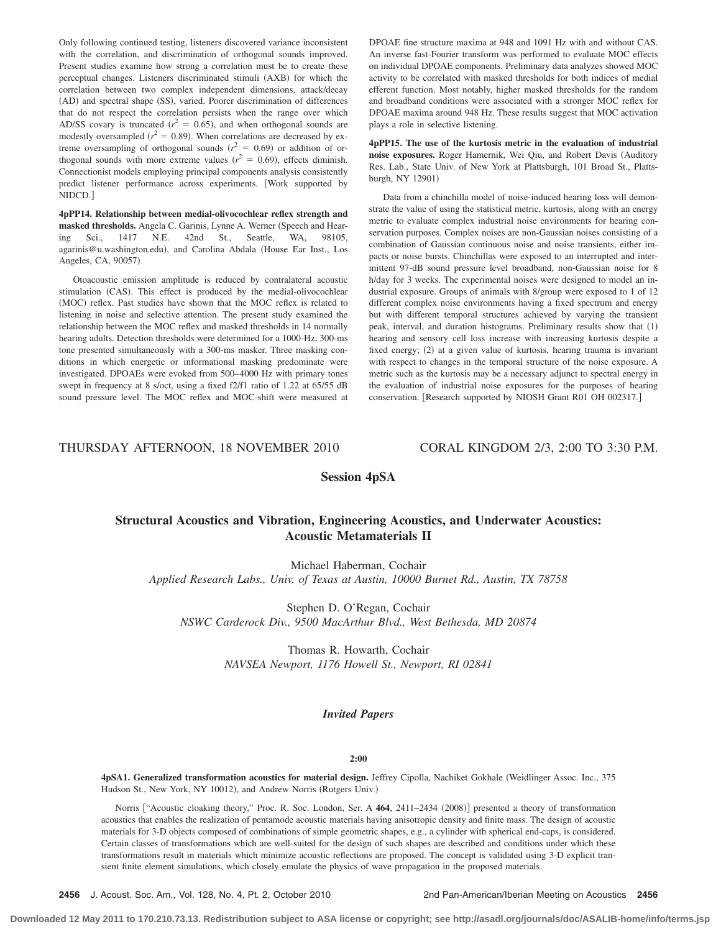Only following continued testing, listeners discovered variance inconsistent with the correlation, and discrimination of orthogonal sounds improved. Present studies examine how strong a correlation must be to create these perceptual changes. Listeners discriminated stimuli (AXB) for which the correlation between two complex independent dimensions, attack/decay (AD) and spectral shape (SS), varied. Poorer discrimination of differences that do not respect the correlation persists when the range over which AD/SS covary is truncated  $(r^2 = 0.65)$ , and when orthogonal sounds are modestly oversampled  $(r^2 = 0.89)$ . When correlations are decreased by extreme oversampling of orthogonal sounds  $(r^2 = 0.69)$  or addition of orthogonal sounds with more extreme values  $(r^2 = 0.69)$ , effects diminish. Connectionist models employing principal components analysis consistently predict listener performance across experiments. Work supported by NIDCD.

**4pPP14. Relationship between medial-olivocochlear reflex strength and** masked thresholds. Angela C. Garinis, Lynne A. Werner (Speech and Hearing Sci., 1417 N.E. 42nd St., Seattle, WA, 98105, agarinis@u.washington.edu), and Carolina Abdala (House Ear Inst., Los Angeles, CA, 90057)

Otoacoustic emission amplitude is reduced by contralateral acoustic stimulation (CAS). This effect is produced by the medial-olivocochlear (MOC) reflex. Past studies have shown that the MOC reflex is related to listening in noise and selective attention. The present study examined the relationship between the MOC reflex and masked thresholds in 14 normally hearing adults. Detection thresholds were determined for a 1000-Hz, 300-ms tone presented simultaneously with a 300-ms masker. Three masking conditions in which energetic or informational masking predominate were investigated. DPOAEs were evoked from 500–4000 Hz with primary tones swept in frequency at 8 s/oct, using a fixed f2/f1 ratio of 1.22 at 65/55 dB sound pressure level. The MOC reflex and MOC-shift were measured at

DPOAE fine structure maxima at 948 and 1091 Hz with and without CAS. An inverse fast-Fourier transform was performed to evaluate MOC effects on individual DPOAE components. Preliminary data analyzes showed MOC activity to be correlated with masked thresholds for both indices of medial efferent function. Most notably, higher masked thresholds for the random and broadband conditions were associated with a stronger MOC reflex for DPOAE maxima around 948 Hz. These results suggest that MOC activation plays a role in selective listening.

**4pPP15. The use of the kurtosis metric in the evaluation of industrial** noise exposures. Roger Hamernik, Wei Qiu, and Robert Davis (Auditory Res. Lab., State Univ. of New York at Plattsburgh, 101 Broad St., Plattsburgh, NY 12901)

Data from a chinchilla model of noise-induced hearing loss will demonstrate the value of using the statistical metric, kurtosis, along with an energy metric to evaluate complex industrial noise environments for hearing conservation purposes. Complex noises are non-Gaussian noises consisting of a combination of Gaussian continuous noise and noise transients, either impacts or noise bursts. Chinchillas were exposed to an interrupted and intermittent 97-dB sound pressure level broadband, non-Gaussian noise for 8 h/day for 3 weeks. The experimental noises were designed to model an industrial exposure. Groups of animals with 8/group were exposed to 1 of 12 different complex noise environments having a fixed spectrum and energy but with different temporal structures achieved by varying the transient peak, interval, and duration histograms. Preliminary results show that (1) hearing and sensory cell loss increase with increasing kurtosis despite a fixed energy; (2) at a given value of kurtosis, hearing trauma is invariant with respect to changes in the temporal structure of the noise exposure. A metric such as the kurtosis may be a necessary adjunct to spectral energy in the evaluation of industrial noise exposures for the purposes of hearing conservation. [Research supported by NIOSH Grant R01 OH 002317.]

# THURSDAY AFTERNOON, 18 NOVEMBER 2010 CORAL KINGDOM 2/3, 2:00 TO 3:30 P.M.

# **Session 4pSA**

# **Structural Acoustics and Vibration, Engineering Acoustics, and Underwater Acoustics: Acoustic Metamaterials II**

Michael Haberman, Cochair *Applied Research Labs., Univ. of Texas at Austin, 10000 Burnet Rd., Austin, TX 78758*

Stephen D. O'Regan, Cochair *NSWC Carderock Div., 9500 MacArthur Blvd., West Bethesda, MD 20874*

> Thomas R. Howarth, Cochair *NAVSEA Newport, 1176 Howell St., Newport, RI 02841*

## *Invited Papers*

## **2:00**

**4pSA1. Generalized transformation acoustics for material design.** Jeffrey Cipolla, Nachiket Gokhale Weidlinger Assoc. Inc., 375 Hudson St., New York, NY 10012), and Andrew Norris (Rutgers Univ.)

Norris ["Acoustic cloaking theory," Proc. R. Soc. London, Ser. A 464, 2411-2434 (2008)] presented a theory of transformation acoustics that enables the realization of pentamode acoustic materials having anisotropic density and finite mass. The design of acoustic materials for 3-D objects composed of combinations of simple geometric shapes, e.g., a cylinder with spherical end-caps, is considered. Certain classes of transformations which are well-suited for the design of such shapes are described and conditions under which these transformations result in materials which minimize acoustic reflections are proposed. The concept is validated using 3-D explicit transient finite element simulations, which closely emulate the physics of wave propagation in the proposed materials.

**2456** J. Acoust. Soc. Am., Vol. 128, No. 4, Pt. 2, October 2010 2nd Pan-American/Iberian Meeting on Acoustics **2456**

**Downloaded 12 May 2011 to 170.210.73.13. Redistribution subject to ASA license or copyright; see http://asadl.org/journals/doc/ASALIB-home/info/terms.jsp**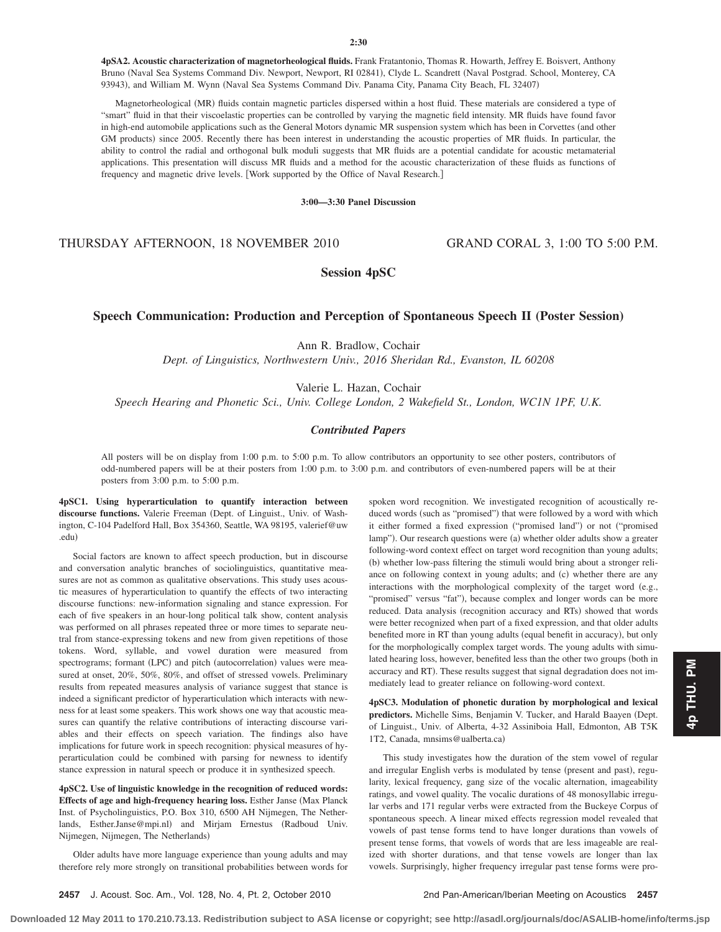**4pSA2. Acoustic characterization of magnetorheological fluids.** Frank Fratantonio, Thomas R. Howarth, Jeffrey E. Boisvert, Anthony Bruno (Naval Sea Systems Command Div. Newport, Newport, RI 02841), Clyde L. Scandrett (Naval Postgrad. School, Monterey, CA 93943), and William M. Wynn (Naval Sea Systems Command Div. Panama City, Panama City Beach, FL 32407)

Magnetorheological (MR) fluids contain magnetic particles dispersed within a host fluid. These materials are considered a type of "smart" fluid in that their viscoelastic properties can be controlled by varying the magnetic field intensity. MR fluids have found favor in high-end automobile applications such as the General Motors dynamic MR suspension system which has been in Corvettes (and other GM products) since 2005. Recently there has been interest in understanding the acoustic properties of MR fluids. In particular, the ability to control the radial and orthogonal bulk moduli suggests that MR fluids are a potential candidate for acoustic metamaterial applications. This presentation will discuss MR fluids and a method for the acoustic characterization of these fluids as functions of frequency and magnetic drive levels. [Work supported by the Office of Naval Research.]

**3:00—3:30 Panel Discussion**

THURSDAY AFTERNOON, 18 NOVEMBER 2010 GRAND CORAL 3, 1:00 TO 5:00 P.M.

**Session 4pSC**

# **Speech Communication: Production and Perception of Spontaneous Speech II (Poster Session)**

Ann R. Bradlow, Cochair *Dept. of Linguistics, Northwestern Univ., 2016 Sheridan Rd., Evanston, IL 60208*

Valerie L. Hazan, Cochair *Speech Hearing and Phonetic Sci., Univ. College London, 2 Wakefield St., London, WC1N 1PF, U.K.*

# *Contributed Papers*

All posters will be on display from 1:00 p.m. to 5:00 p.m. To allow contributors an opportunity to see other posters, contributors of odd-numbered papers will be at their posters from 1:00 p.m. to 3:00 p.m. and contributors of even-numbered papers will be at their posters from 3:00 p.m. to 5:00 p.m.

**4pSC1. Using hyperarticulation to quantify interaction between** discourse functions. Valerie Freeman (Dept. of Linguist., Univ. of Washington, C-104 Padelford Hall, Box 354360, Seattle, WA 98195, valerief@uw .edu-

Social factors are known to affect speech production, but in discourse and conversation analytic branches of sociolinguistics, quantitative measures are not as common as qualitative observations. This study uses acoustic measures of hyperarticulation to quantify the effects of two interacting discourse functions: new-information signaling and stance expression. For each of five speakers in an hour-long political talk show, content analysis was performed on all phrases repeated three or more times to separate neutral from stance-expressing tokens and new from given repetitions of those tokens. Word, syllable, and vowel duration were measured from spectrograms; formant (LPC) and pitch (autocorrelation) values were measured at onset, 20%, 50%, 80%, and offset of stressed vowels. Preliminary results from repeated measures analysis of variance suggest that stance is indeed a significant predictor of hyperarticulation which interacts with newness for at least some speakers. This work shows one way that acoustic measures can quantify the relative contributions of interacting discourse variables and their effects on speech variation. The findings also have implications for future work in speech recognition: physical measures of hyperarticulation could be combined with parsing for newness to identify stance expression in natural speech or produce it in synthesized speech.

**4pSC2. Use of linguistic knowledge in the recognition of reduced words: Effects of age and high-frequency hearing loss.** Esther Janse (Max Planck Inst. of Psycholinguistics, P.O. Box 310, 6500 AH Nijmegen, The Netherlands, Esther.Janse@mpi.nl) and Mirjam Ernestus (Radboud Univ. Nijmegen, Nijmegen, The Netherlands)

Older adults have more language experience than young adults and may therefore rely more strongly on transitional probabilities between words for spoken word recognition. We investigated recognition of acoustically reduced words (such as "promised") that were followed by a word with which it either formed a fixed expression ("promised land") or not ("promised lamp"). Our research questions were (a) whether older adults show a greater following-word context effect on target word recognition than young adults; (b) whether low-pass filtering the stimuli would bring about a stronger reliance on following context in young adults; and (c) whether there are any interactions with the morphological complexity of the target word (e.g., "promised" versus "fat"), because complex and longer words can be more reduced. Data analysis (recognition accuracy and RTs) showed that words were better recognized when part of a fixed expression, and that older adults benefited more in RT than young adults (equal benefit in accuracy), but only for the morphologically complex target words. The young adults with simulated hearing loss, however, benefited less than the other two groups (both in accuracy and RT). These results suggest that signal degradation does not immediately lead to greater reliance on following-word context.

**4pSC3. Modulation of phonetic duration by morphological and lexical** predictors. Michelle Sims, Benjamin V. Tucker, and Harald Baayen (Dept. of Linguist., Univ. of Alberta, 4-32 Assiniboia Hall, Edmonton, AB T5K 1T2, Canada, mnsims@ualberta.ca)

This study investigates how the duration of the stem vowel of regular and irregular English verbs is modulated by tense (present and past), regularity, lexical frequency, gang size of the vocalic alternation, imageability ratings, and vowel quality. The vocalic durations of 48 monosyllabic irregular verbs and 171 regular verbs were extracted from the Buckeye Corpus of spontaneous speech. A linear mixed effects regression model revealed that vowels of past tense forms tend to have longer durations than vowels of present tense forms, that vowels of words that are less imageable are realized with shorter durations, and that tense vowels are longer than lax vowels. Surprisingly, higher frequency irregular past tense forms were pro**4p THU. PM**

4p THU. PM

**2457** J. Acoust. Soc. Am., Vol. 128, No. 4, Pt. 2, October 2010 2nd Pan-American/Iberian Meeting on Acoustics **2457**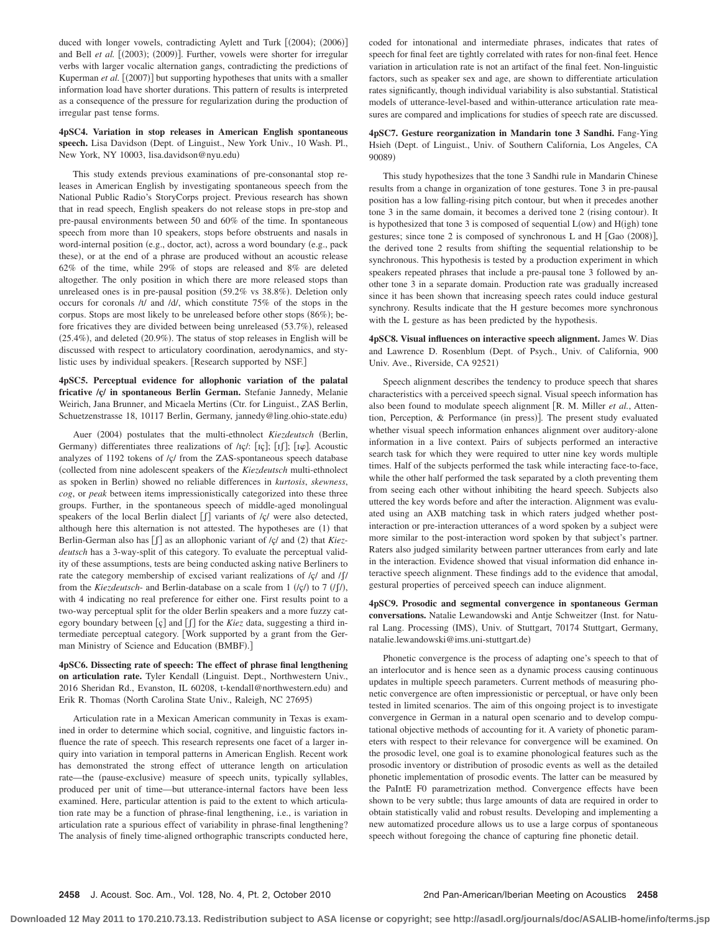duced with longer vowels, contradicting Aylett and Turk [(2004); (2006)] and Bell et al. [(2003); (2009)]. Further, vowels were shorter for irregular verbs with larger vocalic alternation gangs, contradicting the predictions of Kuperman et al. [(2007)] but supporting hypotheses that units with a smaller information load have shorter durations. This pattern of results is interpreted as a consequence of the pressure for regularization during the production of irregular past tense forms.

**4pSC4. Variation in stop releases in American English spontaneous** speech. Lisa Davidson (Dept. of Linguist., New York Univ., 10 Wash. Pl., New York, NY 10003, lisa.davidson@nyu.edu-

This study extends previous examinations of pre-consonantal stop releases in American English by investigating spontaneous speech from the National Public Radio's StoryCorps project. Previous research has shown that in read speech, English speakers do not release stops in pre-stop and pre-pausal environments between 50 and 60% of the time. In spontaneous speech from more than 10 speakers, stops before obstruents and nasals in word-internal position (e.g., doctor, act), across a word boundary (e.g., pack these), or at the end of a phrase are produced without an acoustic release 62% of the time, while 29% of stops are released and 8% are deleted altogether. The only position in which there are more released stops than unreleased ones is in pre-pausal position (59.2% vs 38.8%). Deletion only occurs for coronals /t/ and /d/, which constitute 75% of the stops in the corpus. Stops are most likely to be unreleased before other stops (86%); before fricatives they are divided between being unreleased (53.7%), released  $(25.4\%)$ , and deleted  $(20.9\%)$ . The status of stop releases in English will be discussed with respect to articulatory coordination, aerodynamics, and stylistic uses by individual speakers. [Research supported by NSF.]

**4pSC5. Perceptual evidence for allophonic variation of the palatal fricative /ç/ in spontaneous Berlin German.** Stefanie Jannedy, Melanie Weirich, Jana Brunner, and Micaela Mertins (Ctr. for Linguist., ZAS Berlin, Schuetzenstrasse 18, 10117 Berlin, Germany, jannedy@ling.ohio-state.edu)

Auer (2004) postulates that the multi-ethnolect *Kiezdeutsch* (Berlin, Germany) differentiates three realizations of / $I\varsigma$ /: [ $I\varsigma$ ]; [ $I\varsigma$ ]; [ $I\varphi$ ]. Acoustic analyzes of 1192 tokens of /ç/ from the ZAS-spontaneous speech database collected from nine adolescent speakers of the *Kiezdeutsch* multi-ethnolect as spoken in Berlin) showed no reliable differences in *kurtosis*, *skewness*, *cog*, or *peak* between items impressionistically categorized into these three groups. Further, in the spontaneous speech of middle-aged monolingual speakers of the local Berlin dialect  $[\int]$  variants of /ç/ were also detected, although here this alternation is not attested. The hypotheses are (1) that Berlin-German also has [*ʃ*] as an allophonic variant of /ç/ and (2) that *Kiezdeutsch* has a 3-way-split of this category. To evaluate the perceptual validity of these assumptions, tests are being conducted asking native Berliners to rate the category membership of excised variant realizations of  $\frac{1}{\sqrt{2}}$  and  $\frac{1}{\sqrt{2}}$ from the *Kiezdeutsch*- and Berlin-database on a scale from  $1 / \frac{c}{f}$  to  $7 / \frac{f}{f}$ , with 4 indicating no real preference for either one. First results point to a two-way perceptual split for the older Berlin speakers and a more fuzzy category boundary between  $\lbrack \varsigma \rbrack$  and  $\lbrack \int \rbrack$  for the *Kiez* data, suggesting a third intermediate perceptual category. Work supported by a grant from the German Ministry of Science and Education (BMBF).]

**4pSC6. Dissecting rate of speech: The effect of phrase final lengthening on articulation rate.** Tyler Kendall Linguist. Dept., Northwestern Univ., 2016 Sheridan Rd., Evanston, IL 60208, t-kendall@northwestern.edu) and Erik R. Thomas (North Carolina State Univ., Raleigh, NC 27695)

Articulation rate in a Mexican American community in Texas is examined in order to determine which social, cognitive, and linguistic factors influence the rate of speech. This research represents one facet of a larger inquiry into variation in temporal patterns in American English. Recent work has demonstrated the strong effect of utterance length on articulation rate—the (pause-exclusive) measure of speech units, typically syllables, produced per unit of time—but utterance-internal factors have been less examined. Here, particular attention is paid to the extent to which articulation rate may be a function of phrase-final lengthening, i.e., is variation in articulation rate a spurious effect of variability in phrase-final lengthening? The analysis of finely time-aligned orthographic transcripts conducted here, coded for intonational and intermediate phrases, indicates that rates of speech for final feet are tightly correlated with rates for non-final feet. Hence variation in articulation rate is not an artifact of the final feet. Non-linguistic factors, such as speaker sex and age, are shown to differentiate articulation rates significantly, though individual variability is also substantial. Statistical models of utterance-level-based and within-utterance articulation rate measures are compared and implications for studies of speech rate are discussed.

**4pSC7. Gesture reorganization in Mandarin tone 3 Sandhi.** Fang-Ying Hsieh (Dept. of Linguist., Univ. of Southern California, Los Angeles, CA 90089)

This study hypothesizes that the tone 3 Sandhi rule in Mandarin Chinese results from a change in organization of tone gestures. Tone 3 in pre-pausal position has a low falling-rising pitch contour, but when it precedes another tone 3 in the same domain, it becomes a derived tone 2 (rising contour). It is hypothesized that tone 3 is composed of sequential  $L(ow)$  and  $H(igh)$  tone gestures; since tone 2 is composed of synchronous L and H [Gao (2008)], the derived tone 2 results from shifting the sequential relationship to be synchronous. This hypothesis is tested by a production experiment in which speakers repeated phrases that include a pre-pausal tone 3 followed by another tone 3 in a separate domain. Production rate was gradually increased since it has been shown that increasing speech rates could induce gestural synchrony. Results indicate that the H gesture becomes more synchronous with the L gesture as has been predicted by the hypothesis.

**4pSC8. Visual influences on interactive speech alignment.** James W. Dias and Lawrence D. Rosenblum (Dept. of Psych., Univ. of California, 900 Univ. Ave., Riverside, CA 92521)

Speech alignment describes the tendency to produce speech that shares characteristics with a perceived speech signal. Visual speech information has also been found to modulate speech alignment [R. M. Miller et al., Attention, Perception, & Performance (in press)]. The present study evaluated whether visual speech information enhances alignment over auditory-alone information in a live context. Pairs of subjects performed an interactive search task for which they were required to utter nine key words multiple times. Half of the subjects performed the task while interacting face-to-face, while the other half performed the task separated by a cloth preventing them from seeing each other without inhibiting the heard speech. Subjects also uttered the key words before and after the interaction. Alignment was evaluated using an AXB matching task in which raters judged whether postinteraction or pre-interaction utterances of a word spoken by a subject were more similar to the post-interaction word spoken by that subject's partner. Raters also judged similarity between partner utterances from early and late in the interaction. Evidence showed that visual information did enhance interactive speech alignment. These findings add to the evidence that amodal, gestural properties of perceived speech can induce alignment.

**4pSC9. Prosodic and segmental convergence in spontaneous German** conversations. Natalie Lewandowski and Antje Schweitzer (Inst. for Natural Lang. Processing (IMS), Univ. of Stuttgart, 70174 Stuttgart, Germany, natalie.lewandowski@ims.uni-stuttgart.de-

Phonetic convergence is the process of adapting one's speech to that of an interlocutor and is hence seen as a dynamic process causing continuous updates in multiple speech parameters. Current methods of measuring phonetic convergence are often impressionistic or perceptual, or have only been tested in limited scenarios. The aim of this ongoing project is to investigate convergence in German in a natural open scenario and to develop computational objective methods of accounting for it. A variety of phonetic parameters with respect to their relevance for convergence will be examined. On the prosodic level, one goal is to examine phonological features such as the prosodic inventory or distribution of prosodic events as well as the detailed phonetic implementation of prosodic events. The latter can be measured by the PaIntE F0 parametrization method. Convergence effects have been shown to be very subtle; thus large amounts of data are required in order to obtain statistically valid and robust results. Developing and implementing a new automatized procedure allows us to use a large corpus of spontaneous speech without foregoing the chance of capturing fine phonetic detail.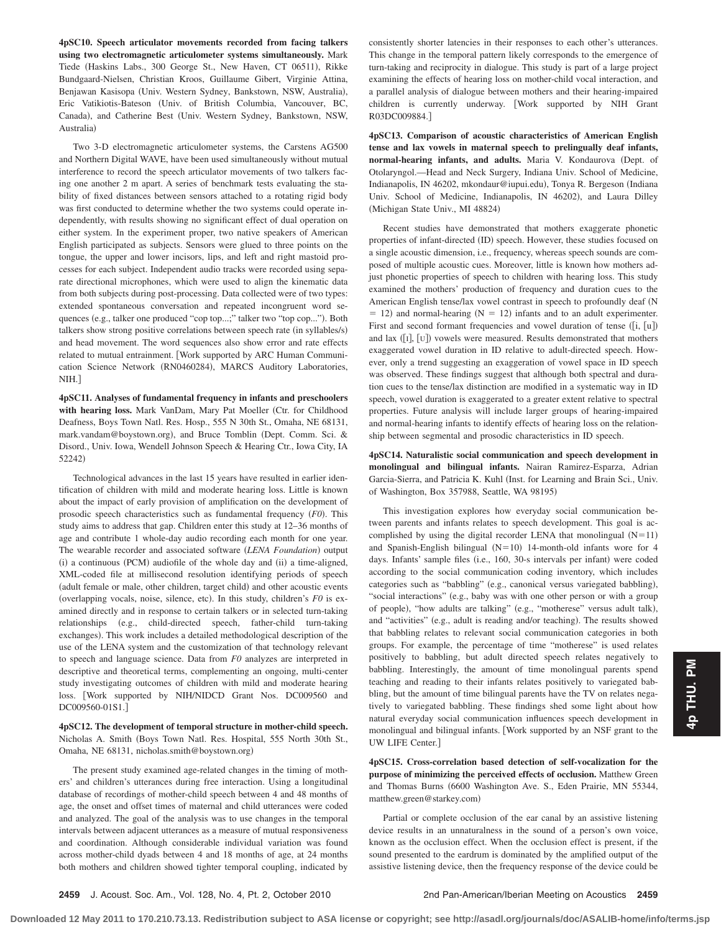**4pSC10. Speech articulator movements recorded from facing talkers using two electromagnetic articulometer systems simultaneously.** Mark Tiede (Haskins Labs., 300 George St., New Haven, CT 06511), Rikke Bundgaard-Nielsen, Christian Kroos, Guillaume Gibert, Virginie Attina, Benjawan Kasisopa (Univ. Western Sydney, Bankstown, NSW, Australia), Eric Vatikiotis-Bateson Univ. of British Columbia, Vancouver, BC, Canada), and Catherine Best (Univ. Western Sydney, Bankstown, NSW, Australia)

Two 3-D electromagnetic articulometer systems, the Carstens AG500 and Northern Digital WAVE, have been used simultaneously without mutual interference to record the speech articulator movements of two talkers facing one another 2 m apart. A series of benchmark tests evaluating the stability of fixed distances between sensors attached to a rotating rigid body was first conducted to determine whether the two systems could operate independently, with results showing no significant effect of dual operation on either system. In the experiment proper, two native speakers of American English participated as subjects. Sensors were glued to three points on the tongue, the upper and lower incisors, lips, and left and right mastoid processes for each subject. Independent audio tracks were recorded using separate directional microphones, which were used to align the kinematic data from both subjects during post-processing. Data collected were of two types: extended spontaneous conversation and repeated incongruent word sequences (e.g., talker one produced "cop top...;" talker two "top cop..."). Both talkers show strong positive correlations between speech rate (in syllables/s) and head movement. The word sequences also show error and rate effects related to mutual entrainment. [Work supported by ARC Human Communication Science Network (RN0460284), MARCS Auditory Laboratories, NIH.

**4pSC11. Analyses of fundamental frequency in infants and preschoolers** with hearing loss. Mark VanDam, Mary Pat Moeller (Ctr. for Childhood Deafness, Boys Town Natl. Res. Hosp., 555 N 30th St., Omaha, NE 68131, mark.vandam@boystown.org), and Bruce Tomblin (Dept. Comm. Sci. & Disord., Univ. Iowa, Wendell Johnson Speech & Hearing Ctr., Iowa City, IA 52242)

Technological advances in the last 15 years have resulted in earlier identification of children with mild and moderate hearing loss. Little is known about the impact of early provision of amplification on the development of prosodic speech characteristics such as fundamental frequency (F0). This study aims to address that gap. Children enter this study at 12–36 months of age and contribute 1 whole-day audio recording each month for one year. The wearable recorder and associated software (LENA Foundation) output (i) a continuous (PCM) audiofile of the whole day and (ii) a time-aligned, XML-coded file at millisecond resolution identifying periods of speech (adult female or male, other children, target child) and other acoustic events (overlapping vocals, noise, silence, etc). In this study, children's *F0* is examined directly and in response to certain talkers or in selected turn-taking relationships (e.g., child-directed speech, father-child turn-taking exchanges). This work includes a detailed methodological description of the use of the LENA system and the customization of that technology relevant to speech and language science. Data from *F0* analyzes are interpreted in descriptive and theoretical terms, complementing an ongoing, multi-center study investigating outcomes of children with mild and moderate hearing loss. Work supported by NIH/NIDCD Grant Nos. DC009560 and DC009560-01S1.

**4pSC12. The development of temporal structure in mother-child speech.** Nicholas A. Smith (Boys Town Natl. Res. Hospital, 555 North 30th St., Omaha, NE 68131, nicholas.smith@boystown.org-

The present study examined age-related changes in the timing of mothers' and children's utterances during free interaction. Using a longitudinal database of recordings of mother-child speech between 4 and 48 months of age, the onset and offset times of maternal and child utterances were coded and analyzed. The goal of the analysis was to use changes in the temporal intervals between adjacent utterances as a measure of mutual responsiveness and coordination. Although considerable individual variation was found across mother-child dyads between 4 and 18 months of age, at 24 months both mothers and children showed tighter temporal coupling, indicated by consistently shorter latencies in their responses to each other's utterances. This change in the temporal pattern likely corresponds to the emergence of turn-taking and reciprocity in dialogue. This study is part of a large project examining the effects of hearing loss on mother-child vocal interaction, and a parallel analysis of dialogue between mothers and their hearing-impaired children is currently underway. [Work supported by NIH Grant R03DC009884.

**4pSC13. Comparison of acoustic characteristics of American English tense and lax vowels in maternal speech to prelingually deaf infants,** normal-hearing infants, and adults. Maria V. Kondaurova (Dept. of Otolaryngol.—Head and Neck Surgery, Indiana Univ. School of Medicine, Indianapolis, IN 46202, mkondaur@iupui.edu), Tonya R. Bergeson (Indiana Univ. School of Medicine, Indianapolis, IN 46202), and Laura Dilley (Michigan State Univ., MI 48824)

Recent studies have demonstrated that mothers exaggerate phonetic properties of infant-directed (ID) speech. However, these studies focused on a single acoustic dimension, i.e., frequency, whereas speech sounds are composed of multiple acoustic cues. Moreover, little is known how mothers adjust phonetic properties of speech to children with hearing loss. This study examined the mothers' production of frequency and duration cues to the American English tense/lax vowel contrast in speech to profoundly deaf (N  $= 12$ ) and normal-hearing (N  $= 12$ ) infants and to an adult experimenter. First and second formant frequencies and vowel duration of tense  $([i, [u])$ and lax ([1], [U]) vowels were measured. Results demonstrated that mothers exaggerated vowel duration in ID relative to adult-directed speech. However, only a trend suggesting an exaggeration of vowel space in ID speech was observed. These findings suggest that although both spectral and duration cues to the tense/lax distinction are modified in a systematic way in ID speech, vowel duration is exaggerated to a greater extent relative to spectral properties. Future analysis will include larger groups of hearing-impaired and normal-hearing infants to identify effects of hearing loss on the relationship between segmental and prosodic characteristics in ID speech.

**4pSC14. Naturalistic social communication and speech development in monolingual and bilingual infants.** Nairan Ramirez-Esparza, Adrian Garcia-Sierra, and Patricia K. Kuhl (Inst. for Learning and Brain Sci., Univ. of Washington, Box 357988, Seattle, WA 98195)

This investigation explores how everyday social communication between parents and infants relates to speech development. This goal is accomplished by using the digital recorder LENA that monolingual  $(N=11)$ and Spanish-English bilingual  $(N=10)$  14-month-old infants wore for 4 days. Infants' sample files (i.e., 160, 30-s intervals per infant) were coded according to the social communication coding inventory, which includes categories such as "babbling" (e.g., canonical versus variegated babbling), "social interactions" (e.g., baby was with one other person or with a group of people), "how adults are talking" (e.g., "motherese" versus adult talk), and "activities" (e.g., adult is reading and/or teaching). The results showed that babbling relates to relevant social communication categories in both groups. For example, the percentage of time "motherese" is used relates positively to babbling, but adult directed speech relates negatively to babbling. Interestingly, the amount of time monolingual parents spend teaching and reading to their infants relates positively to variegated babbling, but the amount of time bilingual parents have the TV on relates negatively to variegated babbling. These findings shed some light about how natural everyday social communication influences speech development in monolingual and bilingual infants. Work supported by an NSF grant to the UW LIFE Center.

**4pSC15. Cross-correlation based detection of self-vocalization for the purpose of minimizing the perceived effects of occlusion.** Matthew Green and Thomas Burns 6600 Washington Ave. S., Eden Prairie, MN 55344, matthew.green@starkey.com)

Partial or complete occlusion of the ear canal by an assistive listening device results in an unnaturalness in the sound of a person's own voice, known as the occlusion effect. When the occlusion effect is present, if the sound presented to the eardrum is dominated by the amplified output of the assistive listening device, then the frequency response of the device could be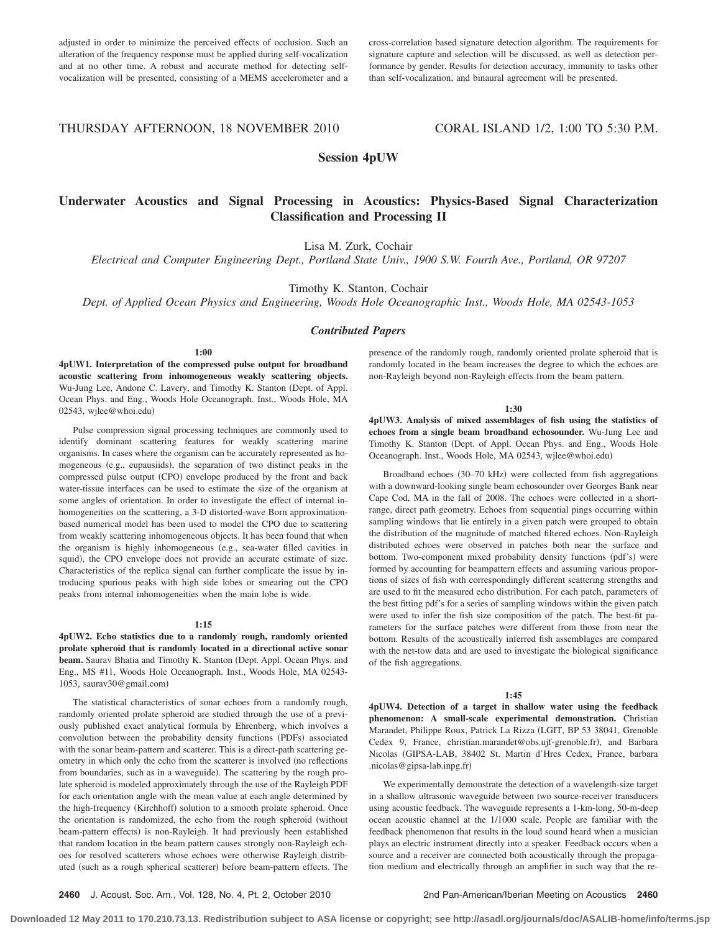adjusted in order to minimize the perceived effects of occlusion. Such an alteration of the frequency response must be applied during self-vocalization and at no other time. A robust and accurate method for detecting selfvocalization will be presented, consisting of a MEMS accelerometer and a

cross-correlation based signature detection algorithm. The requirements for signature capture and selection will be discussed, as well as detection performance by gender. Results for detection accuracy, immunity to tasks other than self-vocalization, and binaural agreement will be presented.

THURSDAY AFTERNOON, 18 NOVEMBER 2010 CORAL ISLAND 1/2, 1:00 TO 5:30 P.M.

**Session 4pUW**

# **Underwater Acoustics and Signal Processing in Acoustics: Physics-Based Signal Characterization Classification and Processing II**

Lisa M. Zurk, Cochair

*Electrical and Computer Engineering Dept., Portland State Univ., 1900 S.W. Fourth Ave., Portland, OR 97207*

Timothy K. Stanton, Cochair

*Dept. of Applied Ocean Physics and Engineering, Woods Hole Oceanographic Inst., Woods Hole, MA 02543-1053*

# *Contributed Papers*

**1:00**

**4pUW1. Interpretation of the compressed pulse output for broadband acoustic scattering from inhomogeneous weakly scattering objects.** Wu-Jung Lee, Andone C. Lavery, and Timothy K. Stanton (Dept. of Appl. Ocean Phys. and Eng., Woods Hole Oceanograph. Inst., Woods Hole, MA 02543, wjlee@whoi.edu)

Pulse compression signal processing techniques are commonly used to identify dominant scattering features for weakly scattering marine organisms. In cases where the organism can be accurately represented as homogeneous (e.g., eupausiids), the separation of two distinct peaks in the compressed pulse output (CPO) envelope produced by the front and back water-tissue interfaces can be used to estimate the size of the organism at some angles of orientation. In order to investigate the effect of internal inhomogeneities on the scattering, a 3-D distorted-wave Born approximationbased numerical model has been used to model the CPO due to scattering from weakly scattering inhomogeneous objects. It has been found that when the organism is highly inhomogeneous (e.g., sea-water filled cavities in squid), the CPO envelope does not provide an accurate estimate of size. Characteristics of the replica signal can further complicate the issue by introducing spurious peaks with high side lobes or smearing out the CPO peaks from internal inhomogeneities when the main lobe is wide.

#### **1:15**

**4pUW2. Echo statistics due to a randomly rough, randomly oriented prolate spheroid that is randomly located in a directional active sonar** beam. Saurav Bhatia and Timothy K. Stanton (Dept. Appl. Ocean Phys. and Eng., MS #11, Woods Hole Oceanograph. Inst., Woods Hole, MA 02543- 1053, saurav30@gmail.com-

The statistical characteristics of sonar echoes from a randomly rough, randomly oriented prolate spheroid are studied through the use of a previously published exact analytical formula by Ehrenberg, which involves a convolution between the probability density functions (PDFs) associated with the sonar beam-pattern and scatterer. This is a direct-path scattering geometry in which only the echo from the scatterer is involved (no reflections from boundaries, such as in a waveguide). The scattering by the rough prolate spheroid is modeled approximately through the use of the Rayleigh PDF for each orientation angle with the mean value at each angle determined by the high-frequency (Kirchhoff) solution to a smooth prolate spheroid. Once the orientation is randomized, the echo from the rough spheroid (without beam-pattern effects) is non-Rayleigh. It had previously been established that random location in the beam pattern causes strongly non-Rayleigh echoes for resolved scatterers whose echoes were otherwise Rayleigh distributed (such as a rough spherical scatterer) before beam-pattern effects. The

presence of the randomly rough, randomly oriented prolate spheroid that is randomly located in the beam increases the degree to which the echoes are non-Rayleigh beyond non-Rayleigh effects from the beam pattern.

**1:30**

**4pUW3. Analysis of mixed assemblages of fish using the statistics of echoes from a single beam broadband echosounder.** Wu-Jung Lee and Timothy K. Stanton (Dept. of Appl. Ocean Phys. and Eng., Woods Hole Oceanograph. Inst., Woods Hole, MA 02543, wjlee@whoi.edu-

Broadband echoes (30-70 kHz) were collected from fish aggregations with a downward-looking single beam echosounder over Georges Bank near Cape Cod, MA in the fall of 2008. The echoes were collected in a shortrange, direct path geometry. Echoes from sequential pings occurring within sampling windows that lie entirely in a given patch were grouped to obtain the distribution of the magnitude of matched filtered echoes. Non-Rayleigh distributed echoes were observed in patches both near the surface and bottom. Two-component mixed probability density functions (pdf's) were formed by accounting for beampattern effects and assuming various proportions of sizes of fish with correspondingly different scattering strengths and are used to fit the measured echo distribution. For each patch, parameters of the best fitting pdf's for a series of sampling windows within the given patch were used to infer the fish size composition of the patch. The best-fit parameters for the surface patches were different from those from near the bottom. Results of the acoustically inferred fish assemblages are compared with the net-tow data and are used to investigate the biological significance of the fish aggregations.

## **1:45**

**4pUW4. Detection of a target in shallow water using the feedback phenomenon: A small-scale experimental demonstration.** Christian Marandet, Philippe Roux, Patrick La Rizza LGIT, BP 53 38041, Grenoble Cedex 9, France, christian.marandet@obs.ujf-grenoble.fr), and Barbara Nicolas GIPSA-LAB, 38402 St. Martin d'Hres Cedex, France, barbara .nicolas@gipsa-lab.inpg.fr-

We experimentally demonstrate the detection of a wavelength-size target in a shallow ultrasonic waveguide between two source-receiver transducers using acoustic feedback. The waveguide represents a 1-km-long, 50-m-deep ocean acoustic channel at the 1/1000 scale. People are familiar with the feedback phenomenon that results in the loud sound heard when a musician plays an electric instrument directly into a speaker. Feedback occurs when a source and a receiver are connected both acoustically through the propagation medium and electrically through an amplifier in such way that the re-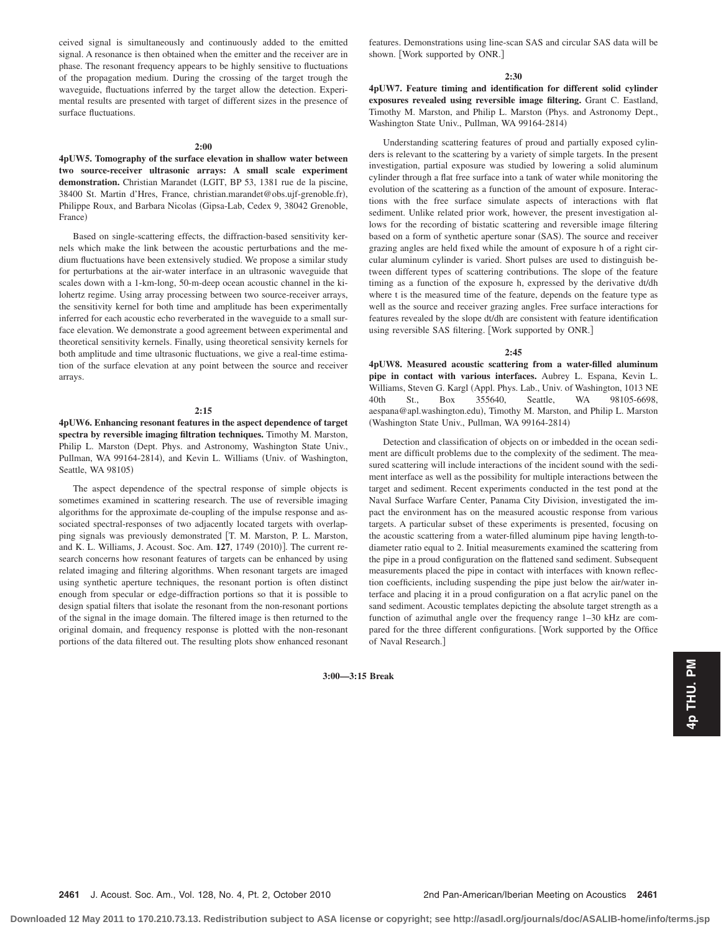ceived signal is simultaneously and continuously added to the emitted signal. A resonance is then obtained when the emitter and the receiver are in phase. The resonant frequency appears to be highly sensitive to fluctuations of the propagation medium. During the crossing of the target trough the waveguide, fluctuations inferred by the target allow the detection. Experimental results are presented with target of different sizes in the presence of surface fluctuations.

## **2:00**

**4pUW5. Tomography of the surface elevation in shallow water between two source-receiver ultrasonic arrays: A small scale experiment demonstration.** Christian Marandet LGIT, BP 53, 1381 rue de la piscine, 38400 St. Martin d'Hres, France, christian.marandet@obs.ujf-grenoble.fr), Philippe Roux, and Barbara Nicolas Gipsa-Lab, Cedex 9, 38042 Grenoble, France)

Based on single-scattering effects, the diffraction-based sensitivity kernels which make the link between the acoustic perturbations and the medium fluctuations have been extensively studied. We propose a similar study for perturbations at the air-water interface in an ultrasonic waveguide that scales down with a 1-km-long, 50-m-deep ocean acoustic channel in the kilohertz regime. Using array processing between two source-receiver arrays, the sensitivity kernel for both time and amplitude has been experimentally inferred for each acoustic echo reverberated in the waveguide to a small surface elevation. We demonstrate a good agreement between experimental and theoretical sensitivity kernels. Finally, using theoretical sensivity kernels for both amplitude and time ultrasonic fluctuations, we give a real-time estimation of the surface elevation at any point between the source and receiver arrays.

## **2:15**

**4pUW6. Enhancing resonant features in the aspect dependence of target spectra by reversible imaging filtration techniques.** Timothy M. Marston, Philip L. Marston (Dept. Phys. and Astronomy, Washington State Univ., Pullman, WA 99164-2814), and Kevin L. Williams (Univ. of Washington, Seattle, WA 98105)

The aspect dependence of the spectral response of simple objects is sometimes examined in scattering research. The use of reversible imaging algorithms for the approximate de-coupling of the impulse response and associated spectral-responses of two adjacently located targets with overlapping signals was previously demonstrated [T. M. Marston, P. L. Marston, and K. L. Williams, J. Acoust. Soc. Am. 127, 1749 (2010)]. The current research concerns how resonant features of targets can be enhanced by using related imaging and filtering algorithms. When resonant targets are imaged using synthetic aperture techniques, the resonant portion is often distinct enough from specular or edge-diffraction portions so that it is possible to design spatial filters that isolate the resonant from the non-resonant portions of the signal in the image domain. The filtered image is then returned to the original domain, and frequency response is plotted with the non-resonant portions of the data filtered out. The resulting plots show enhanced resonant features. Demonstrations using line-scan SAS and circular SAS data will be shown. [Work supported by ONR.]

#### **2:30**

**4pUW7. Feature timing and identification for different solid cylinder exposures revealed using reversible image filtering.** Grant C. Eastland, Timothy M. Marston, and Philip L. Marston (Phys. and Astronomy Dept., Washington State Univ., Pullman, WA 99164-2814)

Understanding scattering features of proud and partially exposed cylinders is relevant to the scattering by a variety of simple targets. In the present investigation, partial exposure was studied by lowering a solid aluminum cylinder through a flat free surface into a tank of water while monitoring the evolution of the scattering as a function of the amount of exposure. Interactions with the free surface simulate aspects of interactions with flat sediment. Unlike related prior work, however, the present investigation allows for the recording of bistatic scattering and reversible image filtering based on a form of synthetic aperture sonar (SAS). The source and receiver grazing angles are held fixed while the amount of exposure h of a right circular aluminum cylinder is varied. Short pulses are used to distinguish between different types of scattering contributions. The slope of the feature timing as a function of the exposure h, expressed by the derivative dt/dh where t is the measured time of the feature, depends on the feature type as well as the source and receiver grazing angles. Free surface interactions for features revealed by the slope dt/dh are consistent with feature identification using reversible SAS filtering. [Work supported by ONR.]

## **2:45**

**4pUW8. Measured acoustic scattering from a water-filled aluminum pipe in contact with various interfaces.** Aubrey L. Espana, Kevin L. Williams, Steven G. Kargl (Appl. Phys. Lab., Univ. of Washington, 1013 NE 40th St., Box 355640, Seattle, WA 98105-6698, aespana@apl.washington.edu), Timothy M. Marston, and Philip L. Marston (Washington State Univ., Pullman, WA 99164-2814)

Detection and classification of objects on or imbedded in the ocean sediment are difficult problems due to the complexity of the sediment. The measured scattering will include interactions of the incident sound with the sediment interface as well as the possibility for multiple interactions between the target and sediment. Recent experiments conducted in the test pond at the Naval Surface Warfare Center, Panama City Division, investigated the impact the environment has on the measured acoustic response from various targets. A particular subset of these experiments is presented, focusing on the acoustic scattering from a water-filled aluminum pipe having length-todiameter ratio equal to 2. Initial measurements examined the scattering from the pipe in a proud configuration on the flattened sand sediment. Subsequent measurements placed the pipe in contact with interfaces with known reflection coefficients, including suspending the pipe just below the air/water interface and placing it in a proud configuration on a flat acrylic panel on the sand sediment. Acoustic templates depicting the absolute target strength as a function of azimuthal angle over the frequency range 1–30 kHz are compared for the three different configurations. Work supported by the Office of Naval Research.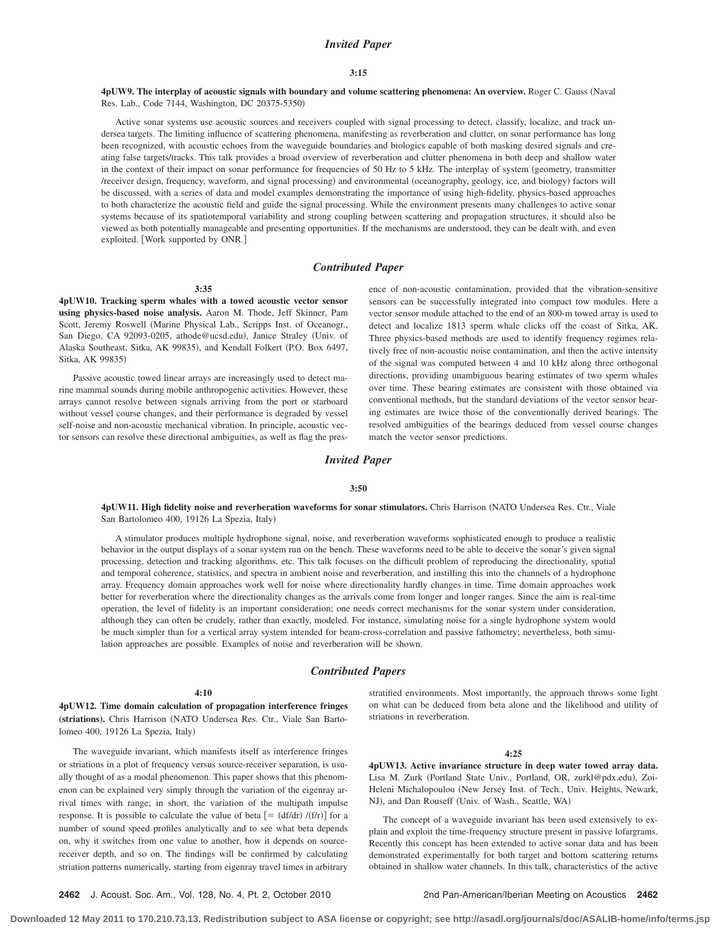# *Invited Paper*

## **3:15**

**4pUW9. The interplay of acoustic signals with boundary and volume scattering phenomena: An overview.** Roger C. Gauss Naval Res. Lab., Code 7144, Washington, DC 20375-5350)

Active sonar systems use acoustic sources and receivers coupled with signal processing to detect, classify, localize, and track undersea targets. The limiting influence of scattering phenomena, manifesting as reverberation and clutter, on sonar performance has long been recognized, with acoustic echoes from the waveguide boundaries and biologics capable of both masking desired signals and creating false targets/tracks. This talk provides a broad overview of reverberation and clutter phenomena in both deep and shallow water in the context of their impact on sonar performance for frequencies of 50 Hz to 5 kHz. The interplay of system geometry, transmitter /receiver design, frequency, waveform, and signal processing) and environmental (oceanography, geology, ice, and biology) factors will be discussed, with a series of data and model examples demonstrating the importance of using high-fidelity, physics-based approaches to both characterize the acoustic field and guide the signal processing. While the environment presents many challenges to active sonar systems because of its spatiotemporal variability and strong coupling between scattering and propagation structures, it should also be viewed as both potentially manageable and presenting opportunities. If the mechanisms are understood, they can be dealt with, and even exploited. [Work supported by ONR.]

## *Contributed Paper*

**3:35**

**4pUW10. Tracking sperm whales with a towed acoustic vector sensor using physics-based noise analysis.** Aaron M. Thode, Jeff Skinner, Pam Scott, Jeremy Roswell Marine Physical Lab., Scripps Inst. of Oceanogr., San Diego, CA 92093-0205, athode@ucsd.edu), Janice Straley (Univ. of Alaska Southeast, Sitka, AK 99835), and Kendall Folkert (P.O. Box 6497, Sitka, AK 99835)

Passive acoustic towed linear arrays are increasingly used to detect marine mammal sounds during mobile anthropogenic activities. However, these arrays cannot resolve between signals arriving from the port or starboard without vessel course changes, and their performance is degraded by vessel self-noise and non-acoustic mechanical vibration. In principle, acoustic vector sensors can resolve these directional ambiguities, as well as flag the presence of non-acoustic contamination, provided that the vibration-sensitive sensors can be successfully integrated into compact tow modules. Here a vector sensor module attached to the end of an 800-m towed array is used to detect and localize 1813 sperm whale clicks off the coast of Sitka, AK. Three physics-based methods are used to identify frequency regimes relatively free of non-acoustic noise contamination, and then the active intensity of the signal was computed between 4 and 10 kHz along three orthogonal directions, providing unambiguous bearing estimates of two sperm whales over time. These bearing estimates are consistent with those obtained via conventional methods, but the standard deviations of the vector sensor bearing estimates are twice those of the conventionally derived bearings. The resolved ambiguities of the bearings deduced from vessel course changes match the vector sensor predictions.

# *Invited Paper*

## **3:50**

**4pUW11. High fidelity noise and reverberation waveforms for sonar stimulators.** Chris Harrison NATO Undersea Res. Ctr., Viale San Bartolomeo 400, 19126 La Spezia, Italy)

A stimulator produces multiple hydrophone signal, noise, and reverberation waveforms sophisticated enough to produce a realistic behavior in the output displays of a sonar system run on the bench. These waveforms need to be able to deceive the sonar's given signal processing, detection and tracking algorithms, etc. This talk focuses on the difficult problem of reproducing the directionality, spatial and temporal coherence, statistics, and spectra in ambient noise and reverberation, and instilling this into the channels of a hydrophone array. Frequency domain approaches work well for noise where directionality hardly changes in time. Time domain approaches work better for reverberation where the directionality changes as the arrivals come from longer and longer ranges. Since the aim is real-time operation, the level of fidelity is an important consideration; one needs correct mechanisms for the sonar system under consideration, although they can often be crudely, rather than exactly, modeled. For instance, simulating noise for a single hydrophone system would be much simpler than for a vertical array system intended for beam-cross-correlation and passive fathometry; nevertheless, both simulation approaches are possible. Examples of noise and reverberation will be shown.

# *Contributed Papers*

# **4:10**

**4pUW12. Time domain calculation of propagation interference fringes** (striations). Chris Harrison (NATO Undersea Res. Ctr., Viale San Bartolomeo 400, 19126 La Spezia, Italy-

The waveguide invariant, which manifests itself as interference fringes or striations in a plot of frequency versus source-receiver separation, is usually thought of as a modal phenomenon. This paper shows that this phenomenon can be explained very simply through the variation of the eigenray arrival times with range; in short, the variation of the multipath impulse response. It is possible to calculate the value of beta  $[ = (df/dr) / (f/r) ]$  for a number of sound speed profiles analytically and to see what beta depends on, why it switches from one value to another, how it depends on sourcereceiver depth, and so on. The findings will be confirmed by calculating striation patterns numerically, starting from eigenray travel times in arbitrary

stratified environments. Most importantly, the approach throws some light on what can be deduced from beta alone and the likelihood and utility of striations in reverberation.

## **4:25**

**4pUW13. Active invariance structure in deep water towed array data.** Lisa M. Zurk (Portland State Univ., Portland, OR, zurkl@pdx.edu), Zoi-Heleni Michalopoulou (New Jersey Inst. of Tech., Univ. Heights, Newark, NJ), and Dan Rouseff (Univ. of Wash., Seattle, WA)

The concept of a waveguide invariant has been used extensively to explain and exploit the time-frequency structure present in passive lofargrams. Recently this concept has been extended to active sonar data and has been demonstrated experimentally for both target and bottom scattering returns obtained in shallow water channels. In this talk, characteristics of the active

**2462** J. Acoust. Soc. Am., Vol. 128, No. 4, Pt. 2, October 2010 2nd Pan-American/Iberian Meeting on Acoustics **2462**